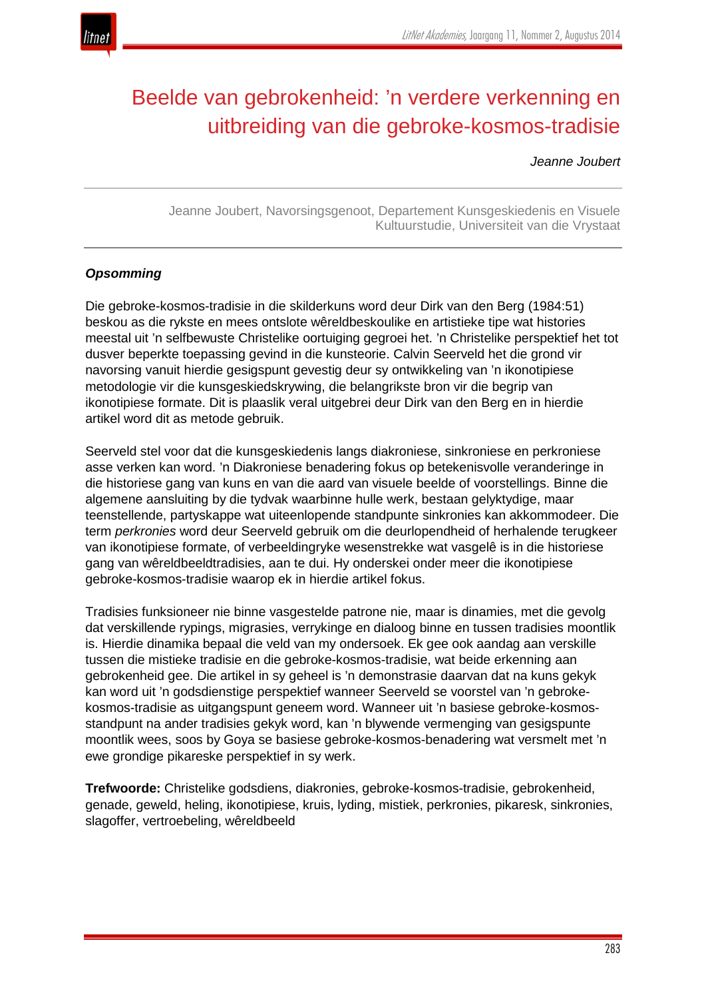

# Beelde van gebrokenheid: 'n verdere verkenning en uitbreiding van die gebroke-kosmos-tradisie

*Jeanne Joubert*

Jeanne Joubert, Navorsingsgenoot, Departement Kunsgeskiedenis en Visuele Kultuurstudie, Universiteit van die Vrystaat

# *Opsomming*

Die gebroke-kosmos-tradisie in die skilderkuns word deur Dirk van den Berg (1984:51) beskou as die rykste en mees ontslote wêreldbeskoulike en artistieke tipe wat histories meestal uit 'n selfbewuste Christelike oortuiging gegroei het. 'n Christelike perspektief het tot dusver beperkte toepassing gevind in die kunsteorie. Calvin Seerveld het die grond vir navorsing vanuit hierdie gesigspunt gevestig deur sy ontwikkeling van 'n ikonotipiese metodologie vir die kunsgeskiedskrywing, die belangrikste bron vir die begrip van ikonotipiese formate. Dit is plaaslik veral uitgebrei deur Dirk van den Berg en in hierdie artikel word dit as metode gebruik.

Seerveld stel voor dat die kunsgeskiedenis langs diakroniese, sinkroniese en perkroniese asse verken kan word. 'n Diakroniese benadering fokus op betekenisvolle veranderinge in die historiese gang van kuns en van die aard van visuele beelde of voorstellings. Binne die algemene aansluiting by die tydvak waarbinne hulle werk, bestaan gelyktydige, maar teenstellende, partyskappe wat uiteenlopende standpunte sinkronies kan akkommodeer. Die term *perkronies* word deur Seerveld gebruik om die deurlopendheid of herhalende terugkeer van ikonotipiese formate, of verbeeldingryke wesenstrekke wat vasgelê is in die historiese gang van wêreldbeeldtradisies, aan te dui. Hy onderskei onder meer die ikonotipiese gebroke-kosmos-tradisie waarop ek in hierdie artikel fokus.

Tradisies funksioneer nie binne vasgestelde patrone nie, maar is dinamies, met die gevolg dat verskillende rypings, migrasies, verrykinge en dialoog binne en tussen tradisies moontlik is. Hierdie dinamika bepaal die veld van my ondersoek. Ek gee ook aandag aan verskille tussen die mistieke tradisie en die gebroke-kosmos-tradisie, wat beide erkenning aan gebrokenheid gee. Die artikel in sy geheel is 'n demonstrasie daarvan dat na kuns gekyk kan word uit 'n godsdienstige perspektief wanneer Seerveld se voorstel van 'n gebrokekosmos-tradisie as uitgangspunt geneem word. Wanneer uit 'n basiese gebroke-kosmosstandpunt na ander tradisies gekyk word, kan 'n blywende vermenging van gesigspunte moontlik wees, soos by Goya se basiese gebroke-kosmos-benadering wat versmelt met 'n ewe grondige pikareske perspektief in sy werk.

**Trefwoorde:** Christelike godsdiens, diakronies, gebroke-kosmos-tradisie, gebrokenheid, genade, geweld, heling, ikonotipiese, kruis, lyding, mistiek, perkronies, pikaresk, sinkronies, slagoffer, vertroebeling, wêreldbeeld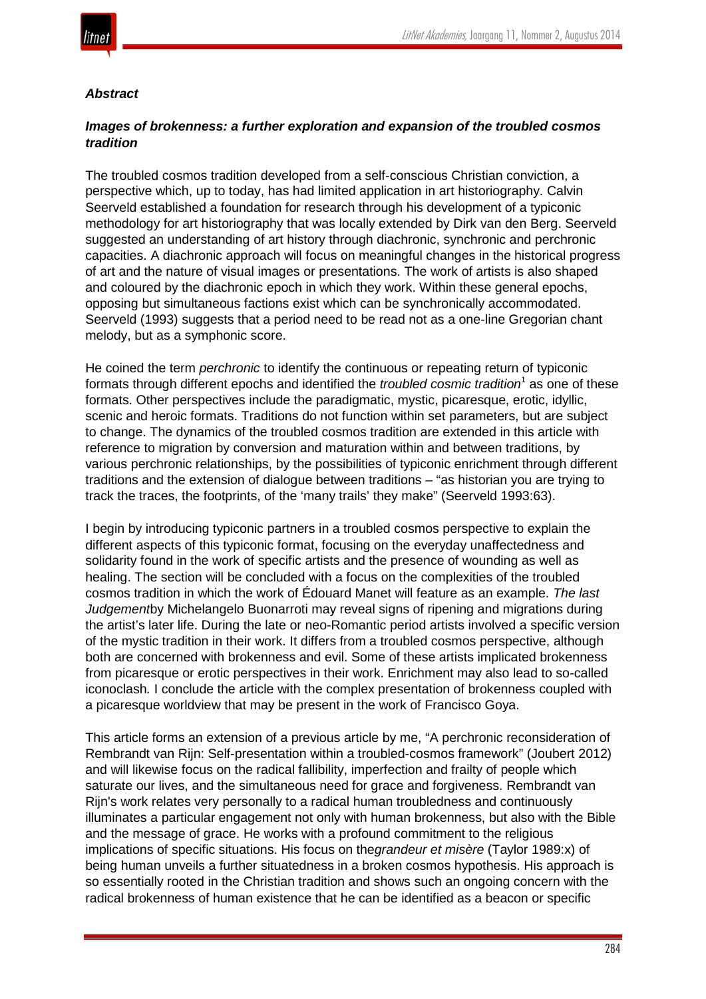

# *Abstract*

# *Images of brokenness: a further exploration and expansion of the troubled cosmos tradition*

The troubled cosmos tradition developed from a self-conscious Christian conviction, a perspective which, up to today, has had limited application in art historiography. Calvin Seerveld established a foundation for research through his development of a typiconic methodology for art historiography that was locally extended by Dirk van den Berg. Seerveld suggested an understanding of art history through diachronic, synchronic and perchronic capacities. A diachronic approach will focus on meaningful changes in the historical progress of art and the nature of visual images or presentations. The work of artists is also shaped and coloured by the diachronic epoch in which they work. Within these general epochs, opposing but simultaneous factions exist which can be synchronically accommodated. Seerveld (1993) suggests that a period need to be read not as a one-line Gregorian chant melody, but as a symphonic score.

He coined the term *perchronic* to identify the continuous or repeating return of typiconic formats through different epochs and identified the *troubled cosmic tradition*<sup>1</sup> as one of these formats. Other perspectives include the paradigmatic, mystic, picaresque, erotic, idyllic, scenic and heroic formats. Traditions do not function within set parameters, but are subject to change. The dynamics of the troubled cosmos tradition are extended in this article with reference to migration by conversion and maturation within and between traditions, by various perchronic relationships, by the possibilities of typiconic enrichment through different traditions and the extension of dialogue between traditions – "as historian you are trying to track the traces, the footprints, of the 'many trails' they make" (Seerveld 1993:63).

I begin by introducing typiconic partners in a troubled cosmos perspective to explain the different aspects of this typiconic format, focusing on the everyday unaffectedness and solidarity found in the work of specific artists and the presence of wounding as well as healing. The section will be concluded with a focus on the complexities of the troubled cosmos tradition in which the work of Édouard Manet will feature as an example. *The last Judgement*by Michelangelo Buonarroti may reveal signs of ripening and migrations during the artist's later life. During the late or neo-Romantic period artists involved a specific version of the mystic tradition in their work. It differs from a troubled cosmos perspective, although both are concerned with brokenness and evil. Some of these artists implicated brokenness from picaresque or erotic perspectives in their work. Enrichment may also lead to so-called iconoclash*.* I conclude the article with the complex presentation of brokenness coupled with a picaresque worldview that may be present in the work of Francisco Goya.

This article forms an extension of a previous article by me, "A perchronic reconsideration of Rembrandt van Rijn: Self-presentation within a troubled-cosmos framework" (Joubert 2012) and will likewise focus on the radical fallibility, imperfection and frailty of people which saturate our lives, and the simultaneous need for grace and forgiveness. Rembrandt van Rijn's work relates very personally to a radical human troubledness and continuously illuminates a particular engagement not only with human brokenness, but also with the Bible and the message of grace. He works with a profound commitment to the religious implications of specific situations. His focus on the*grandeur et misère* (Taylor 1989:x) of being human unveils a further situatedness in a broken cosmos hypothesis. His approach is so essentially rooted in the Christian tradition and shows such an ongoing concern with the radical brokenness of human existence that he can be identified as a beacon or specific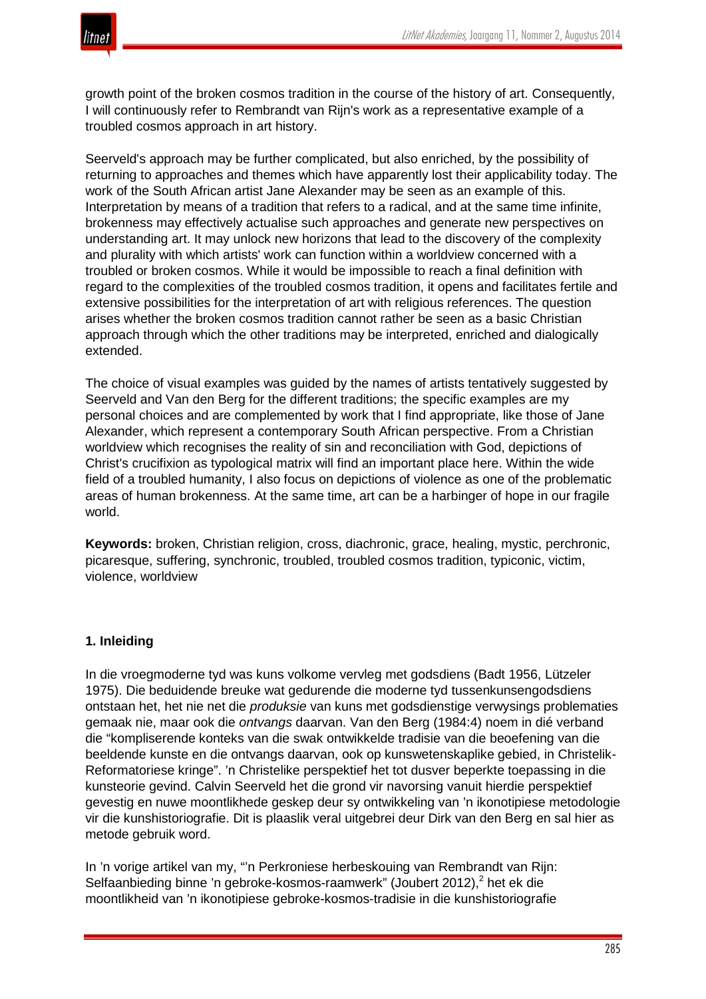

growth point of the broken cosmos tradition in the course of the history of art. Consequently, I will continuously refer to Rembrandt van Rijn's work as a representative example of a troubled cosmos approach in art history.

Seerveld's approach may be further complicated, but also enriched, by the possibility of returning to approaches and themes which have apparently lost their applicability today. The work of the South African artist Jane Alexander may be seen as an example of this. Interpretation by means of a tradition that refers to a radical, and at the same time infinite, brokenness may effectively actualise such approaches and generate new perspectives on understanding art. It may unlock new horizons that lead to the discovery of the complexity and plurality with which artists' work can function within a worldview concerned with a troubled or broken cosmos. While it would be impossible to reach a final definition with regard to the complexities of the troubled cosmos tradition, it opens and facilitates fertile and extensive possibilities for the interpretation of art with religious references. The question arises whether the broken cosmos tradition cannot rather be seen as a basic Christian approach through which the other traditions may be interpreted, enriched and dialogically extended.

The choice of visual examples was guided by the names of artists tentatively suggested by Seerveld and Van den Berg for the different traditions; the specific examples are my personal choices and are complemented by work that I find appropriate, like those of Jane Alexander, which represent a contemporary South African perspective. From a Christian worldview which recognises the reality of sin and reconciliation with God, depictions of Christ's crucifixion as typological matrix will find an important place here. Within the wide field of a troubled humanity, I also focus on depictions of violence as one of the problematic areas of human brokenness. At the same time, art can be a harbinger of hope in our fragile world.

**Keywords:** broken, Christian religion, cross, diachronic, grace, healing, mystic, perchronic, picaresque, suffering, synchronic, troubled, troubled cosmos tradition, typiconic, victim, violence, worldview

## **1. Inleiding**

In die vroegmoderne tyd was kuns volkome vervleg met godsdiens (Badt 1956, Lützeler 1975). Die beduidende breuke wat gedurende die moderne tyd tussenkunsengodsdiens ontstaan het, het nie net die *produksie* van kuns met godsdienstige verwysings problematies gemaak nie, maar ook die *ontvangs* daarvan. Van den Berg (1984:4) noem in dié verband die "kompliserende konteks van die swak ontwikkelde tradisie van die beoefening van die beeldende kunste en die ontvangs daarvan, ook op kunswetenskaplike gebied, in Christelik-Reformatoriese kringe". 'n Christelike perspektief het tot dusver beperkte toepassing in die kunsteorie gevind. Calvin Seerveld het die grond vir navorsing vanuit hierdie perspektief gevestig en nuwe moontlikhede geskep deur sy ontwikkeling van 'n ikonotipiese metodologie vir die kunshistoriografie. Dit is plaaslik veral uitgebrei deur Dirk van den Berg en sal hier as metode gebruik word.

In 'n vorige artikel van my, "'n Perkroniese herbeskouing van Rembrandt van Rijn: Selfaanbieding binne 'n gebroke-kosmos-raamwerk" (Joubert 2012),<sup>2</sup> het ek die moontlikheid van 'n ikonotipiese gebroke-kosmos-tradisie in die kunshistoriografie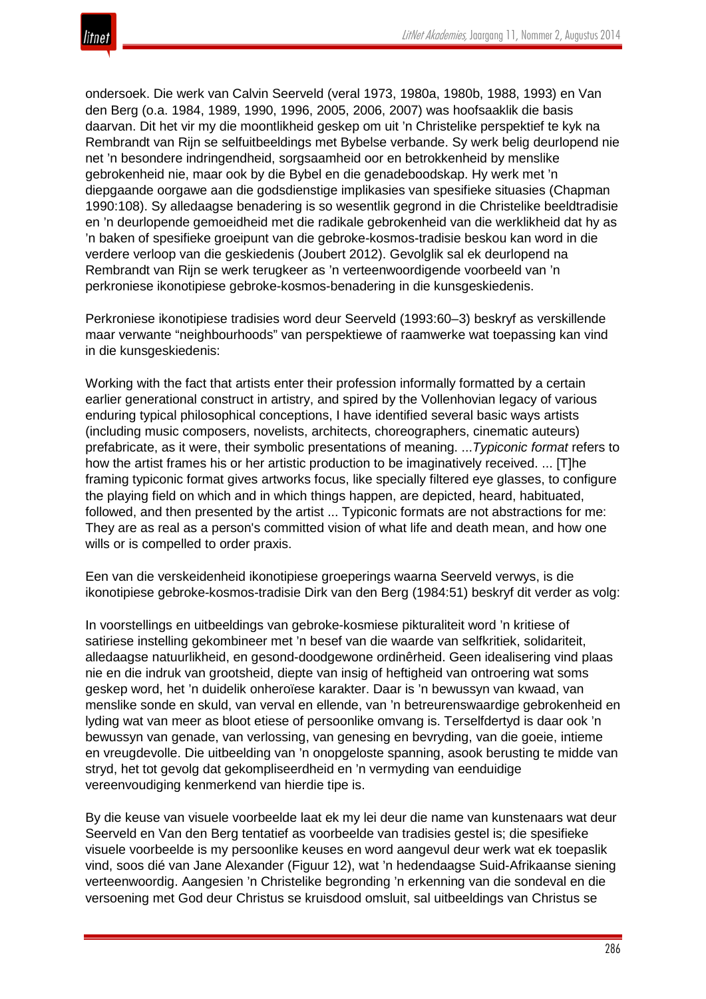ondersoek. Die werk van Calvin Seerveld (veral 1973, 1980a, 1980b, 1988, 1993) en Van den Berg (o.a. 1984, 1989, 1990, 1996, 2005, 2006, 2007) was hoofsaaklik die basis daarvan. Dit het vir my die moontlikheid geskep om uit 'n Christelike perspektief te kyk na Rembrandt van Rijn se selfuitbeeldings met Bybelse verbande. Sy werk belig deurlopend nie net 'n besondere indringendheid, sorgsaamheid oor en betrokkenheid by menslike gebrokenheid nie, maar ook by die Bybel en die genadeboodskap. Hy werk met 'n diepgaande oorgawe aan die godsdienstige implikasies van spesifieke situasies (Chapman 1990:108). Sy alledaagse benadering is so wesentlik gegrond in die Christelike beeldtradisie en 'n deurlopende gemoeidheid met die radikale gebrokenheid van die werklikheid dat hy as 'n baken of spesifieke groeipunt van die gebroke-kosmos-tradisie beskou kan word in die verdere verloop van die geskiedenis (Joubert 2012). Gevolglik sal ek deurlopend na Rembrandt van Rijn se werk terugkeer as 'n verteenwoordigende voorbeeld van 'n perkroniese ikonotipiese gebroke-kosmos-benadering in die kunsgeskiedenis.

Perkroniese ikonotipiese tradisies word deur Seerveld (1993:60–3) beskryf as verskillende maar verwante "neighbourhoods" van perspektiewe of raamwerke wat toepassing kan vind in die kunsgeskiedenis:

Working with the fact that artists enter their profession informally formatted by a certain earlier generational construct in artistry, and spired by the Vollenhovian legacy of various enduring typical philosophical conceptions, I have identified several basic ways artists (including music composers, novelists, architects, choreographers, cinematic auteurs) prefabricate, as it were, their symbolic presentations of meaning. ...*Typiconic format* refers to how the artist frames his or her artistic production to be imaginatively received. ... [T]he framing typiconic format gives artworks focus, like specially filtered eye glasses, to configure the playing field on which and in which things happen, are depicted, heard, habituated, followed, and then presented by the artist ... Typiconic formats are not abstractions for me: They are as real as a person's committed vision of what life and death mean, and how one wills or is compelled to order praxis.

Een van die verskeidenheid ikonotipiese groeperings waarna Seerveld verwys, is die ikonotipiese gebroke-kosmos-tradisie Dirk van den Berg (1984:51) beskryf dit verder as volg:

In voorstellings en uitbeeldings van gebroke-kosmiese pikturaliteit word 'n kritiese of satiriese instelling gekombineer met 'n besef van die waarde van selfkritiek, solidariteit, alledaagse natuurlikheid, en gesond-doodgewone ordinêrheid. Geen idealisering vind plaas nie en die indruk van grootsheid, diepte van insig of heftigheid van ontroering wat soms geskep word, het 'n duidelik onheroïese karakter. Daar is 'n bewussyn van kwaad, van menslike sonde en skuld, van verval en ellende, van 'n betreurenswaardige gebrokenheid en lyding wat van meer as bloot etiese of persoonlike omvang is. Terselfdertyd is daar ook 'n bewussyn van genade, van verlossing, van genesing en bevryding, van die goeie, intieme en vreugdevolle. Die uitbeelding van 'n onopgeloste spanning, asook berusting te midde van stryd, het tot gevolg dat gekompliseerdheid en 'n vermyding van eenduidige vereenvoudiging kenmerkend van hierdie tipe is.

By die keuse van visuele voorbeelde laat ek my lei deur die name van kunstenaars wat deur Seerveld en Van den Berg tentatief as voorbeelde van tradisies gestel is; die spesifieke visuele voorbeelde is my persoonlike keuses en word aangevul deur werk wat ek toepaslik vind, soos dié van Jane Alexander (Figuur 12), wat 'n hedendaagse Suid-Afrikaanse siening verteenwoordig. Aangesien 'n Christelike begronding 'n erkenning van die sondeval en die versoening met God deur Christus se kruisdood omsluit, sal uitbeeldings van Christus se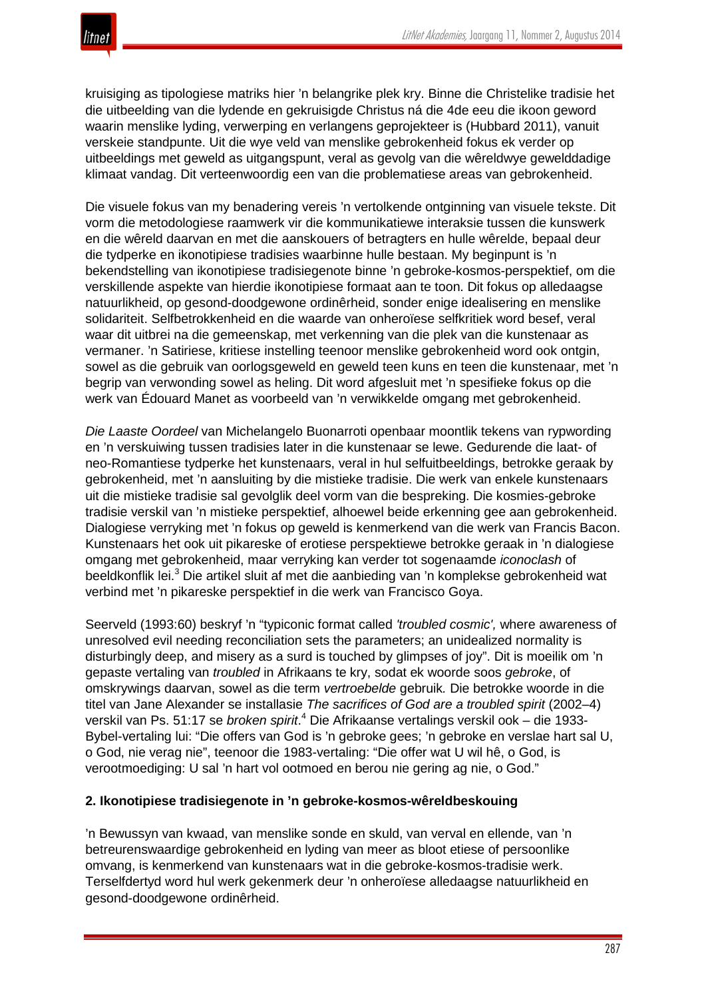

kruisiging as tipologiese matriks hier 'n belangrike plek kry. Binne die Christelike tradisie het die uitbeelding van die lydende en gekruisigde Christus ná die 4de eeu die ikoon geword waarin menslike lyding, verwerping en verlangens geprojekteer is (Hubbard 2011), vanuit verskeie standpunte. Uit die wye veld van menslike gebrokenheid fokus ek verder op uitbeeldings met geweld as uitgangspunt, veral as gevolg van die wêreldwye gewelddadige klimaat vandag. Dit verteenwoordig een van die problematiese areas van gebrokenheid.

Die visuele fokus van my benadering vereis 'n vertolkende ontginning van visuele tekste. Dit vorm die metodologiese raamwerk vir die kommunikatiewe interaksie tussen die kunswerk en die wêreld daarvan en met die aanskouers of betragters en hulle wêrelde, bepaal deur die tydperke en ikonotipiese tradisies waarbinne hulle bestaan. My beginpunt is 'n bekendstelling van ikonotipiese tradisiegenote binne 'n gebroke-kosmos-perspektief, om die verskillende aspekte van hierdie ikonotipiese formaat aan te toon. Dit fokus op alledaagse natuurlikheid, op gesond-doodgewone ordinêrheid, sonder enige idealisering en menslike solidariteit. Selfbetrokkenheid en die waarde van onheroïese selfkritiek word besef, veral waar dit uitbrei na die gemeenskap, met verkenning van die plek van die kunstenaar as vermaner. 'n Satiriese, kritiese instelling teenoor menslike gebrokenheid word ook ontgin, sowel as die gebruik van oorlogsgeweld en geweld teen kuns en teen die kunstenaar, met 'n begrip van verwonding sowel as heling. Dit word afgesluit met 'n spesifieke fokus op die werk van Édouard Manet as voorbeeld van 'n verwikkelde omgang met gebrokenheid.

*Die Laaste Oordeel* van Michelangelo Buonarroti openbaar moontlik tekens van rypwording en 'n verskuiwing tussen tradisies later in die kunstenaar se lewe. Gedurende die laat- of neo-Romantiese tydperke het kunstenaars, veral in hul selfuitbeeldings, betrokke geraak by gebrokenheid, met 'n aansluiting by die mistieke tradisie. Die werk van enkele kunstenaars uit die mistieke tradisie sal gevolglik deel vorm van die bespreking. Die kosmies-gebroke tradisie verskil van 'n mistieke perspektief, alhoewel beide erkenning gee aan gebrokenheid. Dialogiese verryking met 'n fokus op geweld is kenmerkend van die werk van Francis Bacon. Kunstenaars het ook uit pikareske of erotiese perspektiewe betrokke geraak in 'n dialogiese omgang met gebrokenheid, maar verryking kan verder tot sogenaamde *iconoclash* of beeldkonflik lei.<sup>3</sup> Die artikel sluit af met die aanbieding van 'n komplekse gebrokenheid wat verbind met 'n pikareske perspektief in die werk van Francisco Goya.

Seerveld (1993:60) beskryf 'n "typiconic format called *'troubled cosmic',* where awareness of unresolved evil needing reconciliation sets the parameters; an unidealized normality is disturbingly deep, and misery as a surd is touched by glimpses of joy". Dit is moeilik om 'n gepaste vertaling van *troubled* in Afrikaans te kry, sodat ek woorde soos *gebroke*, of omskrywings daarvan, sowel as die term *vertroebelde* gebruik*.* Die betrokke woorde in die titel van Jane Alexander se installasie *The sacrifices of God are a troubled spirit* (2002–4) verskil van Ps. 51:17 se *broken spirit*. <sup>4</sup> Die Afrikaanse vertalings verskil ook – die 1933- Bybel-vertaling lui: "Die offers van God is 'n gebroke gees; 'n gebroke en verslae hart sal U, o God, nie verag nie", teenoor die 1983-vertaling: "Die offer wat U wil hê, o God, is verootmoediging: U sal 'n hart vol ootmoed en berou nie gering ag nie, o God."

## **2. Ikonotipiese tradisiegenote in 'n gebroke-kosmos-wêreldbeskouing**

'n Bewussyn van kwaad, van menslike sonde en skuld, van verval en ellende, van 'n betreurenswaardige gebrokenheid en lyding van meer as bloot etiese of persoonlike omvang, is kenmerkend van kunstenaars wat in die gebroke-kosmos-tradisie werk. Terselfdertyd word hul werk gekenmerk deur 'n onheroïese alledaagse natuurlikheid en gesond-doodgewone ordinêrheid.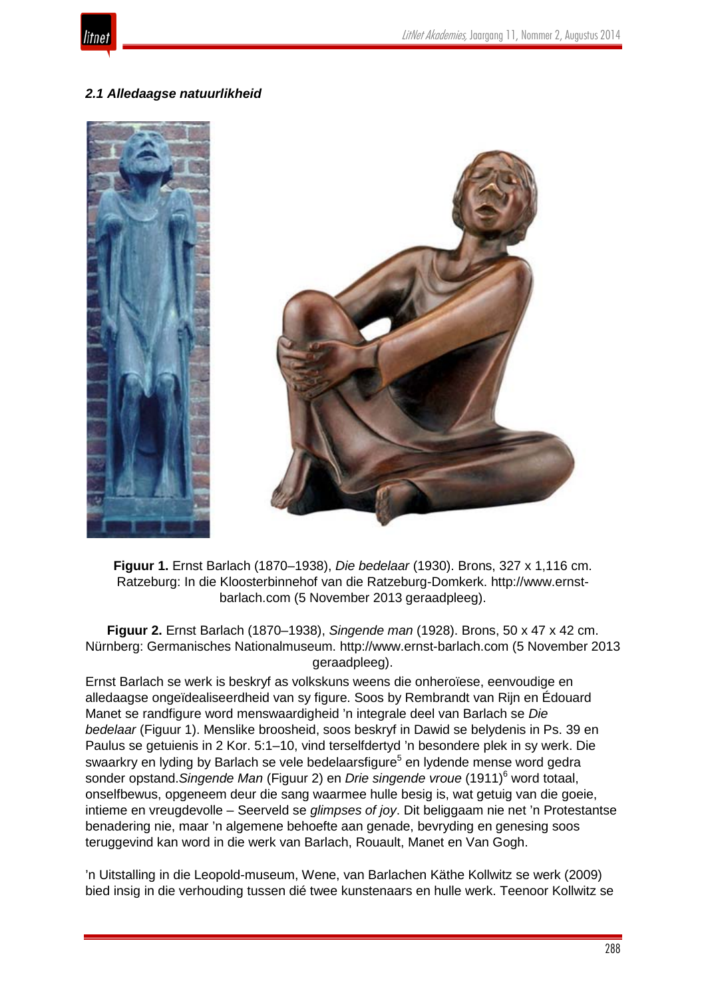

# *2.1 Alledaagse natuurlikheid*



**Figuur 1.** Ernst Barlach (1870–1938), *Die bedelaar* (1930). Brons, 327 x 1,116 cm. Ratzeburg: In die Kloosterbinnehof van die Ratzeburg-Domkerk. http://www.ernstbarlach.com (5 November 2013 geraadpleeg).

**Figuur 2.** Ernst Barlach (1870–1938), *Singende man* (1928). Brons, 50 x 47 x 42 cm. Nürnberg: Germanisches Nationalmuseum. http://www.ernst-barlach.com (5 November 2013 geraadpleeg).

Ernst Barlach se werk is beskryf as volkskuns weens die onheroïese, eenvoudige en alledaagse ongeïdealiseerdheid van sy figure. Soos by Rembrandt van Rijn en Édouard Manet se randfigure word menswaardigheid 'n integrale deel van Barlach se *Die bedelaar* (Figuur 1). Menslike broosheid, soos beskryf in Dawid se belydenis in Ps. 39 en Paulus se getuienis in 2 Kor. 5:1–10, vind terselfdertyd 'n besondere plek in sy werk. Die swaarkry en lyding by Barlach se vele bedelaarsfigure<sup>5</sup> en lydende mense word gedra sonder opstand.*Singende Man* (Figuur 2) en *Drie singende vroue* (1911)<sup>6</sup> word totaal, onselfbewus, opgeneem deur die sang waarmee hulle besig is, wat getuig van die goeie, intieme en vreugdevolle – Seerveld se *glimpses of joy*. Dit beliggaam nie net 'n Protestantse benadering nie, maar 'n algemene behoefte aan genade, bevryding en genesing soos teruggevind kan word in die werk van Barlach, Rouault, Manet en Van Gogh.

'n Uitstalling in die Leopold-museum, Wene, van Barlachen Käthe Kollwitz se werk (2009) bied insig in die verhouding tussen dié twee kunstenaars en hulle werk. Teenoor Kollwitz se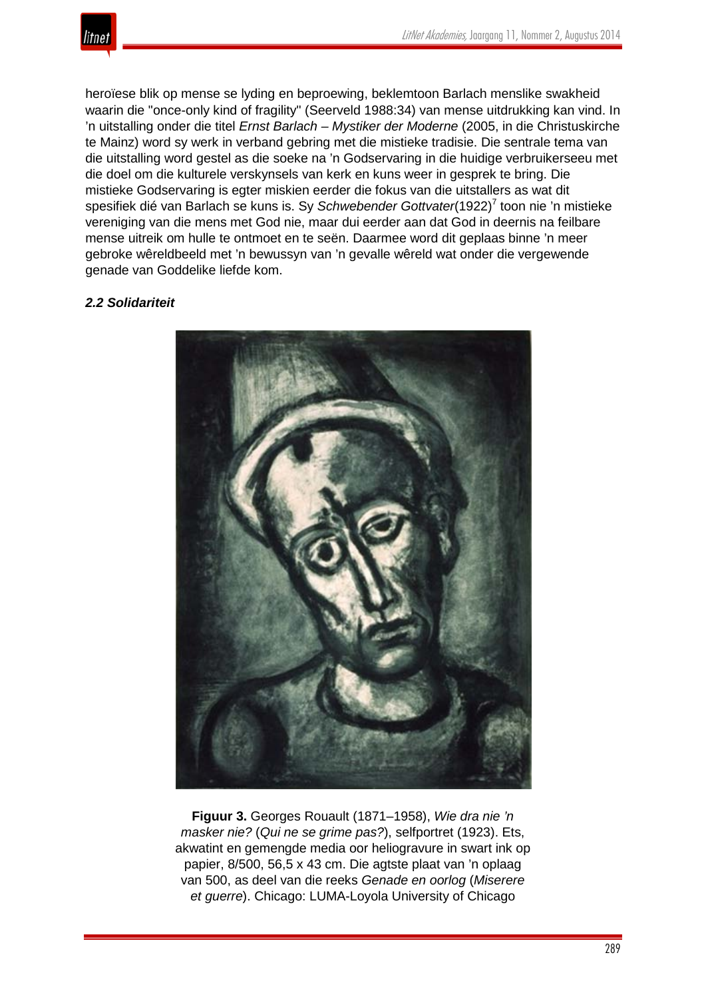

heroïese blik op mense se lyding en beproewing, beklemtoon Barlach menslike swakheid waarin die "once-only kind of fragility" (Seerveld 1988:34) van mense uitdrukking kan vind. In 'n uitstalling onder die titel *Ernst Barlach – Mystiker der Moderne* (2005, in die Christuskirche te Mainz) word sy werk in verband gebring met die mistieke tradisie. Die sentrale tema van die uitstalling word gestel as die soeke na 'n Godservaring in die huidige verbruikerseeu met die doel om die kulturele verskynsels van kerk en kuns weer in gesprek te bring. Die mistieke Godservaring is egter miskien eerder die fokus van die uitstallers as wat dit spesifiek dié van Barlach se kuns is. Sy *Schwebender Gottvater*(1922)<sup>7</sup> toon nie 'n mistieke vereniging van die mens met God nie, maar dui eerder aan dat God in deernis na feilbare mense uitreik om hulle te ontmoet en te seën. Daarmee word dit geplaas binne 'n meer gebroke wêreldbeeld met 'n bewussyn van 'n gevalle wêreld wat onder die vergewende genade van Goddelike liefde kom.

## *2.2 Solidariteit*



**Figuur 3.** Georges Rouault (1871–1958), *Wie dra nie 'n masker nie?* (*Qui ne se grime pas?*), selfportret (1923). Ets, akwatint en gemengde media oor heliogravure in swart ink op papier, 8/500, 56,5 x 43 cm. Die agtste plaat van 'n oplaag van 500, as deel van die reeks *Genade en oorlog* (*Miserere et guerre*). Chicago: LUMA-Loyola University of Chicago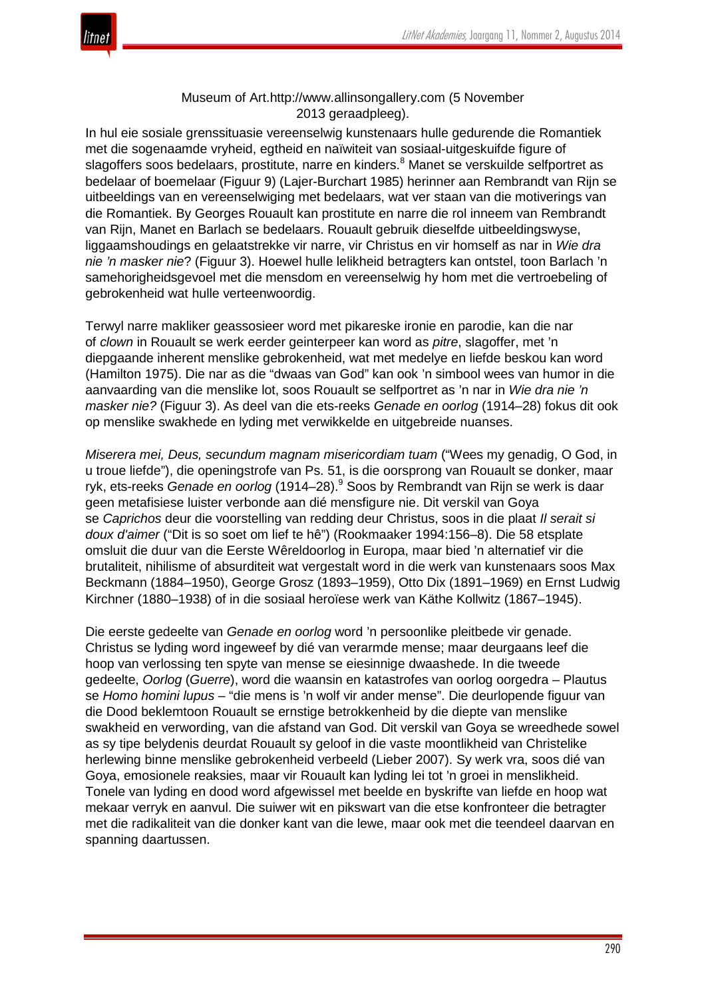

# Museum of Art.http://www.allinsongallery.com (5 November 2013 geraadpleeg).

In hul eie sosiale grenssituasie vereenselwig kunstenaars hulle gedurende die Romantiek met die sogenaamde vryheid, egtheid en naïwiteit van sosiaal-uitgeskuifde figure of slagoffers soos bedelaars, prostitute, narre en kinders.<sup>8</sup> Manet se verskuilde selfportret as bedelaar of boemelaar (Figuur 9) (Lajer-Burchart 1985) herinner aan Rembrandt van Rijn se uitbeeldings van en vereenselwiging met bedelaars, wat ver staan van die motiverings van die Romantiek. By Georges Rouault kan prostitute en narre die rol inneem van Rembrandt van Rijn, Manet en Barlach se bedelaars. Rouault gebruik dieselfde uitbeeldingswyse, liggaamshoudings en gelaatstrekke vir narre, vir Christus en vir homself as nar in *Wie dra nie 'n masker nie*? (Figuur 3). Hoewel hulle lelikheid betragters kan ontstel, toon Barlach 'n samehorigheidsgevoel met die mensdom en vereenselwig hy hom met die vertroebeling of gebrokenheid wat hulle verteenwoordig.

Terwyl narre makliker geassosieer word met pikareske ironie en parodie, kan die nar of *clown* in Rouault se werk eerder geinterpeer kan word as *pitre*, slagoffer, met 'n diepgaande inherent menslike gebrokenheid, wat met medelye en liefde beskou kan word (Hamilton 1975). Die nar as die "dwaas van God" kan ook 'n simbool wees van humor in die aanvaarding van die menslike lot, soos Rouault se selfportret as 'n nar in *Wie dra nie 'n masker nie?* (Figuur 3). As deel van die ets-reeks *Genade en oorlog* (1914–28) fokus dit ook op menslike swakhede en lyding met verwikkelde en uitgebreide nuanses.

*Miserera mei, Deus, secundum magnam misericordiam tuam* ("Wees my genadig, O God, in u troue liefde"), die openingstrofe van Ps. 51, is die oorsprong van Rouault se donker, maar ryk, ets-reeks *Genade en oorlog* (1914–28).<sup>9</sup> Soos by Rembrandt van Rijn se werk is daar geen metafisiese luister verbonde aan dié mensfigure nie. Dit verskil van Goya se *Caprichos* deur die voorstelling van redding deur Christus, soos in die plaat *Il serait si doux d'aimer* ("Dit is so soet om lief te hê") (Rookmaaker 1994:156–8). Die 58 etsplate omsluit die duur van die Eerste Wêreldoorlog in Europa, maar bied 'n alternatief vir die brutaliteit, nihilisme of absurditeit wat vergestalt word in die werk van kunstenaars soos Max Beckmann (1884–1950), George Grosz (1893–1959), Otto Dix (1891–1969) en Ernst Ludwig Kirchner (1880–1938) of in die sosiaal heroïese werk van Käthe Kollwitz (1867–1945).

Die eerste gedeelte van *Genade en oorlog* word 'n persoonlike pleitbede vir genade. Christus se lyding word ingeweef by dié van verarmde mense; maar deurgaans leef die hoop van verlossing ten spyte van mense se eiesinnige dwaashede. In die tweede gedeelte, *Oorlog* (*Guerre*), word die waansin en katastrofes van oorlog oorgedra – Plautus se *Homo homini lupus* – "die mens is 'n wolf vir ander mense". Die deurlopende figuur van die Dood beklemtoon Rouault se ernstige betrokkenheid by die diepte van menslike swakheid en verwording, van die afstand van God. Dit verskil van Goya se wreedhede sowel as sy tipe belydenis deurdat Rouault sy geloof in die vaste moontlikheid van Christelike herlewing binne menslike gebrokenheid verbeeld (Lieber 2007). Sy werk vra, soos dié van Goya, emosionele reaksies, maar vir Rouault kan lyding lei tot 'n groei in menslikheid. Tonele van lyding en dood word afgewissel met beelde en byskrifte van liefde en hoop wat mekaar verryk en aanvul. Die suiwer wit en pikswart van die etse konfronteer die betragter met die radikaliteit van die donker kant van die lewe, maar ook met die teendeel daarvan en spanning daartussen.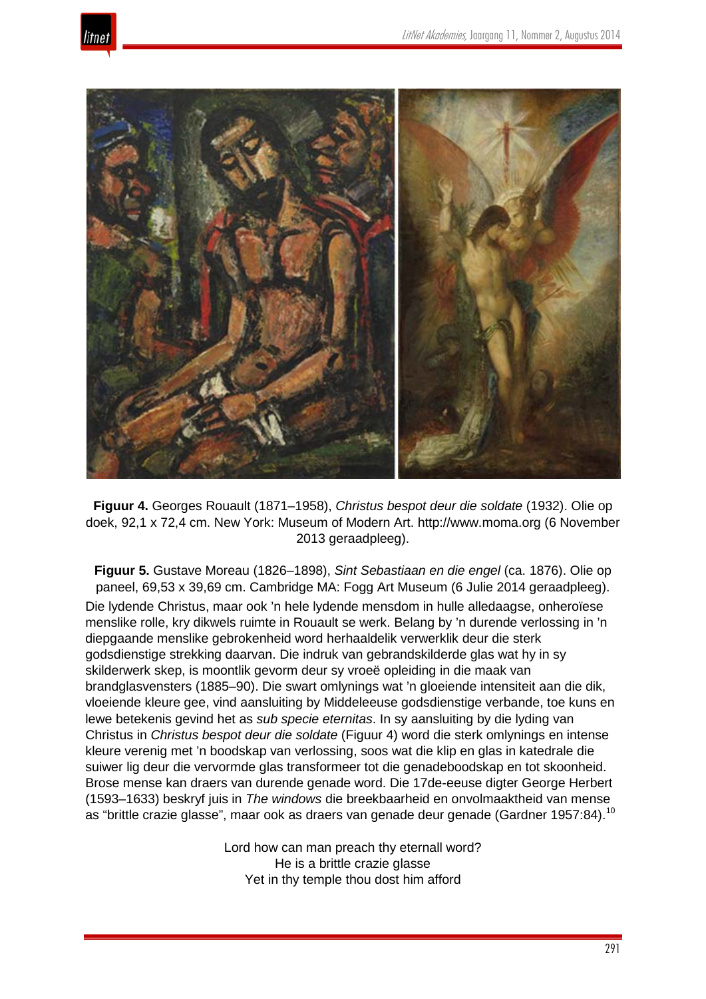



**Figuur 4.** Georges Rouault (1871–1958), *Christus bespot deur die soldate* (1932). Olie op doek, 92,1 x 72,4 cm. New York: Museum of Modern Art. http://www.moma.org (6 November 2013 geraadpleeg).

**Figuur 5.** Gustave Moreau (1826–1898), *Sint Sebastiaan en die engel* (ca. 1876). Olie op paneel, 69,53 x 39,69 cm. Cambridge MA: Fogg Art Museum (6 Julie 2014 geraadpleeg). Die lydende Christus, maar ook 'n hele lydende mensdom in hulle alledaagse, onheroïese menslike rolle, kry dikwels ruimte in Rouault se werk. Belang by 'n durende verlossing in 'n diepgaande menslike gebrokenheid word herhaaldelik verwerklik deur die sterk godsdienstige strekking daarvan. Die indruk van gebrandskilderde glas wat hy in sy skilderwerk skep, is moontlik gevorm deur sy vroeë opleiding in die maak van brandglasvensters (1885–90). Die swart omlynings wat 'n gloeiende intensiteit aan die dik, vloeiende kleure gee, vind aansluiting by Middeleeuse godsdienstige verbande, toe kuns en lewe betekenis gevind het as *sub specie eternitas*. In sy aansluiting by die lyding van Christus in *Christus bespot deur die soldate* (Figuur 4) word die sterk omlynings en intense kleure verenig met 'n boodskap van verlossing, soos wat die klip en glas in katedrale die suiwer lig deur die vervormde glas transformeer tot die genadeboodskap en tot skoonheid. Brose mense kan draers van durende genade word. Die 17de-eeuse digter George Herbert (1593–1633) beskryf juis in *The windows* die breekbaarheid en onvolmaaktheid van mense as "brittle crazie glasse", maar ook as draers van genade deur genade (Gardner 1957:84).<sup>10</sup>

> Lord how can man preach thy eternall word? He is a brittle crazie glasse Yet in thy temple thou dost him afford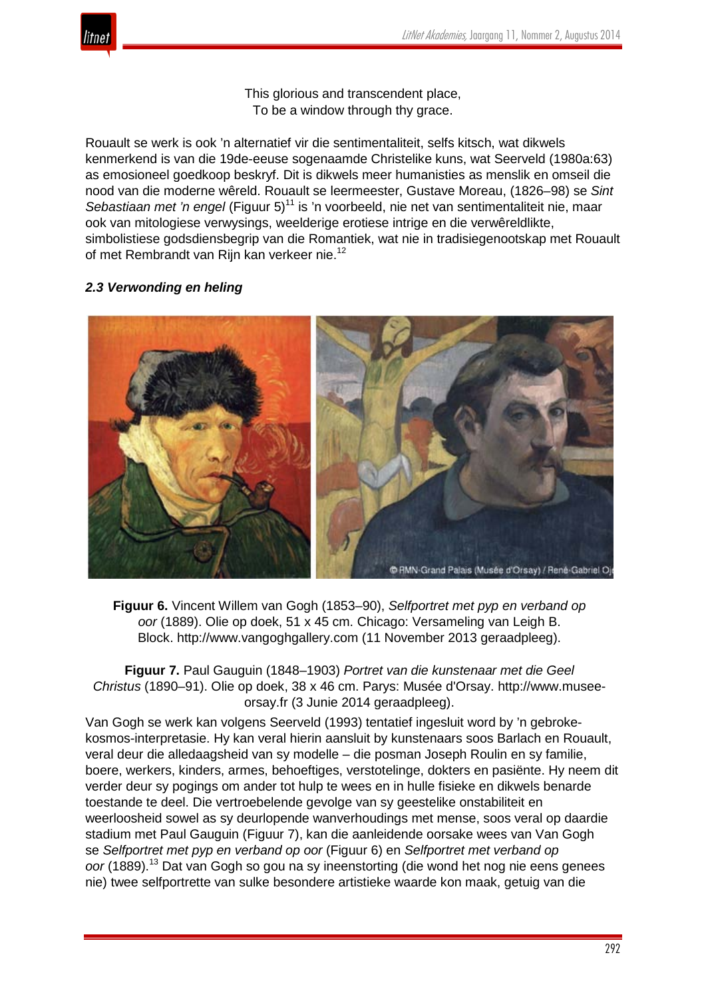

This glorious and transcendent place, To be a window through thy grace.

Rouault se werk is ook 'n alternatief vir die sentimentaliteit, selfs kitsch, wat dikwels kenmerkend is van die 19de-eeuse sogenaamde Christelike kuns, wat Seerveld (1980a:63) as emosioneel goedkoop beskryf. Dit is dikwels meer humanisties as menslik en omseil die nood van die moderne wêreld. Rouault se leermeester, Gustave Moreau, (1826–98) se *Sint Sebastiaan met 'n engel* (Figuur 5)<sup>11</sup> is 'n voorbeeld, nie net van sentimentaliteit nie, maar ook van mitologiese verwysings, weelderige erotiese intrige en die verwêreldlikte, simbolistiese godsdiensbegrip van die Romantiek, wat nie in tradisiegenootskap met Rouault of met Rembrandt van Rijn kan verkeer nie.<sup>12</sup>

# *2.3 Verwonding en heling*



**Figuur 6.** Vincent Willem van Gogh (1853–90), *Selfportret met pyp en verband op oor* (1889). Olie op doek, 51 x 45 cm. Chicago: Versameling van Leigh B. Block. http://www.vangoghgallery.com (11 November 2013 geraadpleeg).

**Figuur 7.** Paul Gauguin (1848–1903) *Portret van die kunstenaar met die Geel Christus* (1890–91). Olie op doek, 38 x 46 cm. Parys: Musée d'Orsay. http://www.museeorsay.fr (3 Junie 2014 geraadpleeg).

Van Gogh se werk kan volgens Seerveld (1993) tentatief ingesluit word by 'n gebrokekosmos-interpretasie. Hy kan veral hierin aansluit by kunstenaars soos Barlach en Rouault, veral deur die alledaagsheid van sy modelle – die posman Joseph Roulin en sy familie, boere, werkers, kinders, armes, behoeftiges, verstotelinge, dokters en pasiënte. Hy neem dit verder deur sy pogings om ander tot hulp te wees en in hulle fisieke en dikwels benarde toestande te deel. Die vertroebelende gevolge van sy geestelike onstabiliteit en weerloosheid sowel as sy deurlopende wanverhoudings met mense, soos veral op daardie stadium met Paul Gauguin (Figuur 7), kan die aanleidende oorsake wees van Van Gogh se *Selfportret met pyp en verband op oor* (Figuur 6) en *Selfportret met verband op oor* (1889).<sup>13</sup> Dat van Gogh so gou na sy ineenstorting (die wond het nog nie eens genees nie) twee selfportrette van sulke besondere artistieke waarde kon maak, getuig van die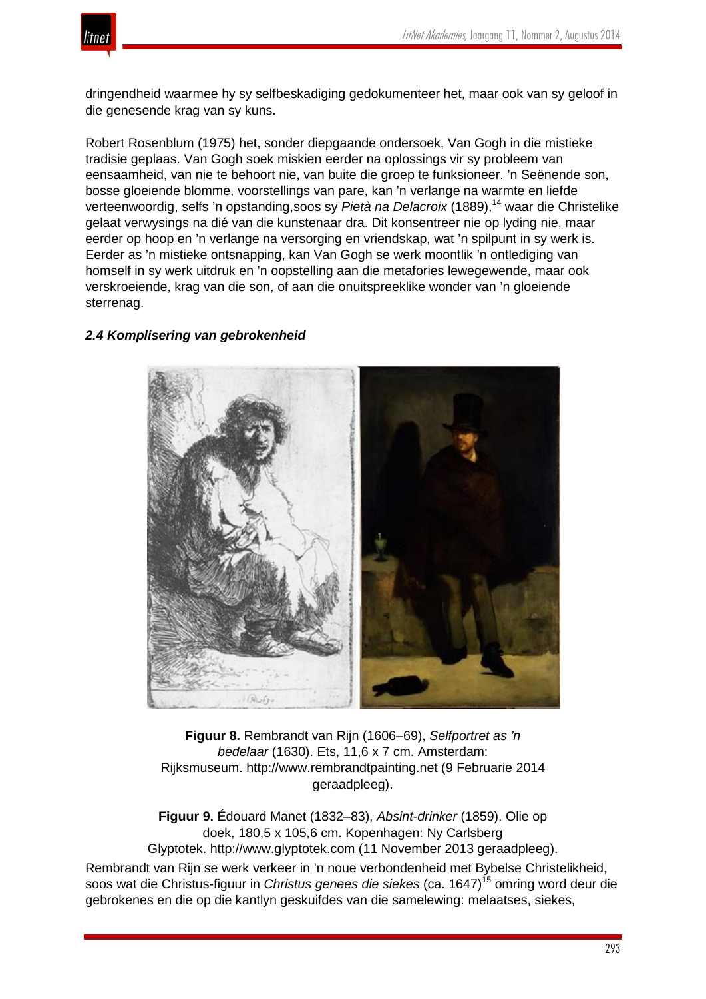

dringendheid waarmee hy sy selfbeskadiging gedokumenteer het, maar ook van sy geloof in die genesende krag van sy kuns.

Robert Rosenblum (1975) het, sonder diepgaande ondersoek, Van Gogh in die mistieke tradisie geplaas. Van Gogh soek miskien eerder na oplossings vir sy probleem van eensaamheid, van nie te behoort nie, van buite die groep te funksioneer. 'n Seënende son, bosse gloeiende blomme, voorstellings van pare, kan 'n verlange na warmte en liefde verteenwoordig, selfs 'n opstanding, soos sy Pietà na Delacroix (1889), <sup>14</sup> waar die Christelike gelaat verwysings na dié van die kunstenaar dra. Dit konsentreer nie op lyding nie, maar eerder op hoop en 'n verlange na versorging en vriendskap, wat 'n spilpunt in sy werk is. Eerder as 'n mistieke ontsnapping, kan Van Gogh se werk moontlik 'n ontlediging van homself in sy werk uitdruk en 'n oopstelling aan die metafories lewegewende, maar ook verskroeiende, krag van die son, of aan die onuitspreeklike wonder van 'n gloeiende sterrenag.

# *2.4 Komplisering van gebrokenheid*



**Figuur 8.** Rembrandt van Rijn (1606–69), *Selfportret as 'n bedelaar* (1630). Ets, 11,6 x 7 cm. Amsterdam: Rijksmuseum. http://www.rembrandtpainting.net (9 Februarie 2014 geraadpleeg).

**Figuur 9.** Édouard Manet (1832–83), *Absint-drinker* (1859). Olie op doek, 180,5 x 105,6 cm. Kopenhagen: Ny Carlsberg Glyptotek. http://www.glyptotek.com (11 November 2013 geraadpleeg). Rembrandt van Rijn se werk verkeer in 'n noue verbondenheid met Bybelse Christelikheid,

soos wat die Christus-figuur in *Christus genees die siekes* (ca. 1647)<sup>15</sup> omring word deur die gebrokenes en die op die kantlyn geskuifdes van die samelewing: melaatses, siekes,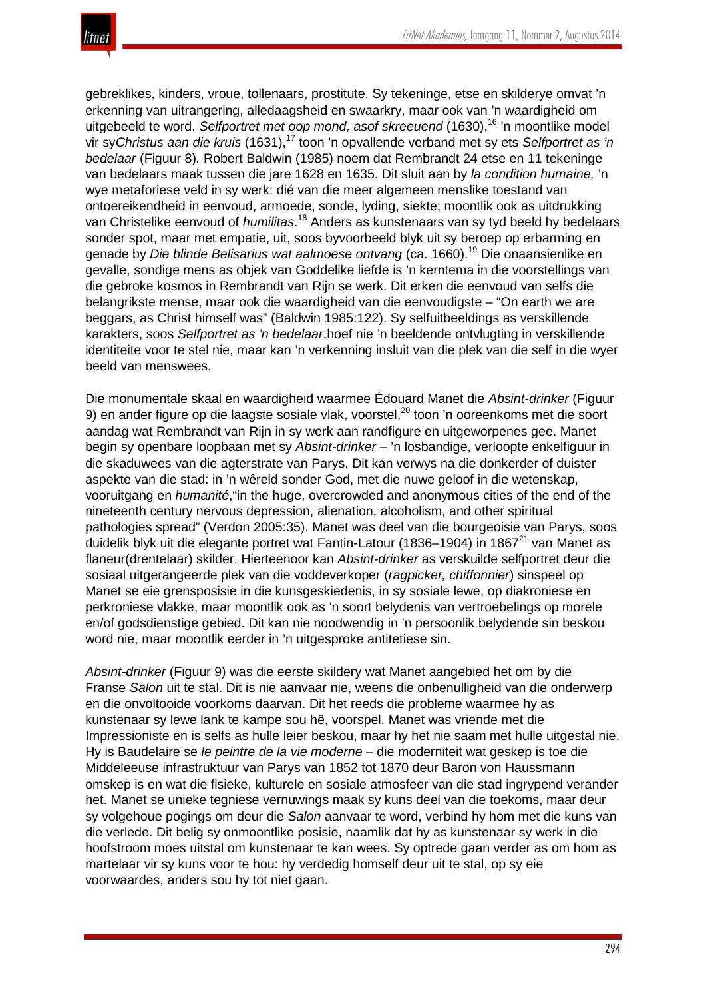

gebreklikes, kinders, vroue, tollenaars, prostitute. Sy tekeninge, etse en skilderye omvat 'n erkenning van uitrangering, alledaagsheid en swaarkry, maar ook van 'n waardigheid om uitgebeeld te word. *Selfportret met oop mond, asof skreeuend* (1630),<sup>16</sup> 'n moontlike model vir sy*Christus aan die kruis* (1631),<sup>17</sup> toon 'n opvallende verband met sy ets *Selfportret as 'n bedelaar* (Figuur 8)*.* Robert Baldwin (1985) noem dat Rembrandt 24 etse en 11 tekeninge van bedelaars maak tussen die jare 1628 en 1635. Dit sluit aan by *la condition humaine,* 'n wye metaforiese veld in sy werk: dié van die meer algemeen menslike toestand van ontoereikendheid in eenvoud, armoede, sonde, lyding, siekte; moontlik ook as uitdrukking van Christelike eenvoud of *humilitas*.<sup>18</sup> Anders as kunstenaars van sy tyd beeld hy bedelaars sonder spot, maar met empatie, uit, soos byvoorbeeld blyk uit sy beroep op erbarming en genade by *Die blinde Belisarius wat aalmoese ontvang* (ca. 1660).<sup>19</sup> Die onaansienlike en gevalle, sondige mens as objek van Goddelike liefde is 'n kerntema in die voorstellings van die gebroke kosmos in Rembrandt van Rijn se werk. Dit erken die eenvoud van selfs die belangrikste mense, maar ook die waardigheid van die eenvoudigste – "On earth we are beggars, as Christ himself was" (Baldwin 1985:122). Sy selfuitbeeldings as verskillende karakters, soos *Selfportret as 'n bedelaar*,hoef nie 'n beeldende ontvlugting in verskillende identiteite voor te stel nie, maar kan 'n verkenning insluit van die plek van die self in die wyer beeld van menswees.

Die monumentale skaal en waardigheid waarmee Édouard Manet die *Absint-drinker* (Figuur 9) en ander figure op die laagste sosiale vlak, voorstel,<sup>20</sup> toon 'n ooreenkoms met die soort aandag wat Rembrandt van Rijn in sy werk aan randfigure en uitgeworpenes gee. Manet begin sy openbare loopbaan met sy *Absint-drinker –* 'n losbandige, verloopte enkelfiguur in die skaduwees van die agterstrate van Parys. Dit kan verwys na die donkerder of duister aspekte van die stad: in 'n wêreld sonder God, met die nuwe geloof in die wetenskap, vooruitgang en *humanité*,"in the huge, overcrowded and anonymous cities of the end of the nineteenth century nervous depression, alienation, alcoholism, and other spiritual pathologies spread" (Verdon 2005:35). Manet was deel van die bourgeoisie van Parys, soos duidelik blyk uit die elegante portret wat Fantin-Latour (1836–1904) in 1867<sup>21</sup> van Manet as flaneur(drentelaar) skilder. Hierteenoor kan *Absint-drinker* as verskuilde selfportret deur die sosiaal uitgerangeerde plek van die voddeverkoper (*ragpicker, chiffonnier*) sinspeel op Manet se eie grensposisie in die kunsgeskiedenis, in sy sosiale lewe, op diakroniese en perkroniese vlakke, maar moontlik ook as 'n soort belydenis van vertroebelings op morele en/of godsdienstige gebied. Dit kan nie noodwendig in 'n persoonlik belydende sin beskou word nie, maar moontlik eerder in 'n uitgesproke antitetiese sin.

*Absint-drinker* (Figuur 9) was die eerste skildery wat Manet aangebied het om by die Franse *Salon* uit te stal. Dit is nie aanvaar nie, weens die onbenulligheid van die onderwerp en die onvoltooide voorkoms daarvan. Dit het reeds die probleme waarmee hy as kunstenaar sy lewe lank te kampe sou hê, voorspel. Manet was vriende met die Impressioniste en is selfs as hulle leier beskou, maar hy het nie saam met hulle uitgestal nie. Hy is Baudelaire se *le peintre de la vie moderne* – die moderniteit wat geskep is toe die Middeleeuse infrastruktuur van Parys van 1852 tot 1870 deur Baron von Haussmann omskep is en wat die fisieke, kulturele en sosiale atmosfeer van die stad ingrypend verander het. Manet se unieke tegniese vernuwings maak sy kuns deel van die toekoms, maar deur sy volgehoue pogings om deur die *Salon* aanvaar te word, verbind hy hom met die kuns van die verlede. Dit belig sy onmoontlike posisie, naamlik dat hy as kunstenaar sy werk in die hoofstroom moes uitstal om kunstenaar te kan wees. Sy optrede gaan verder as om hom as martelaar vir sy kuns voor te hou: hy verdedig homself deur uit te stal, op sy eie voorwaardes, anders sou hy tot niet gaan.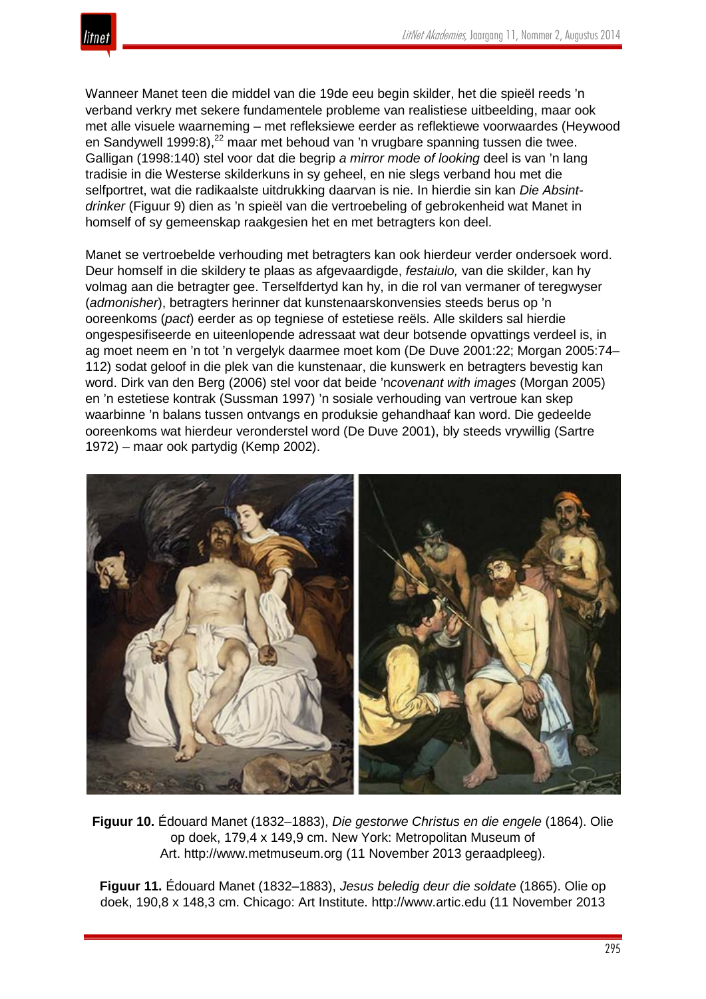Wanneer Manet teen die middel van die 19de eeu begin skilder, het die spieël reeds 'n verband verkry met sekere fundamentele probleme van realistiese uitbeelding, maar ook met alle visuele waarneming – met refleksiewe eerder as reflektiewe voorwaardes (Heywood en Sandywell 1999:8),<sup>22</sup> maar met behoud van 'n vrugbare spanning tussen die twee. Galligan (1998:140) stel voor dat die begrip *a mirror mode of looking* deel is van 'n lang tradisie in die Westerse skilderkuns in sy geheel, en nie slegs verband hou met die selfportret, wat die radikaalste uitdrukking daarvan is nie. In hierdie sin kan *Die Absintdrinker* (Figuur 9) dien as 'n spieël van die vertroebeling of gebrokenheid wat Manet in homself of sy gemeenskap raakgesien het en met betragters kon deel.

Manet se vertroebelde verhouding met betragters kan ook hierdeur verder ondersoek word. Deur homself in die skildery te plaas as afgevaardigde, *festaiulo,* van die skilder, kan hy volmag aan die betragter gee. Terselfdertyd kan hy, in die rol van vermaner of teregwyser (*admonisher*), betragters herinner dat kunstenaarskonvensies steeds berus op 'n ooreenkoms (*pact*) eerder as op tegniese of estetiese reëls. Alle skilders sal hierdie ongespesifiseerde en uiteenlopende adressaat wat deur botsende opvattings verdeel is, in ag moet neem en 'n tot 'n vergelyk daarmee moet kom (De Duve 2001:22; Morgan 2005:74– 112) sodat geloof in die plek van die kunstenaar, die kunswerk en betragters bevestig kan word. Dirk van den Berg (2006) stel voor dat beide 'n*covenant with images* (Morgan 2005) en 'n estetiese kontrak (Sussman 1997) 'n sosiale verhouding van vertroue kan skep waarbinne 'n balans tussen ontvangs en produksie gehandhaaf kan word. Die gedeelde ooreenkoms wat hierdeur veronderstel word (De Duve 2001), bly steeds vrywillig (Sartre 1972) – maar ook partydig (Kemp 2002).



**Figuur 10.** Édouard Manet (1832–1883), *Die gestorwe Christus en die engele* (1864). Olie op doek, 179,4 x 149,9 cm. New York: Metropolitan Museum of Art. http://www.metmuseum.org (11 November 2013 geraadpleeg).

**Figuur 11.** Édouard Manet (1832–1883), *Jesus beledig deur die soldate* (1865). Olie op doek, 190,8 x 148,3 cm. Chicago: Art Institute. http://www.artic.edu (11 November 2013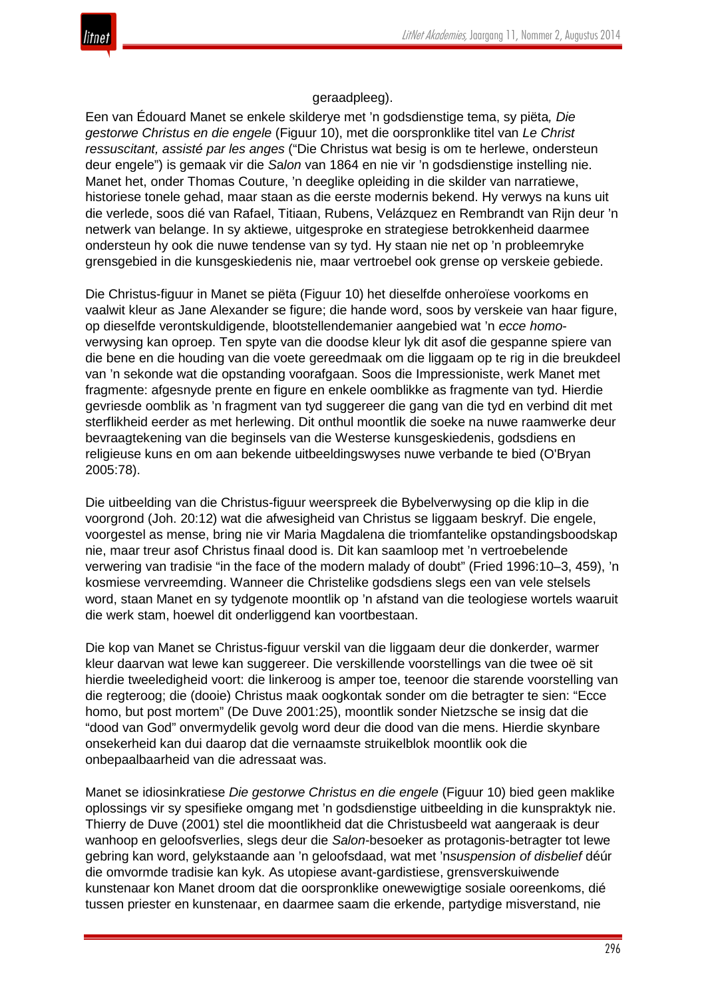

# geraadpleeg).

Een van Édouard Manet se enkele skilderye met 'n godsdienstige tema, sy piëta*, Die gestorwe Christus en die engele* (Figuur 10), met die oorspronklike titel van *Le Christ ressuscitant, assisté par les anges* ("Die Christus wat besig is om te herlewe, ondersteun deur engele") is gemaak vir die *S*a*lon* van 1864 en nie vir 'n godsdienstige instelling nie. Manet het, onder Thomas Couture, 'n deeglike opleiding in die skilder van narratiewe, historiese tonele gehad, maar staan as die eerste modernis bekend. Hy verwys na kuns uit die verlede, soos dié van Rafael, Titiaan, Rubens, Velázquez en Rembrandt van Rijn deur 'n netwerk van belange. In sy aktiewe, uitgesproke en strategiese betrokkenheid daarmee ondersteun hy ook die nuwe tendense van sy tyd. Hy staan nie net op 'n probleemryke grensgebied in die kunsgeskiedenis nie, maar vertroebel ook grense op verskeie gebiede.

Die Christus-figuur in Manet se piëta (Figuur 10) het dieselfde onheroïese voorkoms en vaalwit kleur as Jane Alexander se figure; die hande word, soos by verskeie van haar figure, op dieselfde verontskuldigende, blootstellendemanier aangebied wat 'n *ecce homo*verwysing kan oproep. Ten spyte van die doodse kleur lyk dit asof die gespanne spiere van die bene en die houding van die voete gereedmaak om die liggaam op te rig in die breukdeel van 'n sekonde wat die opstanding voorafgaan. Soos die Impressioniste, werk Manet met fragmente: afgesnyde prente en figure en enkele oomblikke as fragmente van tyd. Hierdie gevriesde oomblik as 'n fragment van tyd suggereer die gang van die tyd en verbind dit met sterflikheid eerder as met herlewing. Dit onthul moontlik die soeke na nuwe raamwerke deur bevraagtekening van die beginsels van die Westerse kunsgeskiedenis, godsdiens en religieuse kuns en om aan bekende uitbeeldingswyses nuwe verbande te bied (O'Bryan 2005:78).

Die uitbeelding van die Christus-figuur weerspreek die Bybelverwysing op die klip in die voorgrond (Joh. 20:12) wat die afwesigheid van Christus se liggaam beskryf. Die engele, voorgestel as mense, bring nie vir Maria Magdalena die triomfantelike opstandingsboodskap nie, maar treur asof Christus finaal dood is. Dit kan saamloop met 'n vertroebelende verwering van tradisie "in the face of the modern malady of doubt" (Fried 1996:10–3, 459), 'n kosmiese vervreemding. Wanneer die Christelike godsdiens slegs een van vele stelsels word, staan Manet en sy tydgenote moontlik op 'n afstand van die teologiese wortels waaruit die werk stam, hoewel dit onderliggend kan voortbestaan.

Die kop van Manet se Christus-figuur verskil van die liggaam deur die donkerder, warmer kleur daarvan wat lewe kan suggereer. Die verskillende voorstellings van die twee oë sit hierdie tweeledigheid voort: die linkeroog is amper toe, teenoor die starende voorstelling van die regteroog; die (dooie) Christus maak oogkontak sonder om die betragter te sien: "Ecce homo, but post mortem" (De Duve 2001:25), moontlik sonder Nietzsche se insig dat die "dood van God" onvermydelik gevolg word deur die dood van die mens. Hierdie skynbare onsekerheid kan dui daarop dat die vernaamste struikelblok moontlik ook die onbepaalbaarheid van die adressaat was.

Manet se idiosinkratiese *Die gestorwe Christus en die engele* (Figuur 10) bied geen maklike oplossings vir sy spesifieke omgang met 'n godsdienstige uitbeelding in die kunspraktyk nie. Thierry de Duve (2001) stel die moontlikheid dat die Christusbeeld wat aangeraak is deur wanhoop en geloofsverlies, slegs deur die *Salon*-besoeker as protagonis-betragter tot lewe gebring kan word, gelykstaande aan 'n geloofsdaad, wat met 'n*suspension of disbelief* déúr die omvormde tradisie kan kyk. As utopiese avant-gardistiese, grensverskuiwende kunstenaar kon Manet droom dat die oorspronklike onewewigtige sosiale ooreenkoms, dié tussen priester en kunstenaar, en daarmee saam die erkende, partydige misverstand, nie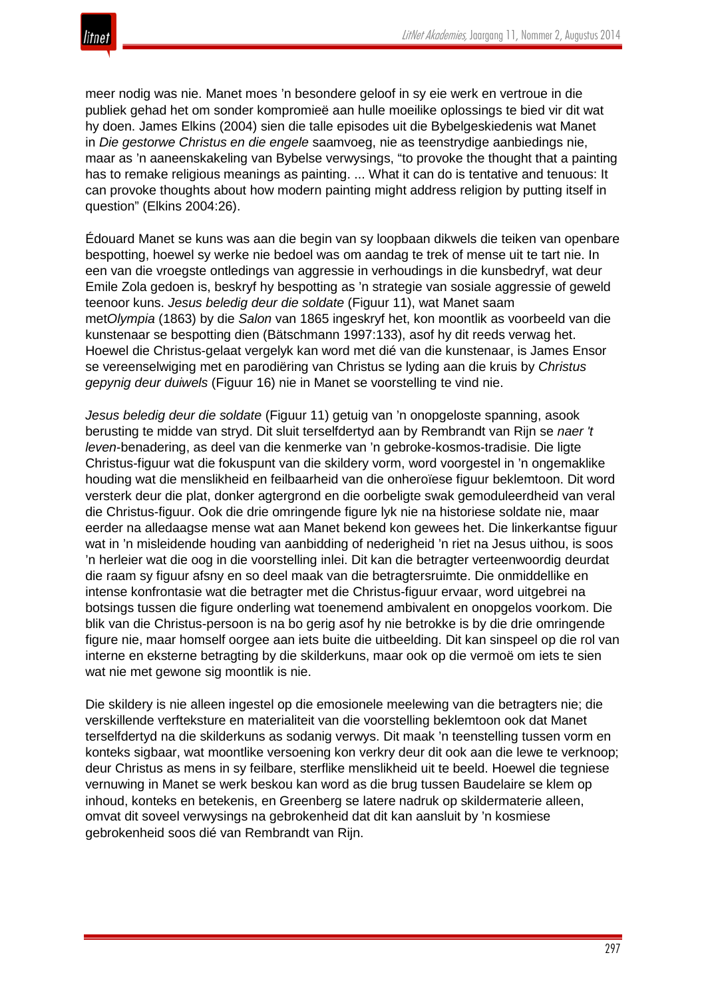meer nodig was nie. Manet moes 'n besondere geloof in sy eie werk en vertroue in die publiek gehad het om sonder kompromieë aan hulle moeilike oplossings te bied vir dit wat hy doen. James Elkins (2004) sien die talle episodes uit die Bybelgeskiedenis wat Manet in *Die gestorwe Christus en die engele* saamvoeg, nie as teenstrydige aanbiedings nie, maar as 'n aaneenskakeling van Bybelse verwysings, "to provoke the thought that a painting has to remake religious meanings as painting. ... What it can do is tentative and tenuous: It can provoke thoughts about how modern painting might address religion by putting itself in question" (Elkins 2004:26).

Édouard Manet se kuns was aan die begin van sy loopbaan dikwels die teiken van openbare bespotting, hoewel sy werke nie bedoel was om aandag te trek of mense uit te tart nie. In een van die vroegste ontledings van aggressie in verhoudings in die kunsbedryf, wat deur Emile Zola gedoen is, beskryf hy bespotting as 'n strategie van sosiale aggressie of geweld teenoor kuns. *Jesus beledig deur die soldate* (Figuur 11), wat Manet saam met*Olympia* (1863) by die *Salon* van 1865 ingeskryf het, kon moontlik as voorbeeld van die kunstenaar se bespotting dien (Bätschmann 1997:133), asof hy dit reeds verwag het. Hoewel die Christus-gelaat vergelyk kan word met dié van die kunstenaar, is James Ensor se vereenselwiging met en parodiëring van Christus se lyding aan die kruis by *Christus gepynig deur duiwels* (Figuur 16) nie in Manet se voorstelling te vind nie.

*Jesus beledig deur die soldate* (Figuur 11) getuig van 'n onopgeloste spanning, asook berusting te midde van stryd. Dit sluit terselfdertyd aan by Rembrandt van Rijn se *naer 't leven*-benadering, as deel van die kenmerke van 'n gebroke-kosmos-tradisie. Die ligte Christus-figuur wat die fokuspunt van die skildery vorm, word voorgestel in 'n ongemaklike houding wat die menslikheid en feilbaarheid van die onheroïese figuur beklemtoon. Dit word versterk deur die plat, donker agtergrond en die oorbeligte swak gemoduleerdheid van veral die Christus-figuur. Ook die drie omringende figure lyk nie na historiese soldate nie, maar eerder na alledaagse mense wat aan Manet bekend kon gewees het. Die linkerkantse figuur wat in 'n misleidende houding van aanbidding of nederigheid 'n riet na Jesus uithou, is soos 'n herleier wat die oog in die voorstelling inlei. Dit kan die betragter verteenwoordig deurdat die raam sy figuur afsny en so deel maak van die betragtersruimte. Die onmiddellike en intense konfrontasie wat die betragter met die Christus-figuur ervaar, word uitgebrei na botsings tussen die figure onderling wat toenemend ambivalent en onopgelos voorkom. Die blik van die Christus-persoon is na bo gerig asof hy nie betrokke is by die drie omringende figure nie, maar homself oorgee aan iets buite die uitbeelding. Dit kan sinspeel op die rol van interne en eksterne betragting by die skilderkuns, maar ook op die vermoë om iets te sien wat nie met gewone sig moontlik is nie.

Die skildery is nie alleen ingestel op die emosionele meelewing van die betragters nie; die verskillende verfteksture en materialiteit van die voorstelling beklemtoon ook dat Manet terselfdertyd na die skilderkuns as sodanig verwys. Dit maak 'n teenstelling tussen vorm en konteks sigbaar, wat moontlike versoening kon verkry deur dit ook aan die lewe te verknoop; deur Christus as mens in sy feilbare, sterflike menslikheid uit te beeld. Hoewel die tegniese vernuwing in Manet se werk beskou kan word as die brug tussen Baudelaire se klem op inhoud, konteks en betekenis, en Greenberg se latere nadruk op skildermaterie alleen, omvat dit soveel verwysings na gebrokenheid dat dit kan aansluit by 'n kosmiese gebrokenheid soos dié van Rembrandt van Rijn.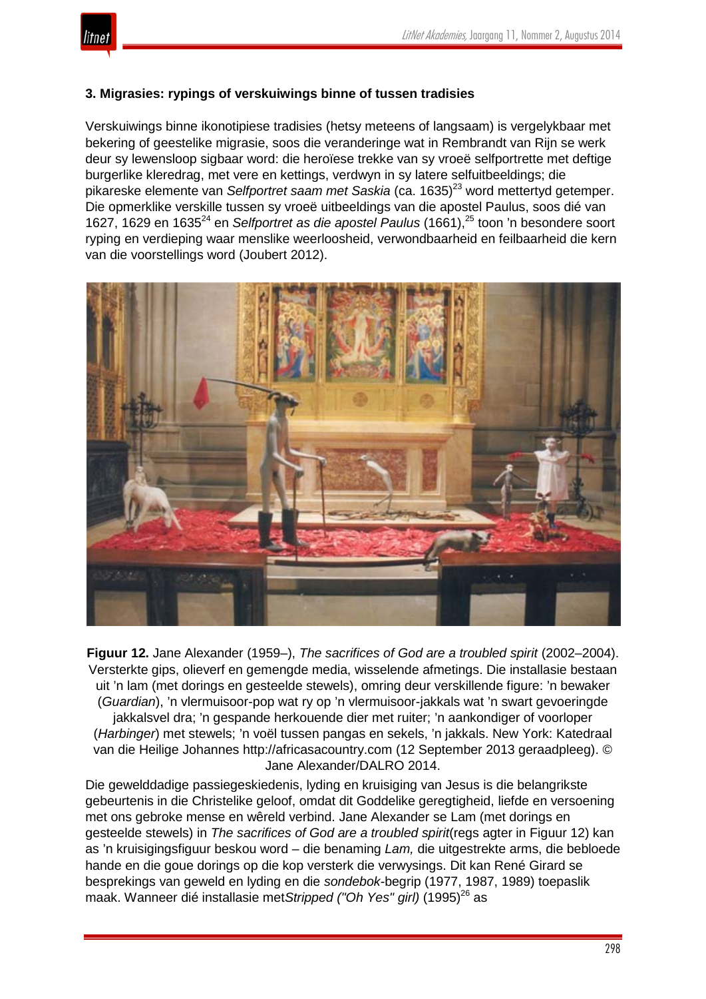

# **3. Migrasies: rypings of verskuiwings binne of tussen tradisies**

Verskuiwings binne ikonotipiese tradisies (hetsy meteens of langsaam) is vergelykbaar met bekering of geestelike migrasie, soos die veranderinge wat in Rembrandt van Rijn se werk deur sy lewensloop sigbaar word: die heroïese trekke van sy vroeë selfportrette met deftige burgerlike kleredrag, met vere en kettings, verdwyn in sy latere selfuitbeeldings; die pikareske elemente van *Selfportret saam met Saskia* (ca. 1635)<sup>23</sup> word mettertyd getemper. Die opmerklike verskille tussen sy vroeë uitbeeldings van die apostel Paulus, soos dié van 1627, 1629 en 1635<sup>24</sup> en *Selfportret as die apostel Paulus* (1661),<sup>25</sup> toon 'n besondere soort ryping en verdieping waar menslike weerloosheid, verwondbaarheid en feilbaarheid die kern van die voorstellings word (Joubert 2012).



**Figuur 12.** Jane Alexander (1959–), *The sacrifices of God are a troubled spirit* (2002–2004). Versterkte gips, olieverf en gemengde media, wisselende afmetings. Die installasie bestaan uit 'n lam (met dorings en gesteelde stewels), omring deur verskillende figure: 'n bewaker (*Guardian*), 'n vlermuisoor-pop wat ry op 'n vlermuisoor-jakkals wat 'n swart gevoeringde jakkalsvel dra; 'n gespande herkouende dier met ruiter; 'n aankondiger of voorloper (*Harbinger*) met stewels; 'n voël tussen pangas en sekels, 'n jakkals. New York: Katedraal van die Heilige Johannes http://africasacountry.com (12 September 2013 geraadpleeg). © Jane Alexander/DALRO 2014.

Die gewelddadige passiegeskiedenis, lyding en kruisiging van Jesus is die belangrikste gebeurtenis in die Christelike geloof, omdat dit Goddelike geregtigheid, liefde en versoening met ons gebroke mense en wêreld verbind. Jane Alexander se Lam (met dorings en gesteelde stewels) in *The sacrifices of God are a troubled spirit*(regs agter in Figuur 12) kan as 'n kruisigingsfiguur beskou word – die benaming *Lam,* die uitgestrekte arms, die bebloede hande en die goue dorings op die kop versterk die verwysings. Dit kan René Girard se besprekings van geweld en lyding en die *sondebok-*begrip (1977, 1987, 1989) toepaslik maak. Wanneer dié installasie met*Stripped ("Oh Yes" girl)* (1995)<sup>26</sup> as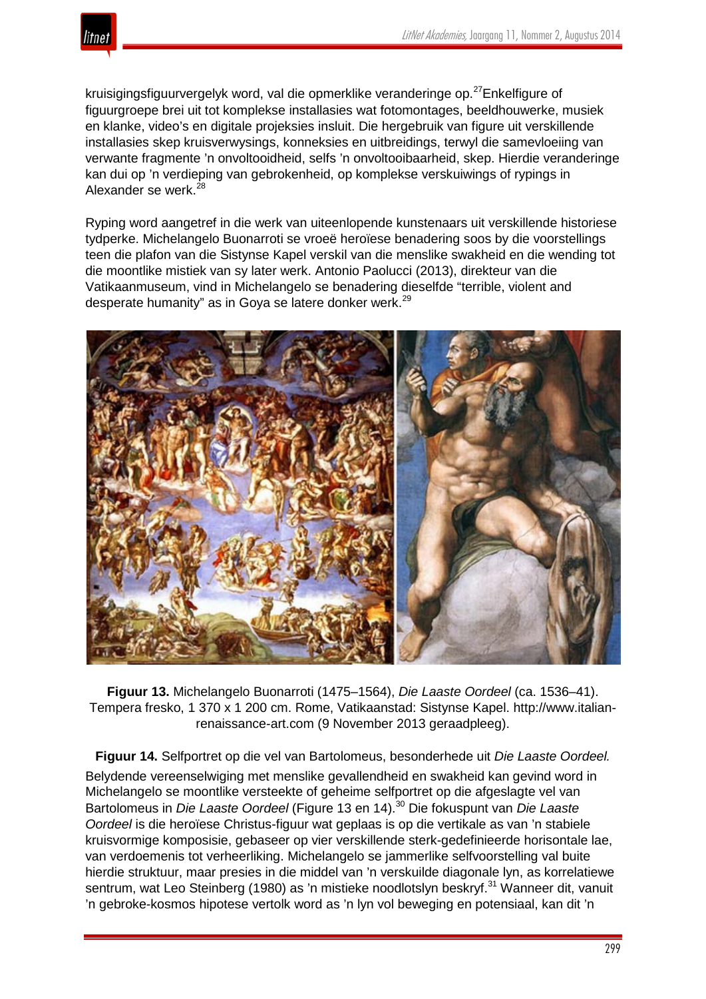

kruisigingsfiguurvergelyk word, val die opmerklike veranderinge op.<sup>27</sup>Enkelfigure of figuurgroepe brei uit tot komplekse installasies wat fotomontages, beeldhouwerke, musiek en klanke, video's en digitale projeksies insluit. Die hergebruik van figure uit verskillende installasies skep kruisverwysings, konneksies en uitbreidings, terwyl die samevloeiing van verwante fragmente 'n onvoltooidheid, selfs 'n onvoltooibaarheid, skep. Hierdie veranderinge kan dui op 'n verdieping van gebrokenheid, op komplekse verskuiwings of rypings in Alexander se werk.<sup>28</sup>

Ryping word aangetref in die werk van uiteenlopende kunstenaars uit verskillende historiese tydperke. Michelangelo Buonarroti se vroeë heroïese benadering soos by die voorstellings teen die plafon van die Sistynse Kapel verskil van die menslike swakheid en die wending tot die moontlike mistiek van sy later werk. Antonio Paolucci (2013), direkteur van die Vatikaanmuseum, vind in Michelangelo se benadering dieselfde "terrible, violent and desperate humanity" as in Goya se latere donker werk.<sup>29</sup>



**Figuur 13.** Michelangelo Buonarroti (1475–1564), *Die Laaste Oordeel* (ca. 1536–41). Tempera fresko, 1 370 x 1 200 cm. Rome, Vatikaanstad: Sistynse Kapel. http://www.italianrenaissance-art.com (9 November 2013 geraadpleeg).

**Figuur 14.** Selfportret op die vel van Bartolomeus, besonderhede uit *Die Laaste Oordeel.* Belydende vereenselwiging met menslike gevallendheid en swakheid kan gevind word in Michelangelo se moontlike versteekte of geheime selfportret op die afgeslagte vel van Bartolomeus in *Die Laaste Oordeel* (Figure 13 en 14).<sup>30</sup> Die fokuspunt van *Die Laaste Oordeel* is die heroïese Christus-figuur wat geplaas is op die vertikale as van 'n stabiele kruisvormige komposisie, gebaseer op vier verskillende sterk-gedefinieerde horisontale lae, van verdoemenis tot verheerliking. Michelangelo se jammerlike selfvoorstelling val buite hierdie struktuur, maar presies in die middel van 'n verskuilde diagonale lyn, as korrelatiewe sentrum, wat Leo Steinberg (1980) as 'n mistieke noodlotslyn beskryf.<sup>31</sup> Wanneer dit, vanuit 'n gebroke-kosmos hipotese vertolk word as 'n lyn vol beweging en potensiaal, kan dit 'n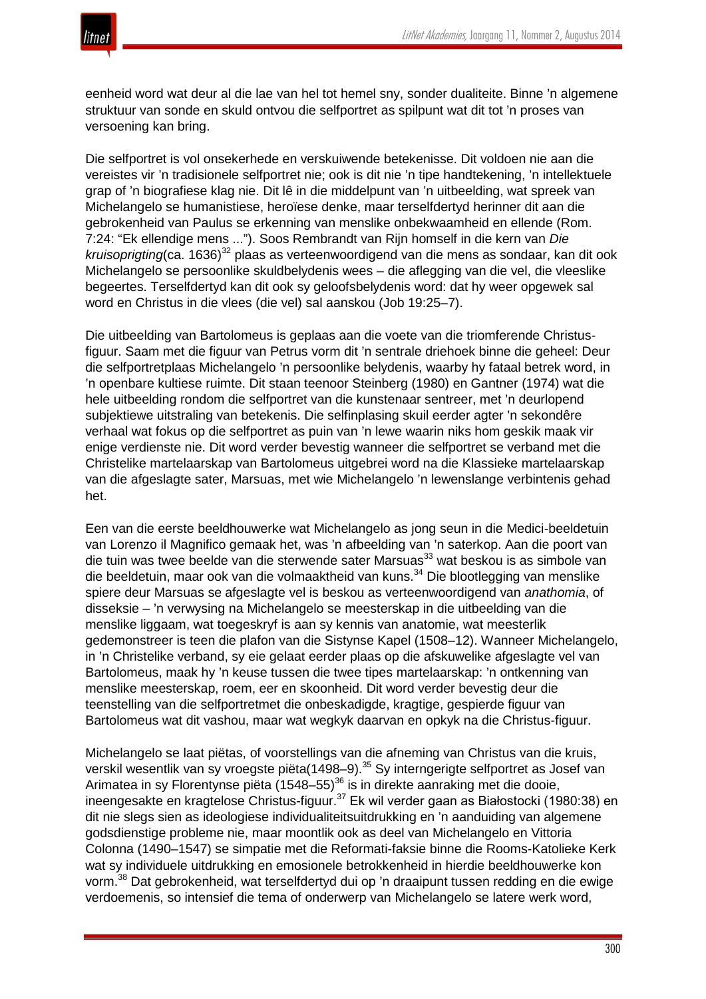

eenheid word wat deur al die lae van hel tot hemel sny, sonder dualiteite. Binne 'n algemene struktuur van sonde en skuld ontvou die selfportret as spilpunt wat dit tot 'n proses van versoening kan bring.

Die selfportret is vol onsekerhede en verskuiwende betekenisse. Dit voldoen nie aan die vereistes vir 'n tradisionele selfportret nie; ook is dit nie 'n tipe handtekening, 'n intellektuele grap of 'n biografiese klag nie. Dit lê in die middelpunt van 'n uitbeelding, wat spreek van Michelangelo se humanistiese, heroïese denke, maar terselfdertyd herinner dit aan die gebrokenheid van Paulus se erkenning van menslike onbekwaamheid en ellende (Rom. 7:24: "Ek ellendige mens ..."). Soos Rembrandt van Rijn homself in die kern van *Die* kruisoprigting (ca. 1636)<sup>32</sup> plaas as verteenwoordigend van die mens as sondaar, kan dit ook Michelangelo se persoonlike skuldbelydenis wees – die aflegging van die vel, die vleeslike begeertes. Terselfdertyd kan dit ook sy geloofsbelydenis word: dat hy weer opgewek sal word en Christus in die vlees (die vel) sal aanskou (Job 19:25–7).

Die uitbeelding van Bartolomeus is geplaas aan die voete van die triomferende Christusfiguur. Saam met die figuur van Petrus vorm dit 'n sentrale driehoek binne die geheel: Deur die selfportretplaas Michelangelo 'n persoonlike belydenis, waarby hy fataal betrek word, in 'n openbare kultiese ruimte. Dit staan teenoor Steinberg (1980) en Gantner (1974) wat die hele uitbeelding rondom die selfportret van die kunstenaar sentreer, met 'n deurlopend subjektiewe uitstraling van betekenis. Die selfinplasing skuil eerder agter 'n sekondêre verhaal wat fokus op die selfportret as puin van 'n lewe waarin niks hom geskik maak vir enige verdienste nie. Dit word verder bevestig wanneer die selfportret se verband met die Christelike martelaarskap van Bartolomeus uitgebrei word na die Klassieke martelaarskap van die afgeslagte sater, Marsuas, met wie Michelangelo 'n lewenslange verbintenis gehad het.

Een van die eerste beeldhouwerke wat Michelangelo as jong seun in die Medici-beeldetuin van Lorenzo il Magnifico gemaak het, was 'n afbeelding van 'n saterkop. Aan die poort van die tuin was twee beelde van die sterwende sater Marsuas<sup>33</sup> wat beskou is as simbole van die beeldetuin, maar ook van die volmaaktheid van kuns.<sup>34</sup> Die blootlegging van menslike spiere deur Marsuas se afgeslagte vel is beskou as verteenwoordigend van *anathomia*, of disseksie – 'n verwysing na Michelangelo se meesterskap in die uitbeelding van die menslike liggaam, wat toegeskryf is aan sy kennis van anatomie, wat meesterlik gedemonstreer is teen die plafon van die Sistynse Kapel (1508–12). Wanneer Michelangelo, in 'n Christelike verband, sy eie gelaat eerder plaas op die afskuwelike afgeslagte vel van Bartolomeus, maak hy 'n keuse tussen die twee tipes martelaarskap: 'n ontkenning van menslike meesterskap, roem, eer en skoonheid. Dit word verder bevestig deur die teenstelling van die selfportretmet die onbeskadigde, kragtige, gespierde figuur van Bartolomeus wat dit vashou, maar wat wegkyk daarvan en opkyk na die Christus-figuur.

Michelangelo se laat piëtas, of voorstellings van die afneming van Christus van die kruis, verskil wesentlik van sy vroegste piëta(1498–9).<sup>35</sup> Sy interngerigte selfportret as Josef van Arimatea in sy Florentynse piëta (1548–55)<sup>36</sup> is in direkte aanraking met die dooie, ineengesakte en kragtelose Christus-figuur.<sup>37</sup> Ek wil verder gaan as Białostocki (1980:38) en dit nie slegs sien as ideologiese individualiteitsuitdrukking en 'n aanduiding van algemene godsdienstige probleme nie, maar moontlik ook as deel van Michelangelo en Vittoria Colonna (1490–1547) se simpatie met die Reformati-faksie binne die Rooms-Katolieke Kerk wat sy individuele uitdrukking en emosionele betrokkenheid in hierdie beeldhouwerke kon vorm.<sup>38</sup> Dat gebrokenheid, wat terselfdertyd dui op 'n draaipunt tussen redding en die ewige verdoemenis, so intensief die tema of onderwerp van Michelangelo se latere werk word,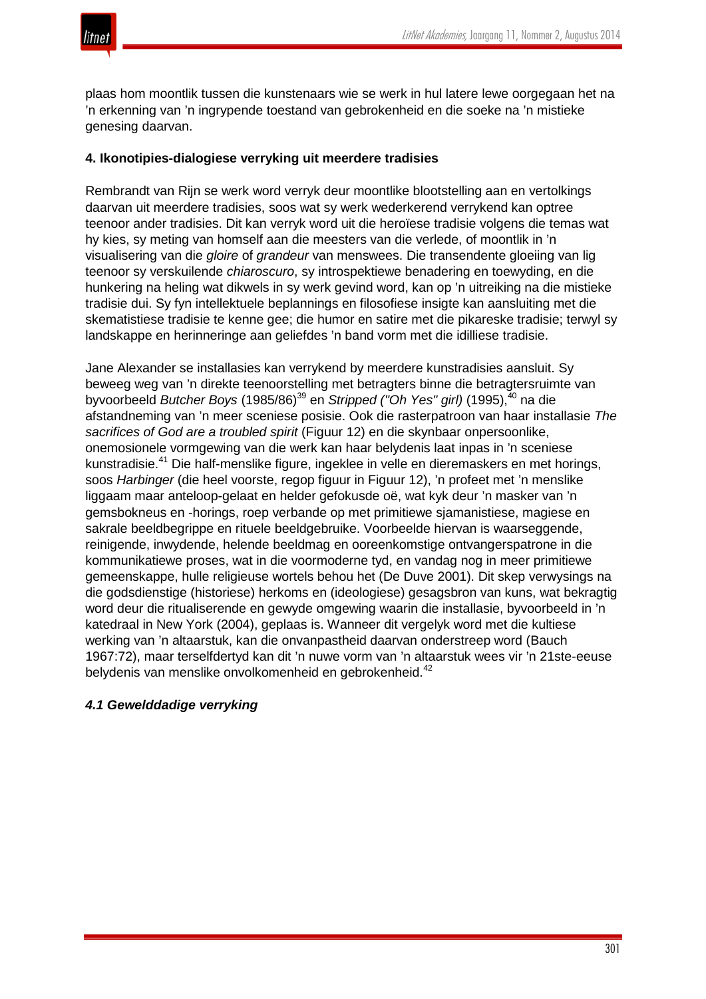

plaas hom moontlik tussen die kunstenaars wie se werk in hul latere lewe oorgegaan het na 'n erkenning van 'n ingrypende toestand van gebrokenheid en die soeke na 'n mistieke genesing daarvan.

#### **4. Ikonotipies-dialogiese verryking uit meerdere tradisies**

Rembrandt van Rijn se werk word verryk deur moontlike blootstelling aan en vertolkings daarvan uit meerdere tradisies, soos wat sy werk wederkerend verrykend kan optree teenoor ander tradisies. Dit kan verryk word uit die heroïese tradisie volgens die temas wat hy kies, sy meting van homself aan die meesters van die verlede, of moontlik in 'n visualisering van die *gloire* of *grandeur* van menswees. Die transendente gloeiing van lig teenoor sy verskuilende *chiaroscuro*, sy introspektiewe benadering en toewyding, en die hunkering na heling wat dikwels in sy werk gevind word, kan op 'n uitreiking na die mistieke tradisie dui. Sy fyn intellektuele beplannings en filosofiese insigte kan aansluiting met die skematistiese tradisie te kenne gee; die humor en satire met die pikareske tradisie; terwyl sy landskappe en herinneringe aan geliefdes 'n band vorm met die idilliese tradisie.

Jane Alexander se installasies kan verrykend by meerdere kunstradisies aansluit. Sy beweeg weg van 'n direkte teenoorstelling met betragters binne die betragtersruimte van byvoorbeeld *Butcher Boys* (1985/86)<sup>39</sup> en *Stripped ("Oh Yes" girl)* (1995),<sup>40</sup> na die afstandneming van 'n meer sceniese posisie. Ook die rasterpatroon van haar installasie *The sacrifices of God are a troubled spirit* (Figuur 12) en die skynbaar onpersoonlike, onemosionele vormgewing van die werk kan haar belydenis laat inpas in 'n sceniese kunstradisie.<sup>41</sup> Die half-menslike figure, ingeklee in velle en dieremaskers en met horings, soos *Harbinger* (die heel voorste, regop figuur in Figuur 12), 'n profeet met 'n menslike liggaam maar anteloop-gelaat en helder gefokusde oë, wat kyk deur 'n masker van 'n gemsbokneus en -horings, roep verbande op met primitiewe sjamanistiese, magiese en sakrale beeldbegrippe en rituele beeldgebruike. Voorbeelde hiervan is waarseggende, reinigende, inwydende, helende beeldmag en ooreenkomstige ontvangerspatrone in die kommunikatiewe proses, wat in die voormoderne tyd, en vandag nog in meer primitiewe gemeenskappe, hulle religieuse wortels behou het (De Duve 2001). Dit skep verwysings na die godsdienstige (historiese) herkoms en (ideologiese) gesagsbron van kuns, wat bekragtig word deur die ritualiserende en gewyde omgewing waarin die installasie, byvoorbeeld in 'n katedraal in New York (2004), geplaas is. Wanneer dit vergelyk word met die kultiese werking van 'n altaarstuk, kan die onvanpastheid daarvan onderstreep word (Bauch 1967:72), maar terselfdertyd kan dit 'n nuwe vorm van 'n altaarstuk wees vir 'n 21ste-eeuse belydenis van menslike onvolkomenheid en gebrokenheid.<sup>42</sup>

#### *4.1 Gewelddadige verryking*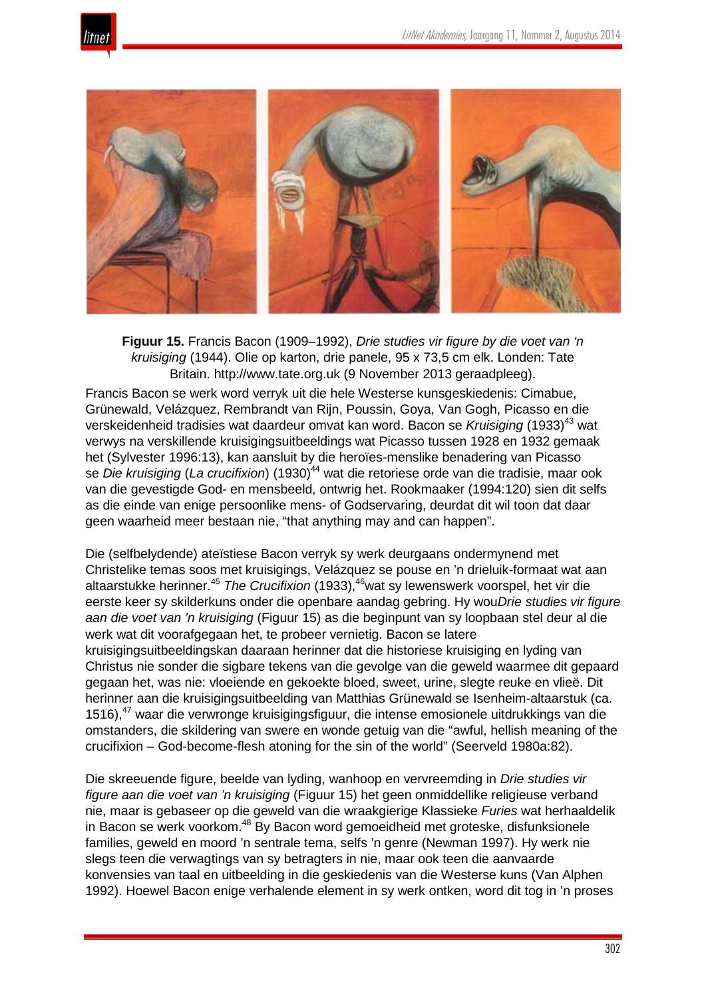



**Figuur 15.** Francis Bacon (1909–1992), *Drie studies vir figure by die voet van 'n kruisiging* (1944). Olie op karton, drie panele, 95 x 73,5 cm elk. Londen: Tate Britain. http://www.tate.org.uk (9 November 2013 geraadpleeg).

Francis Bacon se werk word verryk uit die hele Westerse kunsgeskiedenis: Cimabue, Grünewald, Velázquez, Rembrandt van Rijn, Poussin, Goya, Van Gogh, Picasso en die verskeidenheid tradisies wat daardeur omvat kan word. Bacon se *Kruisiging* (1933)<sup>43</sup> wat verwys na verskillende kruisigingsuitbeeldings wat Picasso tussen 1928 en 1932 gemaak het (Sylvester 1996:13), kan aansluit by die heroïes-menslike benadering van Picasso se *Die kruisiging* (*La crucifixion*) (1930)<sup>44</sup> wat die retoriese orde van die tradisie, maar ook van die gevestigde God- en mensbeeld, ontwrig het. Rookmaaker (1994:120) sien dit selfs as die einde van enige persoonlike mens- of Godservaring, deurdat dit wil toon dat daar geen waarheid meer bestaan nie, "that anything may and can happen".

Die (selfbelydende) ateïstiese Bacon verryk sy werk deurgaans ondermynend met Christelike temas soos met kruisigings, Velázquez se pouse en 'n drieluik-formaat wat aan altaarstukke herinner.<sup>45</sup> *The Crucifixion* (1933),46wat sy lewenswerk voorspel, het vir die eerste keer sy skilderkuns onder die openbare aandag gebring. Hy wou*Drie studies vir figure aan die voet van 'n kruisiging* (Figuur 15) as die beginpunt van sy loopbaan stel deur al die werk wat dit voorafgegaan het, te probeer vernietig. Bacon se latere kruisigingsuitbeeldingskan daaraan herinner dat die historiese kruisiging en lyding van Christus nie sonder die sigbare tekens van die gevolge van die geweld waarmee dit gepaard gegaan het, was nie: vloeiende en gekoekte bloed, sweet, urine, slegte reuke en vlieë. Dit herinner aan die kruisigingsuitbeelding van Matthias Grünewald se Isenheim*-*altaarstuk (ca. 1516),<sup>47</sup> waar die verwronge kruisigingsfiguur, die intense emosionele uitdrukkings van die omstanders, die skildering van swere en wonde getuig van die "awful, hellish meaning of the crucifixion – God-become-flesh atoning for the sin of the world" (Seerveld 1980a:82).

Die skreeuende figure, beelde van lyding, wanhoop en vervreemding in *Drie studies vir figure aan die voet van 'n kruisiging* (Figuur 15) het geen onmiddellike religieuse verband nie, maar is gebaseer op die geweld van die wraakgierige Klassieke *Furies* wat herhaaldelik in Bacon se werk voorkom.<sup>48</sup> By Bacon word gemoeidheid met groteske, disfunksionele families, geweld en moord 'n sentrale tema, selfs 'n genre (Newman 1997). Hy werk nie slegs teen die verwagtings van sy betragters in nie, maar ook teen die aanvaarde konvensies van taal en uitbeelding in die geskiedenis van die Westerse kuns (Van Alphen 1992). Hoewel Bacon enige verhalende element in sy werk ontken, word dit tog in 'n proses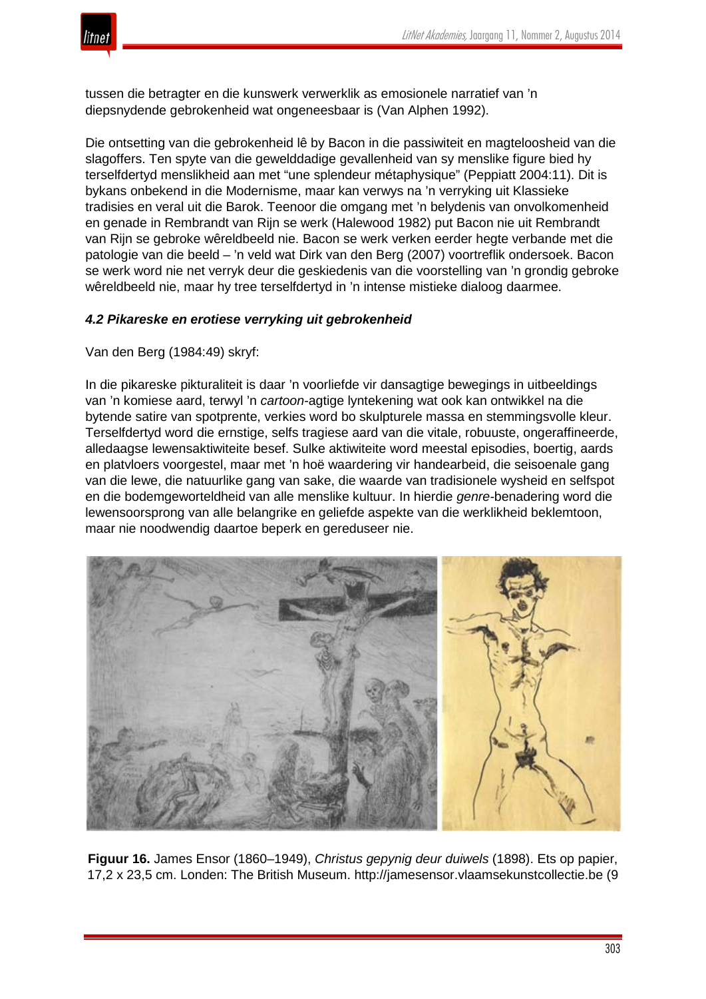

tussen die betragter en die kunswerk verwerklik as emosionele narratief van 'n diepsnydende gebrokenheid wat ongeneesbaar is (Van Alphen 1992).

Die ontsetting van die gebrokenheid lê by Bacon in die passiwiteit en magteloosheid van die slagoffers. Ten spyte van die gewelddadige gevallenheid van sy menslike figure bied hy terselfdertyd menslikheid aan met "une splendeur métaphysique" (Peppiatt 2004:11). Dit is bykans onbekend in die Modernisme, maar kan verwys na 'n verryking uit Klassieke tradisies en veral uit die Barok. Teenoor die omgang met 'n belydenis van onvolkomenheid en genade in Rembrandt van Rijn se werk (Halewood 1982) put Bacon nie uit Rembrandt van Rijn se gebroke wêreldbeeld nie. Bacon se werk verken eerder hegte verbande met die patologie van die beeld – 'n veld wat Dirk van den Berg (2007) voortreflik ondersoek. Bacon se werk word nie net verryk deur die geskiedenis van die voorstelling van 'n grondig gebroke wêreldbeeld nie, maar hy tree terselfdertyd in 'n intense mistieke dialoog daarmee.

#### *4.2 Pikareske en erotiese verryking uit gebrokenheid*

Van den Berg (1984:49) skryf:

In die pikareske pikturaliteit is daar 'n voorliefde vir dansagtige bewegings in uitbeeldings van 'n komiese aard, terwyl 'n *cartoon*-agtige lyntekening wat ook kan ontwikkel na die bytende satire van spotprente, verkies word bo skulpturele massa en stemmingsvolle kleur. Terselfdertyd word die ernstige, selfs tragiese aard van die vitale, robuuste, ongeraffineerde, alledaagse lewensaktiwiteite besef. Sulke aktiwiteite word meestal episodies, boertig, aards en platvloers voorgestel, maar met 'n hoë waardering vir handearbeid, die seisoenale gang van die lewe, die natuurlike gang van sake, die waarde van tradisionele wysheid en selfspot en die bodemgeworteldheid van alle menslike kultuur. In hierdie *genre-*benadering word die lewensoorsprong van alle belangrike en geliefde aspekte van die werklikheid beklemtoon, maar nie noodwendig daartoe beperk en gereduseer nie.



**Figuur 16.** James Ensor (1860–1949), *Christus gepynig deur duiwels* (1898). Ets op papier, 17,2 x 23,5 cm. Londen: The British Museum. http://jamesensor.vlaamsekunstcollectie.be (9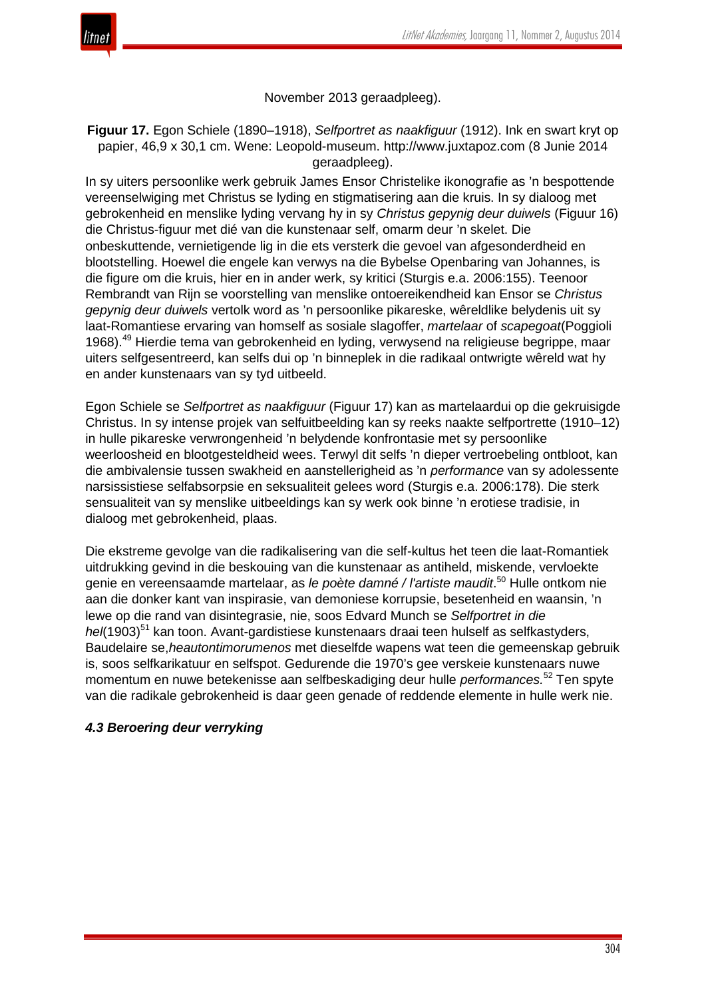



### November 2013 geraadpleeg).

## **Figuur 17.** Egon Schiele (1890–1918), *Selfportret as naakfiguur* (1912). Ink en swart kryt op papier, 46,9 x 30,1 cm. Wene: Leopold-museum. http://www.juxtapoz.com (8 Junie 2014 geraadpleeg).

In sy uiters persoonlike werk gebruik James Ensor Christelike ikonografie as 'n bespottende vereenselwiging met Christus se lyding en stigmatisering aan die kruis. In sy dialoog met gebrokenheid en menslike lyding vervang hy in sy *Christus gepynig deur duiwels* (Figuur 16) die Christus-figuur met dié van die kunstenaar self, omarm deur 'n skelet. Die onbeskuttende, vernietigende lig in die ets versterk die gevoel van afgesonderdheid en blootstelling. Hoewel die engele kan verwys na die Bybelse Openbaring van Johannes, is die figure om die kruis, hier en in ander werk, sy kritici (Sturgis e.a. 2006:155). Teenoor Rembrandt van Rijn se voorstelling van menslike ontoereikendheid kan Ensor se *Christus gepynig deur duiwels* vertolk word as 'n persoonlike pikareske, wêreldlike belydenis uit sy laat-Romantiese ervaring van homself as sosiale slagoffer, *martelaar* of *scapegoat*(Poggioli 1968).<sup>49</sup> Hierdie tema van gebrokenheid en lyding, verwysend na religieuse begrippe, maar uiters selfgesentreerd, kan selfs dui op 'n binneplek in die radikaal ontwrigte wêreld wat hy en ander kunstenaars van sy tyd uitbeeld.

Egon Schiele se *Selfportret as naakfiguur* (Figuur 17) kan as martelaardui op die gekruisigde Christus. In sy intense projek van selfuitbeelding kan sy reeks naakte selfportrette (1910–12) in hulle pikareske verwrongenheid 'n belydende konfrontasie met sy persoonlike weerloosheid en blootgesteldheid wees. Terwyl dit selfs 'n dieper vertroebeling ontbloot, kan die ambivalensie tussen swakheid en aanstellerigheid as 'n *performance* van sy adolessente narsissistiese selfabsorpsie en seksualiteit gelees word (Sturgis e.a. 2006:178). Die sterk sensualiteit van sy menslike uitbeeldings kan sy werk ook binne 'n erotiese tradisie, in dialoog met gebrokenheid, plaas.

Die ekstreme gevolge van die radikalisering van die self-kultus het teen die laat-Romantiek uitdrukking gevind in die beskouing van die kunstenaar as antiheld, miskende, vervloekte genie en vereensaamde martelaar, as *le poète damné / l'artiste maudit*. <sup>50</sup> Hulle ontkom nie aan die donker kant van inspirasie, van demoniese korrupsie, besetenheid en waansin, 'n lewe op die rand van disintegrasie, nie, soos Edvard Munch se *Selfportret in die hel*(1903)<sup>51</sup> kan toon. Avant-gardistiese kunstenaars draai teen hulself as selfkastyders, Baudelaire se,*heautontimorumenos* met dieselfde wapens wat teen die gemeenskap gebruik is, soos selfkarikatuur en selfspot. Gedurende die 1970's gee verskeie kunstenaars nuwe momentum en nuwe betekenisse aan selfbeskadiging deur hulle *performances.*<sup>52</sup> Ten spyte van die radikale gebrokenheid is daar geen genade of reddende elemente in hulle werk nie.

## *4.3 Beroering deur verryking*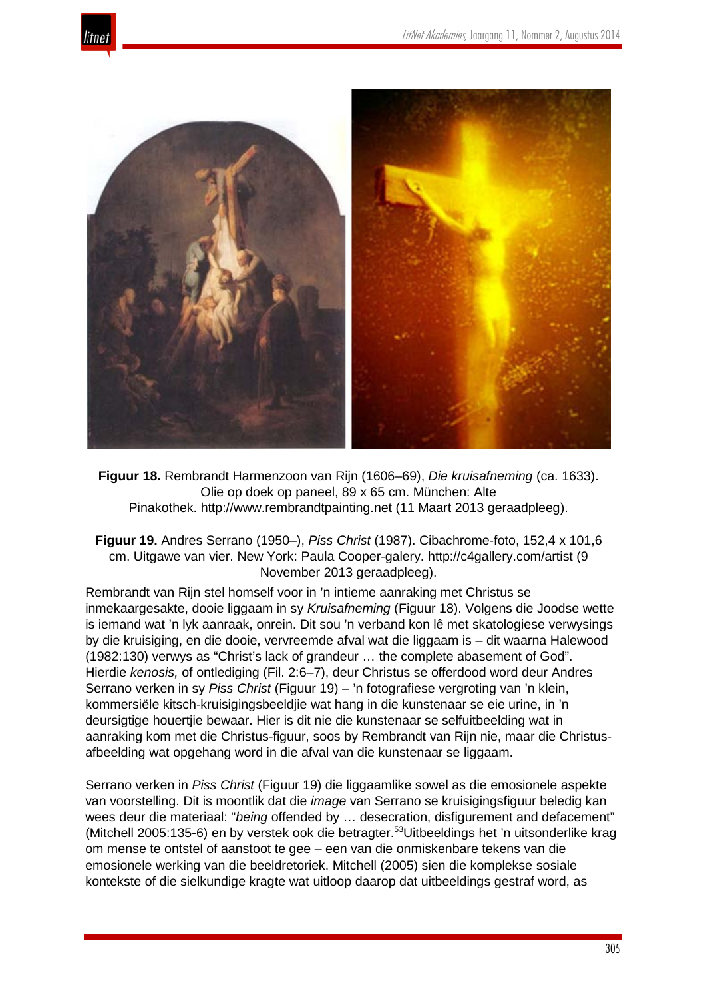



**Figuur 18.** Rembrandt Harmenzoon van Rijn (1606–69), *Die kruisafneming* (ca. 1633). Olie op doek op paneel, 89 x 65 cm. München: Alte Pinakothek. http://www.rembrandtpainting.net (11 Maart 2013 geraadpleeg).

**Figuur 19.** Andres Serrano (1950–), *Piss Christ* (1987). Cibachrome-foto, 152,4 x 101,6 cm. Uitgawe van vier. New York: Paula Cooper-galery. http://c4gallery.com/artist (9 November 2013 geraadpleeg).

Rembrandt van Rijn stel homself voor in 'n intieme aanraking met Christus se inmekaargesakte, dooie liggaam in sy *Kruisafneming* (Figuur 18). Volgens die Joodse wette is iemand wat 'n lyk aanraak, onrein. Dit sou 'n verband kon lê met skatologiese verwysings by die kruisiging, en die dooie, vervreemde afval wat die liggaam is – dit waarna Halewood (1982:130) verwys as "Christ's lack of grandeur … the complete abasement of God". Hierdie *kenosis,* of ontlediging (Fil. 2:6–7), deur Christus se offerdood word deur Andres Serrano verken in sy *Piss Christ* (Figuur 19) – 'n fotografiese vergroting van 'n klein, kommersiële kitsch-kruisigingsbeeldjie wat hang in die kunstenaar se eie urine, in 'n deursigtige houertjie bewaar. Hier is dit nie die kunstenaar se selfuitbeelding wat in aanraking kom met die Christus-figuur, soos by Rembrandt van Rijn nie, maar die Christusafbeelding wat opgehang word in die afval van die kunstenaar se liggaam.

Serrano verken in *Piss Christ* (Figuur 19) die liggaamlike sowel as die emosionele aspekte van voorstelling. Dit is moontlik dat die *image* van Serrano se kruisigingsfiguur beledig kan wees deur die materiaal: "*being* offended by … desecration, disfigurement and defacement" (Mitchell 2005:135-6) en by verstek ook die betragter.53Uitbeeldings het 'n uitsonderlike krag om mense te ontstel of aanstoot te gee – een van die onmiskenbare tekens van die emosionele werking van die beeldretoriek. Mitchell (2005) sien die komplekse sosiale kontekste of die sielkundige kragte wat uitloop daarop dat uitbeeldings gestraf word, as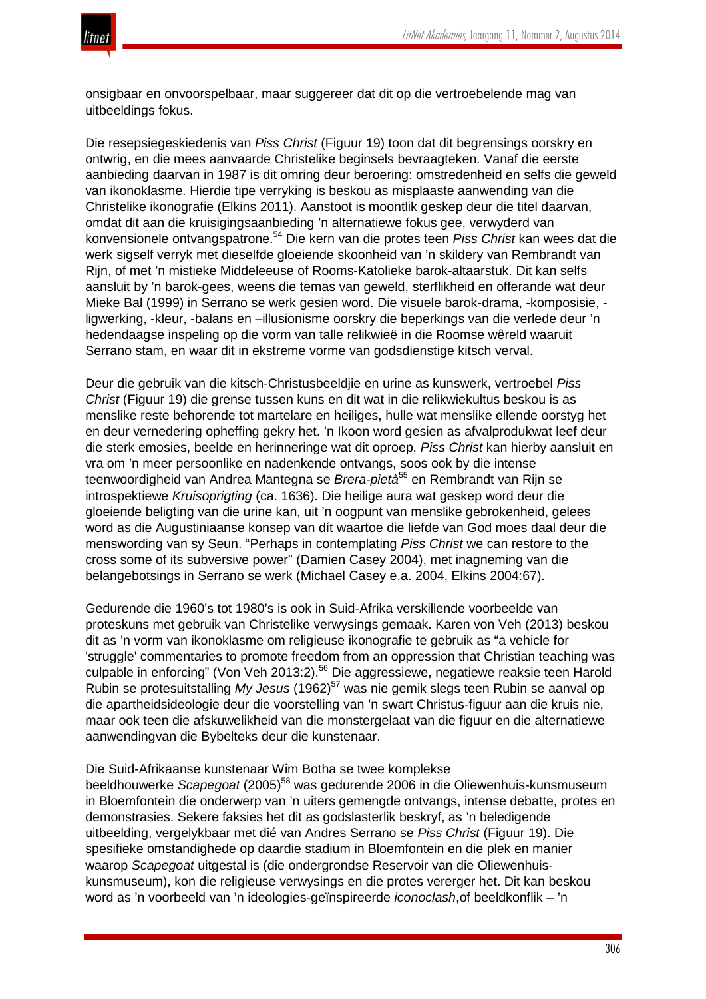

onsigbaar en onvoorspelbaar, maar suggereer dat dit op die vertroebelende mag van uitbeeldings fokus.

Die resepsiegeskiedenis van *Piss Christ* (Figuur 19) toon dat dit begrensings oorskry en ontwrig, en die mees aanvaarde Christelike beginsels bevraagteken. Vanaf die eerste aanbieding daarvan in 1987 is dit omring deur beroering: omstredenheid en selfs die geweld van ikonoklasme. Hierdie tipe verryking is beskou as misplaaste aanwending van die Christelike ikonografie (Elkins 2011). Aanstoot is moontlik geskep deur die titel daarvan, omdat dit aan die kruisigingsaanbieding 'n alternatiewe fokus gee, verwyderd van konvensionele ontvangspatrone.<sup>54</sup> Die kern van die protes teen *Piss Christ* kan wees dat die werk sigself verryk met dieselfde gloeiende skoonheid van 'n skildery van Rembrandt van Rijn, of met 'n mistieke Middeleeuse of Rooms-Katolieke barok-altaarstuk. Dit kan selfs aansluit by 'n barok-gees, weens die temas van geweld, sterflikheid en offerande wat deur Mieke Bal (1999) in Serrano se werk gesien word. Die visuele barok-drama, -komposisie, ligwerking, -kleur, -balans en –illusionisme oorskry die beperkings van die verlede deur 'n hedendaagse inspeling op die vorm van talle relikwieë in die Roomse wêreld waaruit Serrano stam, en waar dit in ekstreme vorme van godsdienstige kitsch verval.

Deur die gebruik van die kitsch-Christusbeeldjie en urine as kunswerk, vertroebel *Piss Christ* (Figuur 19) die grense tussen kuns en dit wat in die relikwiekultus beskou is as menslike reste behorende tot martelare en heiliges, hulle wat menslike ellende oorstyg het en deur vernedering opheffing gekry het. 'n Ikoon word gesien as afvalprodukwat leef deur die sterk emosies, beelde en herinneringe wat dit oproep. *Piss Christ* kan hierby aansluit en vra om 'n meer persoonlike en nadenkende ontvangs, soos ook by die intense teenwoordigheid van Andrea Mantegna se *Brera-pietà*<sup>55</sup> en Rembrandt van Rijn se introspektiewe *Kruisoprigting* (ca. 1636). Die heilige aura wat geskep word deur die gloeiende beligting van die urine kan, uit 'n oogpunt van menslike gebrokenheid, gelees word as die Augustiniaanse konsep van dít waartoe die liefde van God moes daal deur die menswording van sy Seun. "Perhaps in contemplating *Piss Christ* we can restore to the cross some of its subversive power" (Damien Casey 2004), met inagneming van die belangebotsings in Serrano se werk (Michael Casey e.a. 2004, Elkins 2004:67).

Gedurende die 1960's tot 1980's is ook in Suid-Afrika verskillende voorbeelde van proteskuns met gebruik van Christelike verwysings gemaak. Karen von Veh (2013) beskou dit as 'n vorm van ikonoklasme om religieuse ikonografie te gebruik as "a vehicle for 'struggle' commentaries to promote freedom from an oppression that Christian teaching was culpable in enforcing" (Von Veh 2013:2).<sup>56</sup> Die aggressiewe, negatiewe reaksie teen Harold Rubin se protesuitstalling *My Jesus* (1962)<sup>57</sup> was nie gemik slegs teen Rubin se aanval op die apartheidsideologie deur die voorstelling van 'n swart Christus-figuur aan die kruis nie, maar ook teen die afskuwelikheid van die monstergelaat van die figuur en die alternatiewe aanwendingvan die Bybelteks deur die kunstenaar.

#### Die Suid-Afrikaanse kunstenaar Wim Botha se twee komplekse

beeldhouwerke *Scapegoat* (2005)<sup>58</sup> was gedurende 2006 in die Oliewenhuis-kunsmuseum in Bloemfontein die onderwerp van 'n uiters gemengde ontvangs, intense debatte, protes en demonstrasies. Sekere faksies het dit as godslasterlik beskryf, as 'n beledigende uitbeelding, vergelykbaar met dié van Andres Serrano se *Piss Christ* (Figuur 19). Die spesifieke omstandighede op daardie stadium in Bloemfontein en die plek en manier waarop *Scapegoat* uitgestal is (die ondergrondse Reservoir van die Oliewenhuiskunsmuseum), kon die religieuse verwysings en die protes vererger het. Dit kan beskou word as 'n voorbeeld van 'n ideologies-geïnspireerde *iconoclash*,of beeldkonflik – 'n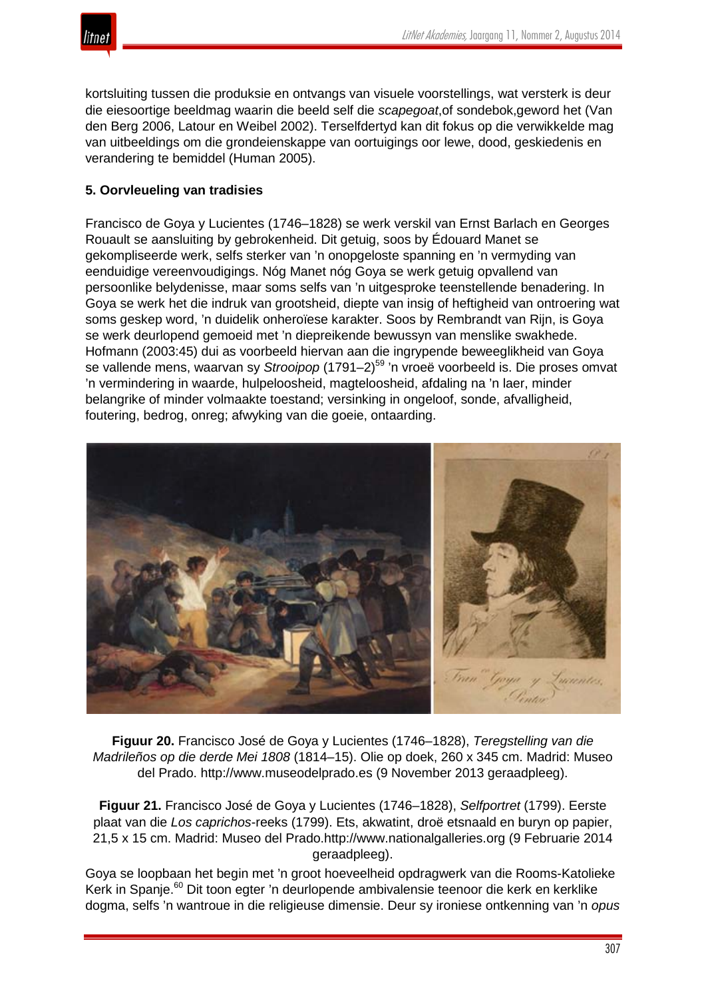

kortsluiting tussen die produksie en ontvangs van visuele voorstellings, wat versterk is deur die eiesoortige beeldmag waarin die beeld self die *scapegoat*,of sondebok,geword het (Van den Berg 2006, Latour en Weibel 2002). Terselfdertyd kan dit fokus op die verwikkelde mag van uitbeeldings om die grondeienskappe van oortuigings oor lewe, dood, geskiedenis en verandering te bemiddel (Human 2005).

# **5. Oorvleueling van tradisies**

Francisco de Goya y Lucientes (1746–1828) se werk verskil van Ernst Barlach en Georges Rouault se aansluiting by gebrokenheid. Dit getuig, soos by Édouard Manet se gekompliseerde werk, selfs sterker van 'n onopgeloste spanning en 'n vermyding van eenduidige vereenvoudigings. Nóg Manet nóg Goya se werk getuig opvallend van persoonlike belydenisse, maar soms selfs van 'n uitgesproke teenstellende benadering. In Goya se werk het die indruk van grootsheid, diepte van insig of heftigheid van ontroering wat soms geskep word, 'n duidelik onheroïese karakter. Soos by Rembrandt van Rijn, is Goya se werk deurlopend gemoeid met 'n diepreikende bewussyn van menslike swakhede. Hofmann (2003:45) dui as voorbeeld hiervan aan die ingrypende beweeglikheid van Goya se vallende mens, waarvan sy *Strooipop* (1791–2)<sup>59</sup> 'n vroeë voorbeeld is. Die proses omvat 'n vermindering in waarde, hulpeloosheid, magteloosheid, afdaling na 'n laer, minder belangrike of minder volmaakte toestand; versinking in ongeloof, sonde, afvalligheid, foutering, bedrog, onreg; afwyking van die goeie, ontaarding.



**Figuur 20.** Francisco José de Goya y Lucientes (1746–1828), *Teregstelling van die Madrileños op die derde Mei 1808* (1814–15). Olie op doek, 260 x 345 cm. Madrid: Museo del Prado. http://www.museodelprado.es (9 November 2013 geraadpleeg).

**Figuur 21.** Francisco José de Goya y Lucientes (1746–1828), *Selfportret* (1799). Eerste plaat van die *Los caprichos*-reeks (1799). Ets, akwatint, droë etsnaald en buryn op papier, 21,5 x 15 cm. Madrid: Museo del Prado.http://www.nationalgalleries.org (9 Februarie 2014 geraadpleeg).

Goya se loopbaan het begin met 'n groot hoeveelheid opdragwerk van die Rooms-Katolieke Kerk in Spanje.<sup>60</sup> Dit toon egter 'n deurlopende ambivalensie teenoor die kerk en kerklike dogma, selfs 'n wantroue in die religieuse dimensie. Deur sy ironiese ontkenning van 'n *opus*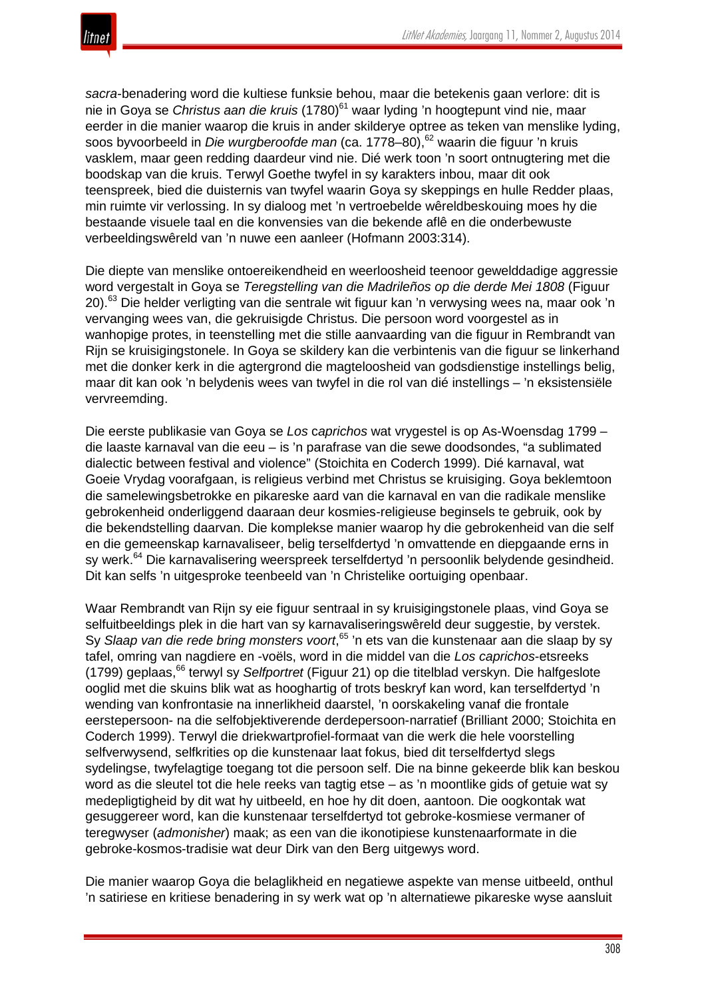

*sacra*-benadering word die kultiese funksie behou, maar die betekenis gaan verlore: dit is nie in Goya se *Christus aan die kruis* (1780)<sup>61</sup> waar lyding 'n hoogtepunt vind nie, maar eerder in die manier waarop die kruis in ander skilderye optree as teken van menslike lyding, soos byvoorbeeld in *Die wurgberoofde man* (ca. 1778–80),<sup>62</sup> waarin die figuur 'n kruis vasklem, maar geen redding daardeur vind nie. Dié werk toon 'n soort ontnugtering met die boodskap van die kruis. Terwyl Goethe twyfel in sy karakters inbou, maar dit ook teenspreek, bied die duisternis van twyfel waarin Goya sy skeppings en hulle Redder plaas, min ruimte vir verlossing. In sy dialoog met 'n vertroebelde wêreldbeskouing moes hy die bestaande visuele taal en die konvensies van die bekende aflê en die onderbewuste verbeeldingswêreld van 'n nuwe een aanleer (Hofmann 2003:314).

Die diepte van menslike ontoereikendheid en weerloosheid teenoor gewelddadige aggressie word vergestalt in Goya se *Teregstelling van die Madrileños op die derde Mei 1808* (Figuur 20).<sup>63</sup> Die helder verligting van die sentrale wit figuur kan 'n verwysing wees na, maar ook 'n vervanging wees van, die gekruisigde Christus. Die persoon word voorgestel as in wanhopige protes, in teenstelling met die stille aanvaarding van die figuur in Rembrandt van Rijn se kruisigingstonele. In Goya se skildery kan die verbintenis van die figuur se linkerhand met die donker kerk in die agtergrond die magteloosheid van godsdienstige instellings belig, maar dit kan ook 'n belydenis wees van twyfel in die rol van dié instellings – 'n eksistensiële vervreemding.

Die eerste publikasie van Goya se *Los* c*aprichos* wat vrygestel is op As-Woensdag 1799 – die laaste karnaval van die eeu – is 'n parafrase van die sewe doodsondes, "a sublimated dialectic between festival and violence" (Stoichita en Coderch 1999). Dié karnaval, wat Goeie Vrydag voorafgaan, is religieus verbind met Christus se kruisiging. Goya beklemtoon die samelewingsbetrokke en pikareske aard van die karnaval en van die radikale menslike gebrokenheid onderliggend daaraan deur kosmies-religieuse beginsels te gebruik, ook by die bekendstelling daarvan. Die komplekse manier waarop hy die gebrokenheid van die self en die gemeenskap karnavaliseer, belig terselfdertyd 'n omvattende en diepgaande erns in sy werk.<sup>64</sup> Die karnavalisering weerspreek terselfdertyd 'n persoonlik belydende gesindheid. Dit kan selfs 'n uitgesproke teenbeeld van 'n Christelike oortuiging openbaar.

Waar Rembrandt van Rijn sy eie figuur sentraal in sy kruisigingstonele plaas, vind Goya se selfuitbeeldings plek in die hart van sy karnavaliseringswêreld deur suggestie, by verstek. Sy *Slaap van die rede bring monsters voort*, <sup>65</sup> 'n ets van die kunstenaar aan die slaap by sy tafel, omring van nagdiere en -voëls, word in die middel van die *Los caprichos*-etsreeks (1799) geplaas,<sup>66</sup> terwyl sy *Selfportret* (Figuur 21) op die titelblad verskyn. Die halfgeslote ooglid met die skuins blik wat as hooghartig of trots beskryf kan word, kan terselfdertyd 'n wending van konfrontasie na innerlikheid daarstel, 'n oorskakeling vanaf die frontale eerstepersoon- na die selfobjektiverende derdepersoon-narratief (Brilliant 2000; Stoichita en Coderch 1999). Terwyl die driekwartprofiel-formaat van die werk die hele voorstelling selfverwysend, selfkrities op die kunstenaar laat fokus, bied dit terselfdertyd slegs sydelingse, twyfelagtige toegang tot die persoon self. Die na binne gekeerde blik kan beskou word as die sleutel tot die hele reeks van tagtig etse – as 'n moontlike gids of getuie wat sy medepligtigheid by dit wat hy uitbeeld, en hoe hy dit doen, aantoon. Die oogkontak wat gesuggereer word, kan die kunstenaar terselfdertyd tot gebroke-kosmiese vermaner of teregwyser (*admonisher*) maak; as een van die ikonotipiese kunstenaarformate in die gebroke-kosmos-tradisie wat deur Dirk van den Berg uitgewys word.

Die manier waarop Goya die belaglikheid en negatiewe aspekte van mense uitbeeld, onthul 'n satiriese en kritiese benadering in sy werk wat op 'n alternatiewe pikareske wyse aansluit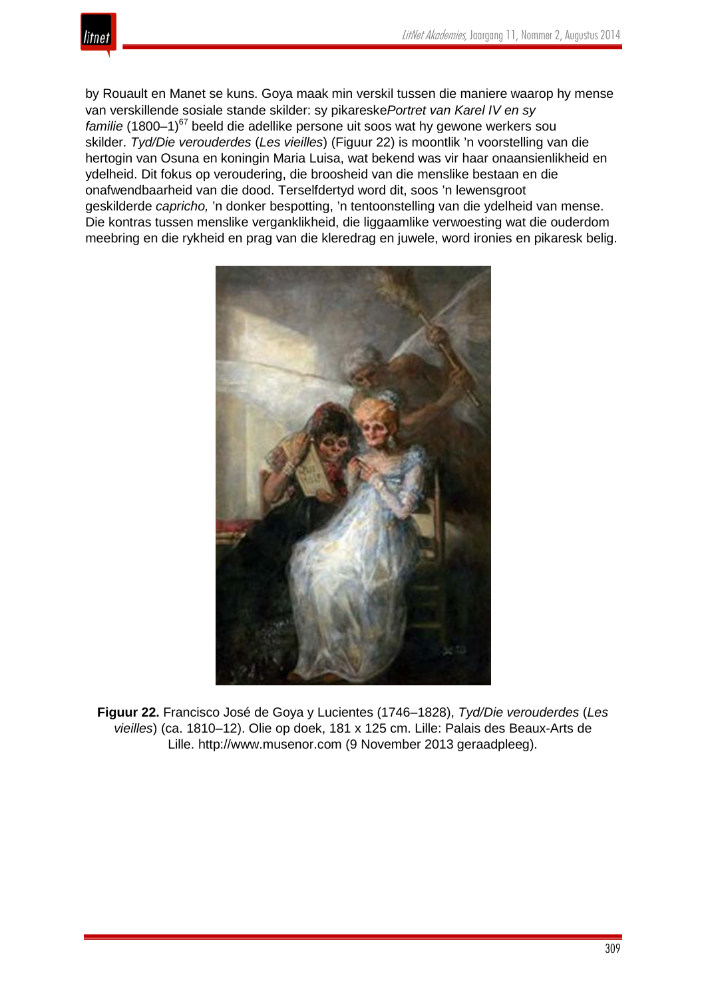

by Rouault en Manet se kuns. Goya maak min verskil tussen die maniere waarop hy mense van verskillende sosiale stande skilder: sy pikareske*Portret van Karel IV en sy familie* (1800–1)<sup>67</sup> beeld die adellike persone uit soos wat hy gewone werkers sou skilder. *Tyd/Die verouderdes* (*Les vieilles*) (Figuur 22) is moontlik 'n voorstelling van die hertogin van Osuna en koningin Maria Luisa, wat bekend was vir haar onaansienlikheid en ydelheid. Dit fokus op veroudering, die broosheid van die menslike bestaan en die onafwendbaarheid van die dood. Terselfdertyd word dit, soos 'n lewensgroot geskilderde *capricho,* 'n donker bespotting, 'n tentoonstelling van die ydelheid van mense. Die kontras tussen menslike verganklikheid, die liggaamlike verwoesting wat die ouderdom meebring en die rykheid en prag van die kleredrag en juwele, word ironies en pikaresk belig.



**Figuur 22.** Francisco José de Goya y Lucientes (1746–1828), *Tyd/Die verouderdes* (*Les vieilles*) (ca. 1810–12). Olie op doek, 181 x 125 cm. Lille: Palais des Beaux-Arts de Lille. http://www.musenor.com (9 November 2013 geraadpleeg).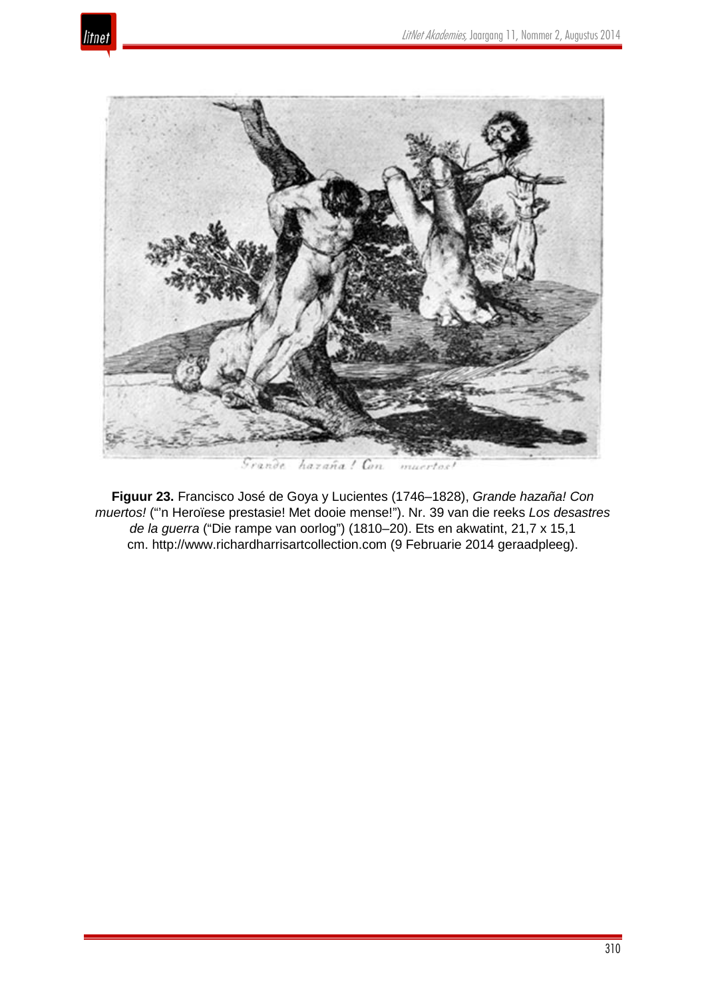



hazaña! Con Grande mu

**Figuur 23.** Francisco José de Goya y Lucientes (1746–1828), *Grande hazaña! Con muertos!* ("'n Heroïese prestasie! Met dooie mense!"). Nr. 39 van die reeks *Los desastres de la guerra* ("Die rampe van oorlog") (1810–20). Ets en akwatint, 21,7 x 15,1 cm. http://www.richardharrisartcollection.com (9 Februarie 2014 geraadpleeg).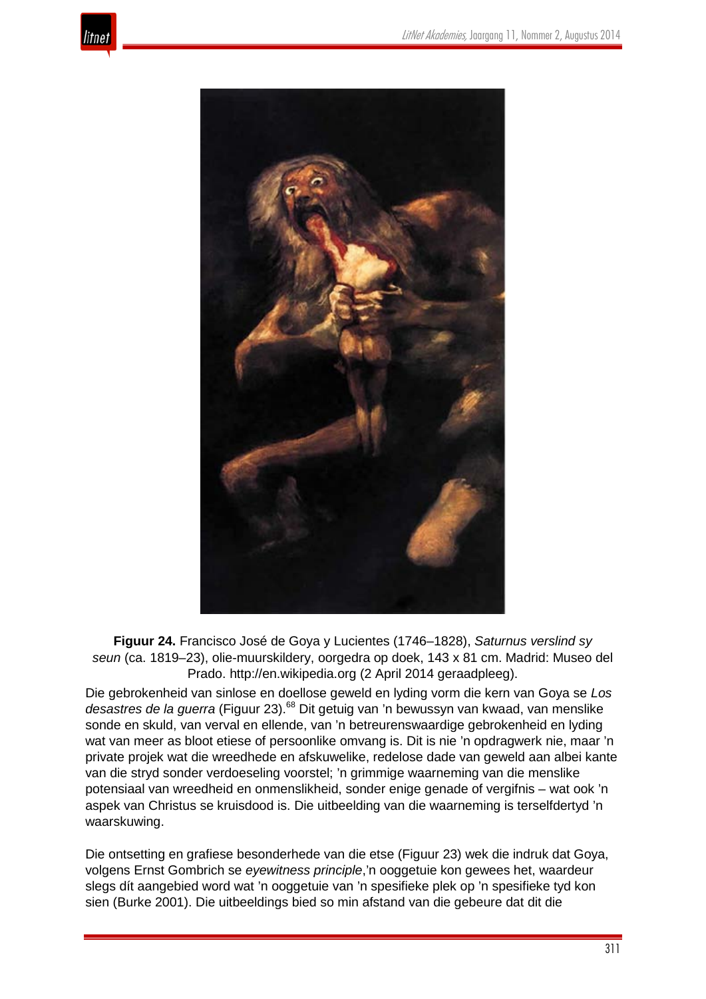



**Figuur 24.** Francisco José de Goya y Lucientes (1746–1828), *Saturnus verslind sy seun* (ca. 1819–23), olie-muurskildery, oorgedra op doek, 143 x 81 cm. Madrid: Museo del Prado. http://en.wikipedia.org (2 April 2014 geraadpleeg).

Die gebrokenheid van sinlose en doellose geweld en lyding vorm die kern van Goya se *Los desastres de la guerra* (Figuur 23).<sup>68</sup> Dit getuig van 'n bewussyn van kwaad, van menslike sonde en skuld, van verval en ellende, van 'n betreurenswaardige gebrokenheid en lyding wat van meer as bloot etiese of persoonlike omvang is. Dit is nie 'n opdragwerk nie, maar 'n private projek wat die wreedhede en afskuwelike, redelose dade van geweld aan albei kante van die stryd sonder verdoeseling voorstel; 'n grimmige waarneming van die menslike potensiaal van wreedheid en onmenslikheid, sonder enige genade of vergifnis – wat ook 'n aspek van Christus se kruisdood is. Die uitbeelding van die waarneming is terselfdertyd 'n waarskuwing.

Die ontsetting en grafiese besonderhede van die etse (Figuur 23) wek die indruk dat Goya, volgens Ernst Gombrich se *eyewitness principle*,'n ooggetuie kon gewees het, waardeur slegs dít aangebied word wat 'n ooggetuie van 'n spesifieke plek op 'n spesifieke tyd kon sien (Burke 2001). Die uitbeeldings bied so min afstand van die gebeure dat dit die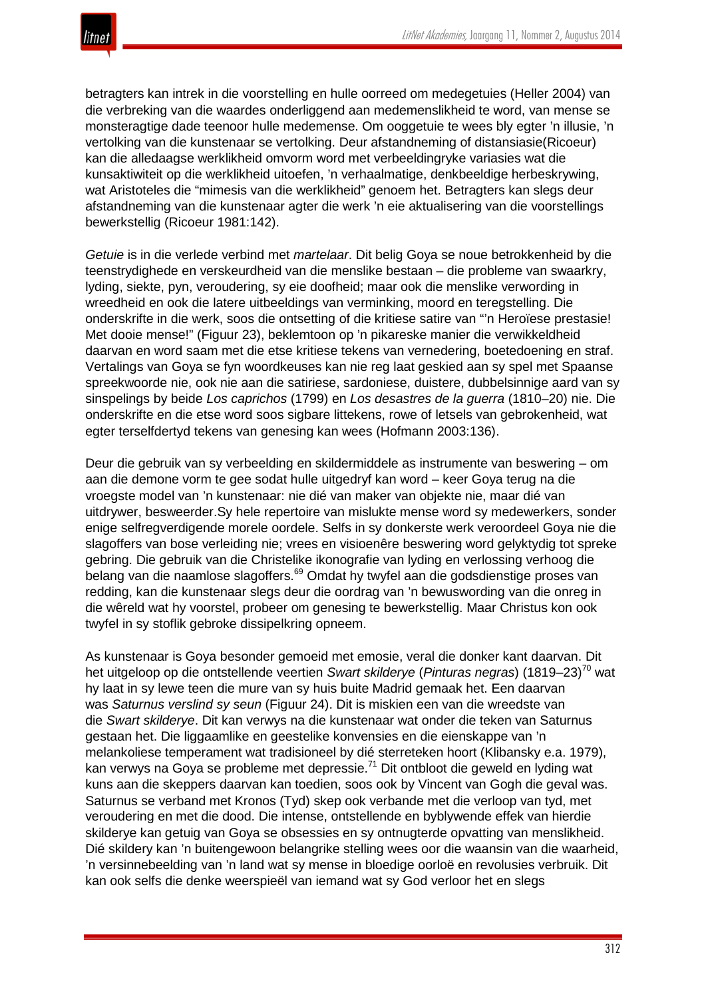betragters kan intrek in die voorstelling en hulle oorreed om medegetuies (Heller 2004) van die verbreking van die waardes onderliggend aan medemenslikheid te word, van mense se monsteragtige dade teenoor hulle medemense. Om ooggetuie te wees bly egter 'n illusie, 'n vertolking van die kunstenaar se vertolking. Deur afstandneming of distansiasie(Ricoeur) kan die alledaagse werklikheid omvorm word met verbeeldingryke variasies wat die kunsaktiwiteit op die werklikheid uitoefen, 'n verhaalmatige, denkbeeldige herbeskrywing, wat Aristoteles die "mimesis van die werklikheid" genoem het. Betragters kan slegs deur afstandneming van die kunstenaar agter die werk 'n eie aktualisering van die voorstellings bewerkstellig (Ricoeur 1981:142).

*Getuie* is in die verlede verbind met *martelaar*. Dit belig Goya se noue betrokkenheid by die teenstrydighede en verskeurdheid van die menslike bestaan – die probleme van swaarkry, lyding, siekte, pyn, veroudering, sy eie doofheid; maar ook die menslike verwording in wreedheid en ook die latere uitbeeldings van verminking, moord en teregstelling. Die onderskrifte in die werk, soos die ontsetting of die kritiese satire van "'n Heroïese prestasie! Met dooie mense!" (Figuur 23), beklemtoon op 'n pikareske manier die verwikkeldheid daarvan en word saam met die etse kritiese tekens van vernedering, boetedoening en straf. Vertalings van Goya se fyn woordkeuses kan nie reg laat geskied aan sy spel met Spaanse spreekwoorde nie, ook nie aan die satiriese, sardoniese, duistere, dubbelsinnige aard van sy sinspelings by beide *Los caprichos* (1799) en *Los desastres de la guerra* (1810–20) nie. Die onderskrifte en die etse word soos sigbare littekens, rowe of letsels van gebrokenheid, wat egter terselfdertyd tekens van genesing kan wees (Hofmann 2003:136).

Deur die gebruik van sy verbeelding en skildermiddele as instrumente van beswering – om aan die demone vorm te gee sodat hulle uitgedryf kan word – keer Goya terug na die vroegste model van 'n kunstenaar: nie dié van maker van objekte nie, maar dié van uitdrywer, besweerder.Sy hele repertoire van mislukte mense word sy medewerkers, sonder enige selfregverdigende morele oordele. Selfs in sy donkerste werk veroordeel Goya nie die slagoffers van bose verleiding nie; vrees en visioenêre beswering word gelyktydig tot spreke gebring. Die gebruik van die Christelike ikonografie van lyding en verlossing verhoog die belang van die naamlose slagoffers.<sup>69</sup> Omdat hy twyfel aan die godsdienstige proses van redding, kan die kunstenaar slegs deur die oordrag van 'n bewuswording van die onreg in die wêreld wat hy voorstel, probeer om genesing te bewerkstellig. Maar Christus kon ook twyfel in sy stoflik gebroke dissipelkring opneem.

As kunstenaar is Goya besonder gemoeid met emosie, veral die donker kant daarvan. Dit het uitgeloop op die ontstellende veertien *Swart skilderye* (*Pinturas negras*) (1819–23)<sup>70</sup> wat hy laat in sy lewe teen die mure van sy huis buite Madrid gemaak het. Een daarvan was *Saturnus verslind sy seun* (Figuur 24). Dit is miskien een van die wreedste van die *Swart skilderye*. Dit kan verwys na die kunstenaar wat onder die teken van Saturnus gestaan het. Die liggaamlike en geestelike konvensies en die eienskappe van 'n melankoliese temperament wat tradisioneel by dié sterreteken hoort (Klibansky e.a. 1979), kan verwys na Goya se probleme met depressie.<sup>71</sup> Dit ontbloot die geweld en lyding wat kuns aan die skeppers daarvan kan toedien, soos ook by Vincent van Gogh die geval was. Saturnus se verband met Kronos (Tyd) skep ook verbande met die verloop van tyd, met veroudering en met die dood. Die intense, ontstellende en byblywende effek van hierdie skilderye kan getuig van Goya se obsessies en sy ontnugterde opvatting van menslikheid. Dié skildery kan 'n buitengewoon belangrike stelling wees oor die waansin van die waarheid, 'n versinnebeelding van 'n land wat sy mense in bloedige oorloë en revolusies verbruik. Dit kan ook selfs die denke weerspieël van iemand wat sy God verloor het en slegs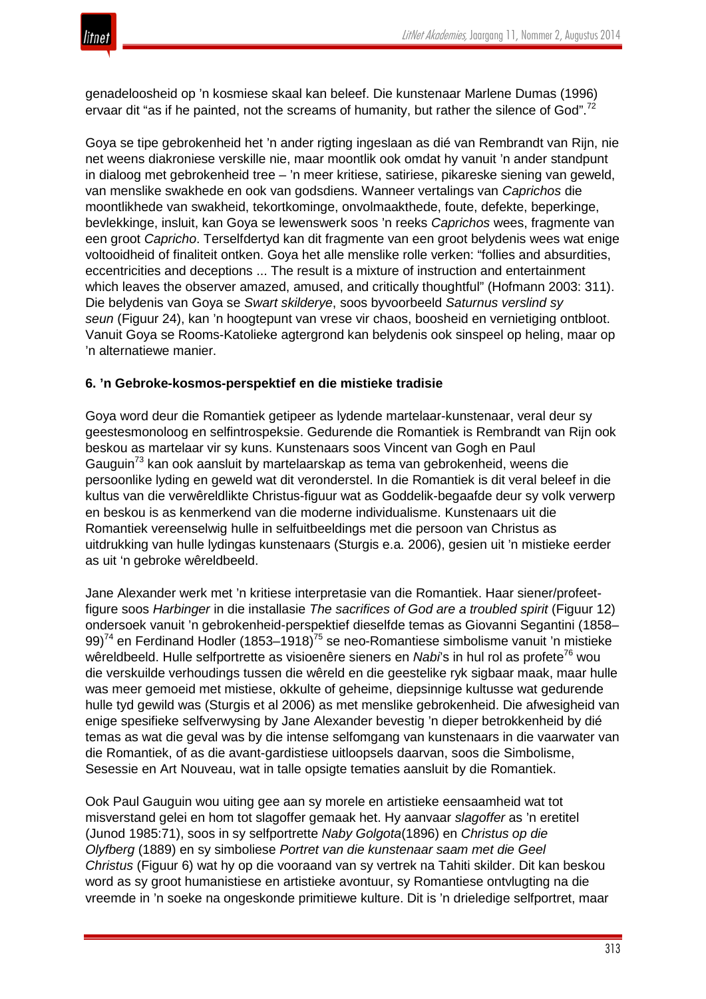

genadeloosheid op 'n kosmiese skaal kan beleef. Die kunstenaar Marlene Dumas (1996) ervaar dit "as if he painted, not the screams of humanity, but rather the silence of God".<sup>72</sup>

Goya se tipe gebrokenheid het 'n ander rigting ingeslaan as dié van Rembrandt van Rijn, nie net weens diakroniese verskille nie, maar moontlik ook omdat hy vanuit 'n ander standpunt in dialoog met gebrokenheid tree – 'n meer kritiese, satiriese, pikareske siening van geweld, van menslike swakhede en ook van godsdiens. Wanneer vertalings van *Caprichos* die moontlikhede van swakheid, tekortkominge, onvolmaakthede, foute, defekte, beperkinge, bevlekkinge, insluit, kan Goya se lewenswerk soos 'n reeks *Caprichos* wees, fragmente van een groot *Capricho*. Terselfdertyd kan dit fragmente van een groot belydenis wees wat enige voltooidheid of finaliteit ontken. Goya het alle menslike rolle verken: "follies and absurdities, eccentricities and deceptions ... The result is a mixture of instruction and entertainment which leaves the observer amazed, amused, and critically thoughtful" (Hofmann 2003: 311). Die belydenis van Goya se *Swart skilderye*, soos byvoorbeeld *Saturnus verslind sy seun* (Figuur 24), kan 'n hoogtepunt van vrese vir chaos, boosheid en vernietiging ontbloot. Vanuit Goya se Rooms-Katolieke agtergrond kan belydenis ook sinspeel op heling, maar op 'n alternatiewe manier.

## **6. 'n Gebroke-kosmos-perspektief en die mistieke tradisie**

Goya word deur die Romantiek getipeer as lydende martelaar-kunstenaar, veral deur sy geestesmonoloog en selfintrospeksie. Gedurende die Romantiek is Rembrandt van Rijn ook beskou as martelaar vir sy kuns. Kunstenaars soos Vincent van Gogh en Paul Gauguin<sup>73</sup> kan ook aansluit by martelaarskap as tema van gebrokenheid, weens die persoonlike lyding en geweld wat dit veronderstel. In die Romantiek is dit veral beleef in die kultus van die verwêreldlikte Christus-figuur wat as Goddelik-begaafde deur sy volk verwerp en beskou is as kenmerkend van die moderne individualisme. Kunstenaars uit die Romantiek vereenselwig hulle in selfuitbeeldings met die persoon van Christus as uitdrukking van hulle lydingas kunstenaars (Sturgis e.a. 2006), gesien uit 'n mistieke eerder as uit 'n gebroke wêreldbeeld.

Jane Alexander werk met 'n kritiese interpretasie van die Romantiek. Haar siener/profeetfigure soos *Harbinger* in die installasie *The sacrifices of God are a troubled spirit* (Figuur 12) ondersoek vanuit 'n gebrokenheid-perspektief dieselfde temas as Giovanni Segantini (1858– 99)<sup>74</sup> en Ferdinand Hodler (1853–1918)<sup>75</sup> se neo-Romantiese simbolisme vanuit 'n mistieke wêreldbeeld. Hulle selfportrette as visioenêre sieners en *Nabi*'s in hul rol as profete<sup>76</sup> wou die verskuilde verhoudings tussen die wêreld en die geestelike ryk sigbaar maak, maar hulle was meer gemoeid met mistiese, okkulte of geheime, diepsinnige kultusse wat gedurende hulle tyd gewild was (Sturgis et al 2006) as met menslike gebrokenheid. Die afwesigheid van enige spesifieke selfverwysing by Jane Alexander bevestig 'n dieper betrokkenheid by dié temas as wat die geval was by die intense selfomgang van kunstenaars in die vaarwater van die Romantiek, of as die avant-gardistiese uitloopsels daarvan, soos die Simbolisme, Sesessie en Art Nouveau, wat in talle opsigte tematies aansluit by die Romantiek.

Ook Paul Gauguin wou uiting gee aan sy morele en artistieke eensaamheid wat tot misverstand gelei en hom tot slagoffer gemaak het. Hy aanvaar *slagoffer* as 'n eretitel (Junod 1985:71), soos in sy selfportrette *Naby Golgota*(1896) en *Christus op die Olyfberg* (1889) en sy simboliese *Portret van die kunstenaar saam met die Geel Christus* (Figuur 6) wat hy op die vooraand van sy vertrek na Tahiti skilder. Dit kan beskou word as sy groot humanistiese en artistieke avontuur, sy Romantiese ontvlugting na die vreemde in 'n soeke na ongeskonde primitiewe kulture. Dit is 'n drieledige selfportret, maar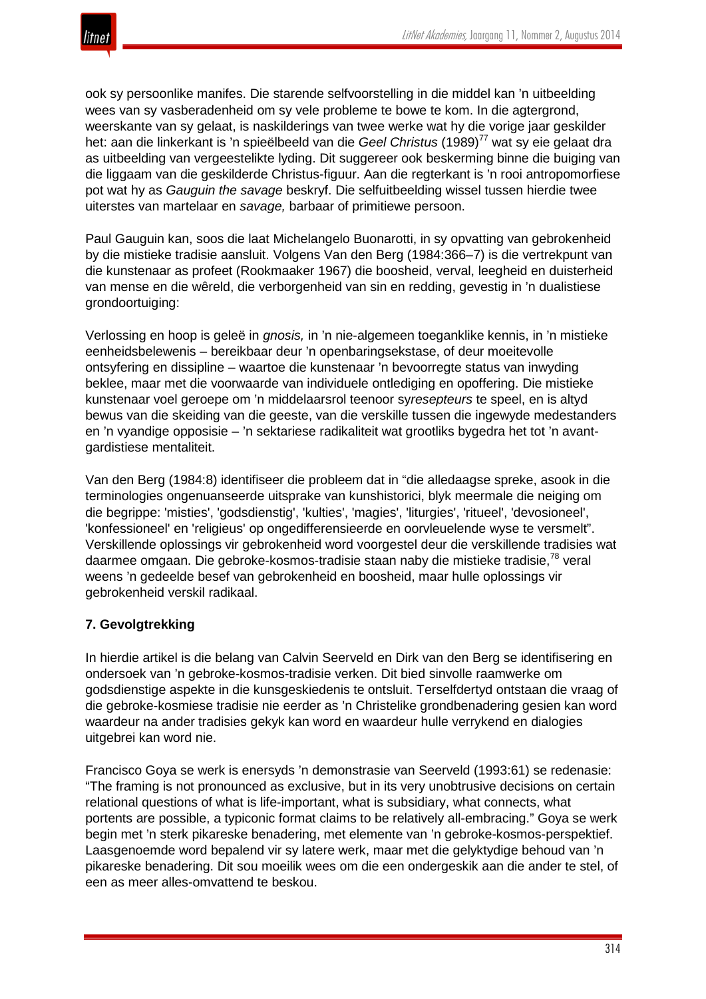

ook sy persoonlike manifes. Die starende selfvoorstelling in die middel kan 'n uitbeelding wees van sy vasberadenheid om sy vele probleme te bowe te kom. In die agtergrond, weerskante van sy gelaat, is naskilderings van twee werke wat hy die vorige jaar geskilder het: aan die linkerkant is 'n spieëlbeeld van die *Geel Christus* (1989)<sup>77</sup> wat sy eie gelaat dra as uitbeelding van vergeestelikte lyding. Dit suggereer ook beskerming binne die buiging van die liggaam van die geskilderde Christus-figuur. Aan die regterkant is 'n rooi antropomorfiese pot wat hy as *Gauguin the savage* beskryf. Die selfuitbeelding wissel tussen hierdie twee uiterstes van martelaar en *savage,* barbaar of primitiewe persoon.

Paul Gauguin kan, soos die laat Michelangelo Buonarotti, in sy opvatting van gebrokenheid by die mistieke tradisie aansluit. Volgens Van den Berg (1984:366–7) is die vertrekpunt van die kunstenaar as profeet (Rookmaaker 1967) die boosheid, verval, leegheid en duisterheid van mense en die wêreld, die verborgenheid van sin en redding, gevestig in 'n dualistiese grondoortuiging:

Verlossing en hoop is geleë in *gnosis,* in 'n nie-algemeen toeganklike kennis, in 'n mistieke eenheidsbelewenis – bereikbaar deur 'n openbaringsekstase, of deur moeitevolle ontsyfering en dissipline – waartoe die kunstenaar 'n bevoorregte status van inwyding beklee, maar met die voorwaarde van individuele ontlediging en opoffering. Die mistieke kunstenaar voel geroepe om 'n middelaarsrol teenoor sy*resepteurs* te speel, en is altyd bewus van die skeiding van die geeste, van die verskille tussen die ingewyde medestanders en 'n vyandige opposisie – 'n sektariese radikaliteit wat grootliks bygedra het tot 'n avantgardistiese mentaliteit.

Van den Berg (1984:8) identifiseer die probleem dat in "die alledaagse spreke, asook in die terminologies ongenuanseerde uitsprake van kunshistorici, blyk meermale die neiging om die begrippe: 'misties', 'godsdienstig', 'kulties', 'magies', 'liturgies', 'ritueel', 'devosioneel', 'konfessioneel' en 'religieus' op ongedifferensieerde en oorvleuelende wyse te versmelt". Verskillende oplossings vir gebrokenheid word voorgestel deur die verskillende tradisies wat daarmee omgaan. Die gebroke-kosmos-tradisie staan naby die mistieke tradisie,<sup>78</sup> veral weens 'n gedeelde besef van gebrokenheid en boosheid, maar hulle oplossings vir gebrokenheid verskil radikaal.

# **7. Gevolgtrekking**

In hierdie artikel is die belang van Calvin Seerveld en Dirk van den Berg se identifisering en ondersoek van 'n gebroke-kosmos-tradisie verken. Dit bied sinvolle raamwerke om godsdienstige aspekte in die kunsgeskiedenis te ontsluit. Terselfdertyd ontstaan die vraag of die gebroke-kosmiese tradisie nie eerder as 'n Christelike grondbenadering gesien kan word waardeur na ander tradisies gekyk kan word en waardeur hulle verrykend en dialogies uitgebrei kan word nie.

Francisco Goya se werk is enersyds 'n demonstrasie van Seerveld (1993:61) se redenasie: "The framing is not pronounced as exclusive, but in its very unobtrusive decisions on certain relational questions of what is life-important, what is subsidiary, what connects, what portents are possible, a typiconic format claims to be relatively all-embracing." Goya se werk begin met 'n sterk pikareske benadering, met elemente van 'n gebroke-kosmos-perspektief. Laasgenoemde word bepalend vir sy latere werk, maar met die gelyktydige behoud van 'n pikareske benadering. Dit sou moeilik wees om die een ondergeskik aan die ander te stel, of een as meer alles-omvattend te beskou.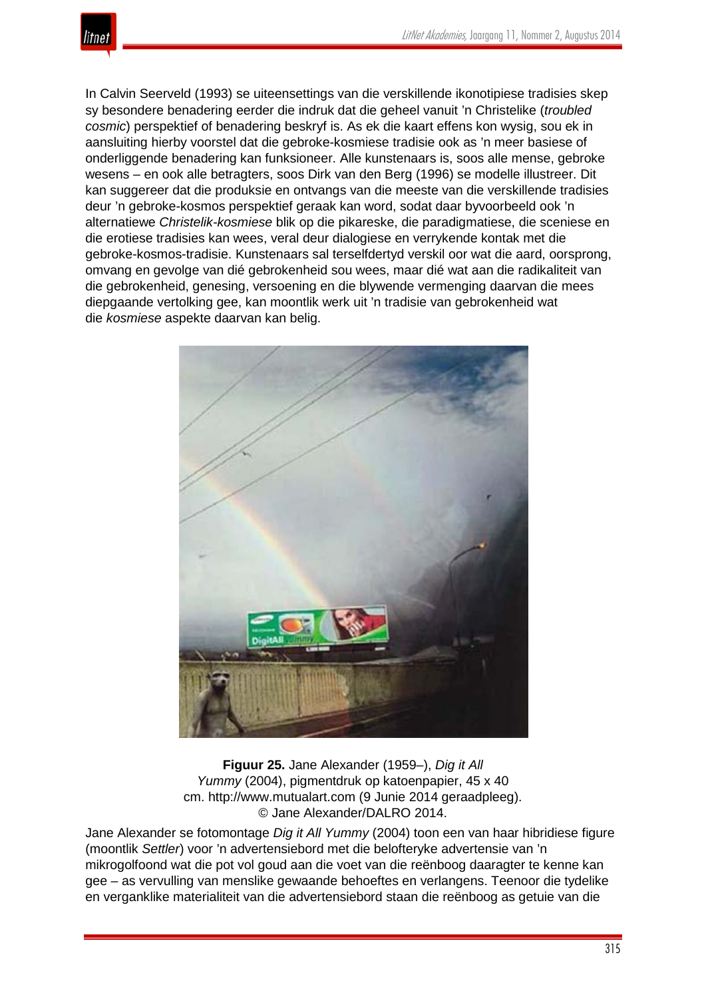

In Calvin Seerveld (1993) se uiteensettings van die verskillende ikonotipiese tradisies skep sy besondere benadering eerder die indruk dat die geheel vanuit 'n Christelike (*troubled cosmic*) perspektief of benadering beskryf is. As ek die kaart effens kon wysig, sou ek in aansluiting hierby voorstel dat die gebroke-kosmiese tradisie ook as 'n meer basiese of onderliggende benadering kan funksioneer. Alle kunstenaars is, soos alle mense, gebroke wesens – en ook alle betragters, soos Dirk van den Berg (1996) se modelle illustreer. Dit kan suggereer dat die produksie en ontvangs van die meeste van die verskillende tradisies deur 'n gebroke-kosmos perspektief geraak kan word, sodat daar byvoorbeeld ook 'n alternatiewe *Christelik-kosmiese* blik op die pikareske, die paradigmatiese, die sceniese en die erotiese tradisies kan wees, veral deur dialogiese en verrykende kontak met die gebroke-kosmos-tradisie. Kunstenaars sal terselfdertyd verskil oor wat die aard, oorsprong, omvang en gevolge van dié gebrokenheid sou wees, maar dié wat aan die radikaliteit van die gebrokenheid, genesing, versoening en die blywende vermenging daarvan die mees diepgaande vertolking gee, kan moontlik werk uit 'n tradisie van gebrokenheid wat die *kosmiese* aspekte daarvan kan belig.



**Figuur 25.** Jane Alexander (1959–), *Dig it All Yummy* (2004), pigmentdruk op katoenpapier, 45 x 40 cm. http://www.mutualart.com (9 Junie 2014 geraadpleeg). © Jane Alexander/DALRO 2014.

Jane Alexander se fotomontage *Dig it All Yummy* (2004) toon een van haar hibridiese figure (moontlik *Settler*) voor 'n advertensiebord met die belofteryke advertensie van 'n mikrogolfoond wat die pot vol goud aan die voet van die reënboog daaragter te kenne kan gee – as vervulling van menslike gewaande behoeftes en verlangens. Teenoor die tydelike en verganklike materialiteit van die advertensiebord staan die reënboog as getuie van die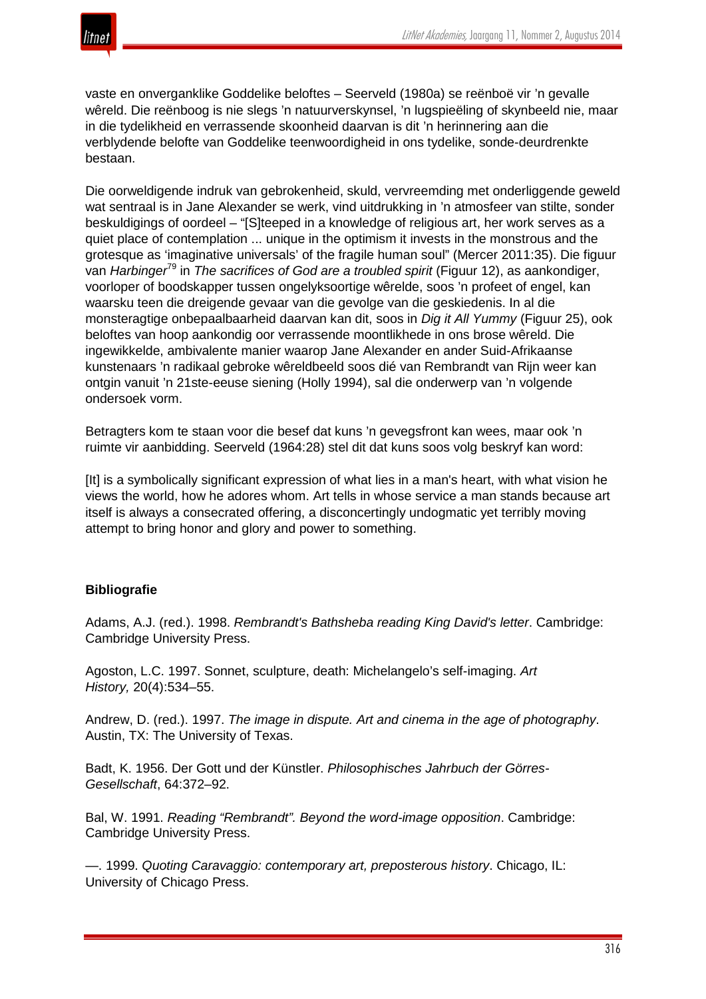

vaste en onverganklike Goddelike beloftes – Seerveld (1980a) se reënboë vir 'n gevalle wêreld. Die reënboog is nie slegs 'n natuurverskynsel, 'n lugspieëling of skynbeeld nie, maar in die tydelikheid en verrassende skoonheid daarvan is dit 'n herinnering aan die verblydende belofte van Goddelike teenwoordigheid in ons tydelike, sonde-deurdrenkte bestaan.

Die oorweldigende indruk van gebrokenheid, skuld, vervreemding met onderliggende geweld wat sentraal is in Jane Alexander se werk, vind uitdrukking in 'n atmosfeer van stilte, sonder beskuldigings of oordeel – "[S]teeped in a knowledge of religious art, her work serves as a quiet place of contemplation ... unique in the optimism it invests in the monstrous and the grotesque as 'imaginative universals' of the fragile human soul" (Mercer 2011:35). Die figuur van *Harbinger*<sup>79</sup> in *The sacrifices of God are a troubled spirit* (Figuur 12), as aankondiger, voorloper of boodskapper tussen ongelyksoortige wêrelde, soos 'n profeet of engel, kan waarsku teen die dreigende gevaar van die gevolge van die geskiedenis. In al die monsteragtige onbepaalbaarheid daarvan kan dit, soos in *Dig it All Yummy* (Figuur 25), ook beloftes van hoop aankondig oor verrassende moontlikhede in ons brose wêreld. Die ingewikkelde, ambivalente manier waarop Jane Alexander en ander Suid-Afrikaanse kunstenaars 'n radikaal gebroke wêreldbeeld soos dié van Rembrandt van Rijn weer kan ontgin vanuit 'n 21ste-eeuse siening (Holly 1994), sal die onderwerp van 'n volgende ondersoek vorm.

Betragters kom te staan voor die besef dat kuns 'n gevegsfront kan wees, maar ook 'n ruimte vir aanbidding. Seerveld (1964:28) stel dit dat kuns soos volg beskryf kan word:

[It] is a symbolically significant expression of what lies in a man's heart, with what vision he views the world, how he adores whom. Art tells in whose service a man stands because art itself is always a consecrated offering, a disconcertingly undogmatic yet terribly moving attempt to bring honor and glory and power to something.

## **Bibliografie**

Adams, A.J. (red.). 1998. *Rembrandt's Bathsheba reading King David's letter*. Cambridge: Cambridge University Press.

Agoston, L.C. 1997. Sonnet, sculpture, death: Michelangelo's self-imaging. *Art History,* 20(4):534–55.

Andrew, D. (red.). 1997. *The image in dispute. Art and cinema in the age of photography*. Austin, TX: The University of Texas.

Badt, K. 1956. Der Gott und der Künstler. *Philosophisches Jahrbuch der Görres-Gesellschaft*, 64:372–92.

Bal, W. 1991. *Reading "Rembrandt". Beyond the word-image opposition*. Cambridge: Cambridge University Press.

—. 1999. *Quoting Caravaggio: contemporary art, preposterous history*. Chicago, IL: University of Chicago Press.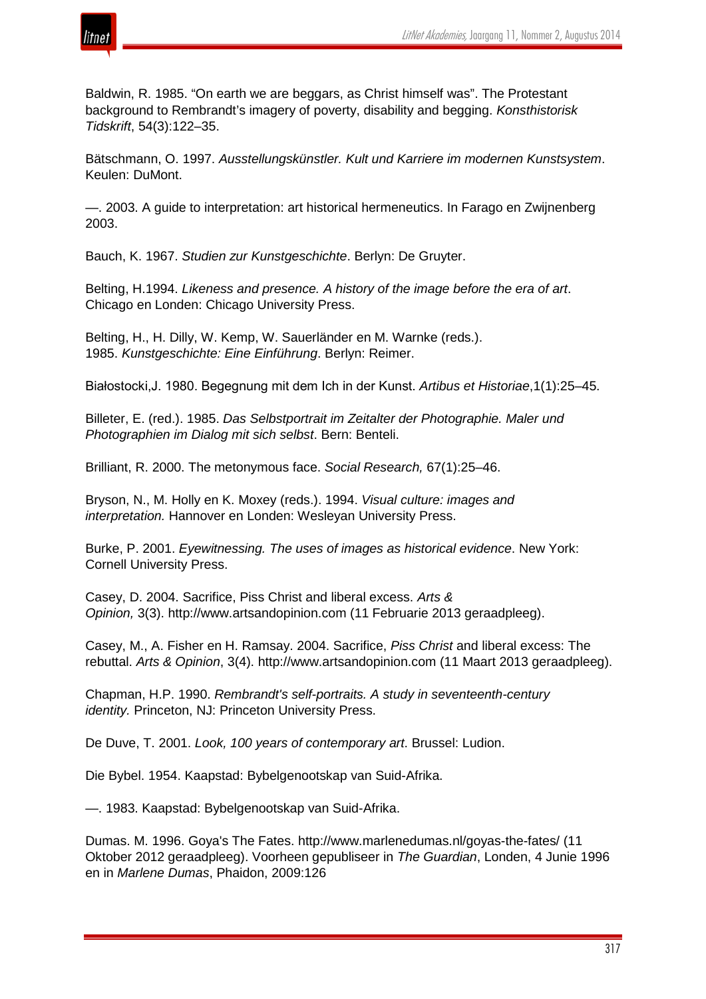

Baldwin, R. 1985. "On earth we are beggars, as Christ himself was". The Protestant background to Rembrandt's imagery of poverty, disability and begging. *Konsthistorisk Tidskrift*, 54(3):122–35.

Bätschmann, O. 1997. *Ausstellungskünstler. Kult und Karriere im modernen Kunstsystem*. Keulen: DuMont.

—. 2003. A guide to interpretation: art historical hermeneutics. In Farago en Zwijnenberg 2003.

Bauch, K. 1967. *Studien zur Kunstgeschichte*. Berlyn: De Gruyter.

Belting, H.1994. *Likeness and presence. A history of the image before the era of art*. Chicago en Londen: Chicago University Press.

Belting, H., H. Dilly, W. Kemp, W. Sauerländer en M. Warnke (reds.). 1985. *Kunstgeschichte: Eine Einführung*. Berlyn: Reimer.

Białostocki,J. 1980. Begegnung mit dem Ich in der Kunst. *Artibus et Historiae*,1(1):25–45.

Billeter, E. (red.). 1985. *Das Selbstportrait im Zeitalter der Photographie. Maler und Photographien im Dialog mit sich selbst*. Bern: Benteli.

Brilliant, R. 2000. The metonymous face. *Social Research,* 67(1):25–46.

Bryson, N., M. Holly en K. Moxey (reds.). 1994. *Visual culture: images and interpretation.* Hannover en Londen: Wesleyan University Press.

Burke, P. 2001. *Eyewitnessing. The uses of images as historical evidence*. New York: Cornell University Press.

Casey, D. 2004. Sacrifice, Piss Christ and liberal excess. *Arts & Opinion,* 3(3). http://www.artsandopinion.com (11 Februarie 2013 geraadpleeg).

Casey, M., A. Fisher en H. Ramsay. 2004. Sacrifice, *Piss Christ* and liberal excess: The rebuttal. *Arts & Opinion*, 3(4). http://www.artsandopinion.com (11 Maart 2013 geraadpleeg).

Chapman, H.P. 1990. *Rembrandt's self-portraits. A study in seventeenth-century identity.* Princeton, NJ: Princeton University Press.

De Duve, T. 2001. *Look, 100 years of contemporary art*. Brussel: Ludion.

Die Bybel. 1954. Kaapstad: Bybelgenootskap van Suid-Afrika.

—. 1983. Kaapstad: Bybelgenootskap van Suid-Afrika.

Dumas. M. 1996. Goya's The Fates. http://www.marlenedumas.nl/goyas-the-fates/ (11 Oktober 2012 geraadpleeg). Voorheen gepubliseer in *The Guardian*, Londen, 4 Junie 1996 en in *Marlene Dumas*, Phaidon, 2009:126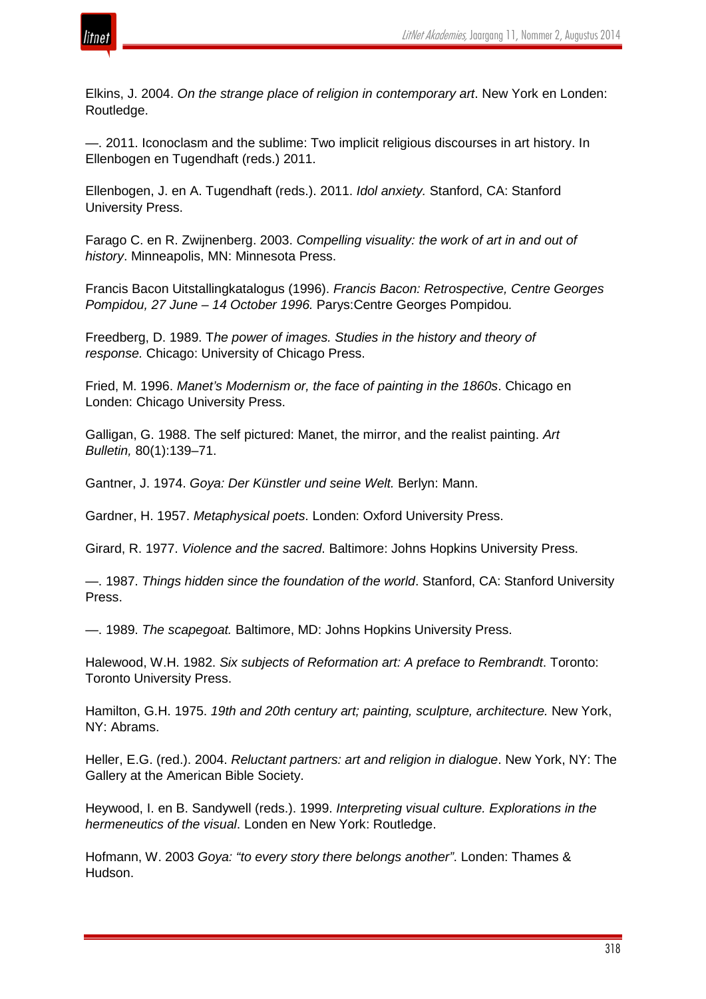

Elkins, J. 2004. *On the strange place of religion in contemporary art*. New York en Londen: Routledge.

—. 2011. Iconoclasm and the sublime: Two implicit religious discourses in art history. In Ellenbogen en Tugendhaft (reds.) 2011.

Ellenbogen, J. en A. Tugendhaft (reds.). 2011. *Idol anxiety.* Stanford, CA: Stanford University Press.

Farago C. en R. Zwijnenberg. 2003. *Compelling visuality: the work of art in and out of history*. Minneapolis, MN: Minnesota Press.

Francis Bacon Uitstallingkatalogus (1996). *Francis Bacon: Retrospective, Centre Georges Pompidou, 27 June – 14 October 1996.* Parys:Centre Georges Pompidou*.*

Freedberg, D. 1989. T*he power of images. Studies in the history and theory of response.* Chicago: University of Chicago Press.

Fried, M. 1996. *Manet's Modernism or, the face of painting in the 1860s*. Chicago en Londen: Chicago University Press.

Galligan, G. 1988. The self pictured: Manet, the mirror, and the realist painting. *Art Bulletin,* 80(1):139–71.

Gantner, J. 1974. *Goya: Der Künstler und seine Welt.* Berlyn: Mann.

Gardner, H. 1957. *Metaphysical poets*. Londen: Oxford University Press.

Girard, R. 1977. *Violence and the sacred*. Baltimore: Johns Hopkins University Press.

—. 1987. *Things hidden since the foundation of the world*. Stanford, CA: Stanford University Press.

—. 1989. *The scapegoat.* Baltimore, MD: Johns Hopkins University Press.

Halewood, W.H. 1982. *Six subjects of Reformation art: A preface to Rembrandt*. Toronto: Toronto University Press.

Hamilton, G.H. 1975. *19th and 20th century art; painting, sculpture, architecture.* New York, NY: Abrams.

Heller, E.G. (red.). 2004. *Reluctant partners: art and religion in dialogue*. New York, NY: The Gallery at the American Bible Society.

Heywood, I. en B. Sandywell (reds.). 1999. *Interpreting visual culture. Explorations in the hermeneutics of the visual*. Londen en New York: Routledge.

Hofmann, W. 2003 *Goya: "to every story there belongs another"*. Londen: Thames & Hudson.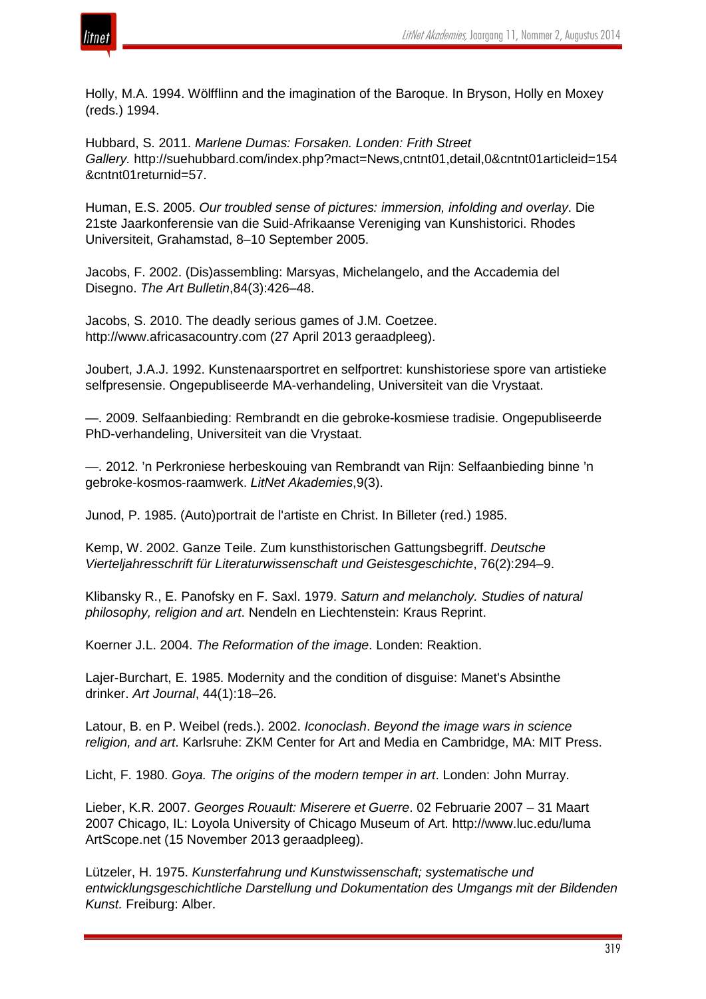

Holly, M.A. 1994. Wölfflinn and the imagination of the Baroque. In Bryson, Holly en Moxey (reds.) 1994.

Hubbard, S. 2011. *Marlene Dumas: Forsaken. Londen: Frith Street Gallery.* http://suehubbard.com/index.php?mact=News,cntnt01,detail,0&cntnt01articleid=154 &cntnt01returnid=57.

Human, E.S. 2005. *Our troubled sense of pictures: immersion, infolding and overlay*. Die 21ste Jaarkonferensie van die Suid-Afrikaanse Vereniging van Kunshistorici. Rhodes Universiteit, Grahamstad, 8–10 September 2005.

Jacobs, F. 2002. (Dis)assembling: Marsyas, Michelangelo, and the Accademia del Disegno. *The Art Bulletin*,84(3):426–48.

Jacobs, S. 2010. The deadly serious games of J.M. Coetzee. http://www.africasacountry.com (27 April 2013 geraadpleeg).

Joubert, J.A.J. 1992. Kunstenaarsportret en selfportret: kunshistoriese spore van artistieke selfpresensie. Ongepubliseerde MA-verhandeling, Universiteit van die Vrystaat.

—. 2009. Selfaanbieding: Rembrandt en die gebroke-kosmiese tradisie. Ongepubliseerde PhD-verhandeling, Universiteit van die Vrystaat.

—. 2012. 'n Perkroniese herbeskouing van Rembrandt van Rijn: Selfaanbieding binne 'n gebroke-kosmos-raamwerk. *LitNet Akademies*,9(3).

Junod, P. 1985. (Auto)portrait de l'artiste en Christ. In Billeter (red.) 1985.

Kemp, W. 2002. Ganze Teile. Zum kunsthistorischen Gattungsbegriff. *Deutsche Vierteljahresschrift für Literaturwissenschaft und Geistesgeschichte*, 76(2):294–9.

Klibansky R., E. Panofsky en F. Saxl. 1979. *Saturn and melancholy. Studies of natural philosophy, religion and art*. Nendeln en Liechtenstein: Kraus Reprint.

Koerner J.L. 2004. *The Reformation of the image*. Londen: Reaktion.

Lajer-Burchart, E. 1985. Modernity and the condition of disguise: Manet's Absinthe drinker. *Art Journal*, 44(1):18–26.

Latour, B. en P. Weibel (reds.). 2002. *Iconoclash*. *Beyond the image wars in science religion, and art*. Karlsruhe: ZKM Center for Art and Media en Cambridge, MA: MIT Press.

Licht, F. 1980. *Goya. The origins of the modern temper in art*. Londen: John Murray.

Lieber, K.R. 2007. *Georges Rouault: Miserere et Guerre*. 02 Februarie 2007 – 31 Maart 2007 Chicago, IL: Loyola University of Chicago Museum of Art. http://www.luc.edu/luma ArtScope.net (15 November 2013 geraadpleeg).

Lützeler, H. 1975. *Kunsterfahrung und Kunstwissenschaft; systematische und entwicklungsgeschichtliche Darstellung und Dokumentation des Umgangs mit der Bildenden Kunst.* Freiburg: Alber.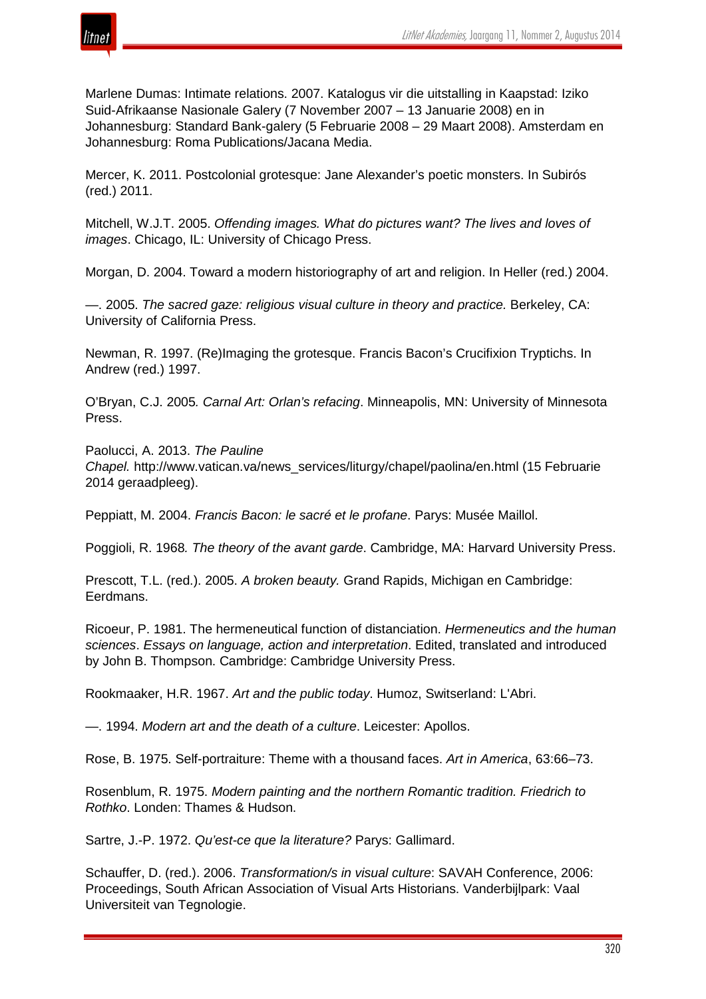

Marlene Dumas: Intimate relations. 2007. Katalogus vir die uitstalling in Kaapstad: Iziko Suid-Afrikaanse Nasionale Galery (7 November 2007 – 13 Januarie 2008) en in Johannesburg: Standard Bank-galery (5 Februarie 2008 – 29 Maart 2008). Amsterdam en Johannesburg: Roma Publications/Jacana Media.

Mercer, K. 2011. Postcolonial grotesque: Jane Alexander's poetic monsters. In Subirós (red.) 2011.

Mitchell, W.J.T. 2005. *Offending images. What do pictures want? The lives and loves of images*. Chicago, IL: University of Chicago Press.

Morgan, D. 2004. Toward a modern historiography of art and religion. In Heller (red.) 2004.

—. 2005. *The sacred gaze: religious visual culture in theory and practice.* Berkeley, CA: University of California Press.

Newman, R. 1997. (Re)Imaging the grotesque. Francis Bacon's Crucifixion Tryptichs. In Andrew (red.) 1997.

O'Bryan, C.J. 2005*. Carnal Art: Orlan's refacing*. Minneapolis, MN: University of Minnesota Press.

Paolucci, A. 2013. *The Pauline Chapel.* http://www.vatican.va/news\_services/liturgy/chapel/paolina/en.html (15 Februarie 2014 geraadpleeg).

Peppiatt, M. 2004. *Francis Bacon: le sacré et le profane*. Parys: Musée Maillol.

Poggioli, R. 1968*. The theory of the avant garde*. Cambridge, MA: Harvard University Press.

Prescott, T.L. (red.). 2005. *A broken beauty.* Grand Rapids, Michigan en Cambridge: Eerdmans.

Ricoeur, P. 1981. The hermeneutical function of distanciation. *Hermeneutics and the human sciences*. *Essays on language, action and interpretation*. Edited, translated and introduced by John B. Thompson. Cambridge: Cambridge University Press.

Rookmaaker, H.R. 1967. *Art and the public today*. Humoz, Switserland: L'Abri.

—. 1994. *Modern art and the death of a culture*. Leicester: Apollos.

Rose, B. 1975. Self-portraiture: Theme with a thousand faces. *Art in America*, 63:66–73.

Rosenblum, R. 1975. *Modern painting and the northern Romantic tradition. Friedrich to Rothko*. Londen: Thames & Hudson.

Sartre, J.-P. 1972. *Qu'est-ce que la literature?* Parys: Gallimard.

Schauffer, D. (red.). 2006. *Transformation/s in visual culture*: SAVAH Conference, 2006: Proceedings, South African Association of Visual Arts Historians. Vanderbijlpark: Vaal Universiteit van Tegnologie.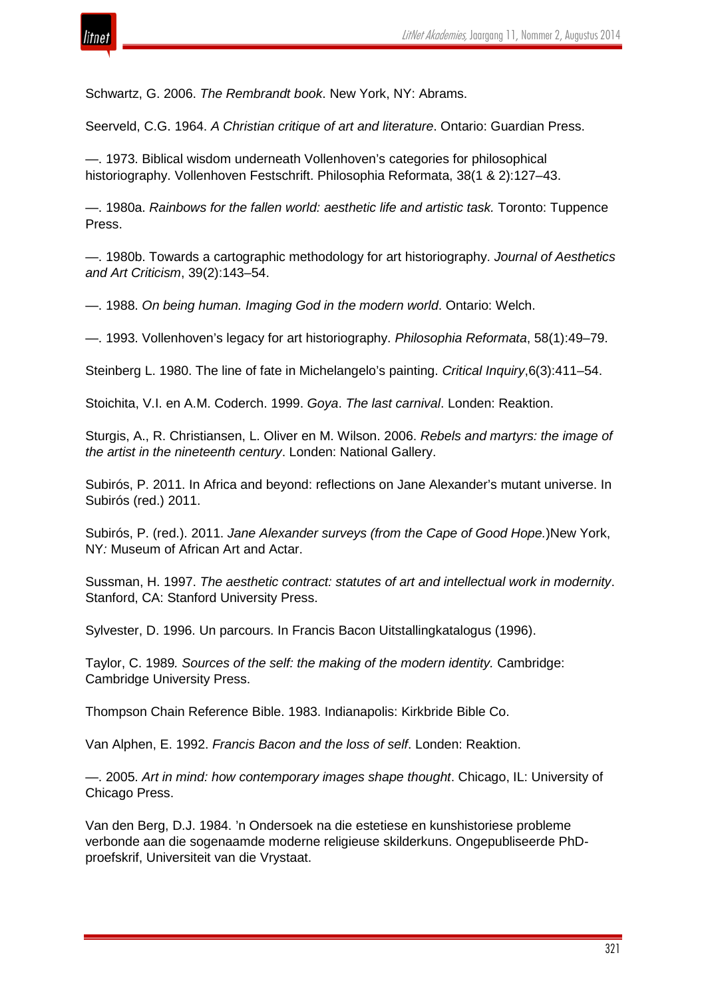

Schwartz, G. 2006. *The Rembrandt book*. New York, NY: Abrams.

Seerveld, C.G. 1964. *A Christian critique of art and literature*. Ontario: Guardian Press.

—. 1973. Biblical wisdom underneath Vollenhoven's categories for philosophical historiography. Vollenhoven Festschrift. Philosophia Reformata, 38(1 & 2):127–43.

—. 1980a. *Rainbows for the fallen world: aesthetic life and artistic task.* Toronto: Tuppence Press.

—. 1980b. Towards a cartographic methodology for art historiography. *Journal of Aesthetics and Art Criticism*, 39(2):143–54.

—. 1988. *On being human. Imaging God in the modern world*. Ontario: Welch.

—. 1993. Vollenhoven's legacy for art historiography. *Philosophia Reformata*, 58(1):49–79.

Steinberg L. 1980. The line of fate in Michelangelo's painting. *Critical Inquiry*,6(3):411–54.

Stoichita, V.I. en A.M. Coderch. 1999. *Goya*. *The last carnival*. Londen: Reaktion.

Sturgis, A., R. Christiansen, L. Oliver en M. Wilson. 2006. *Rebels and martyrs: the image of the artist in the nineteenth century*. Londen: National Gallery.

Subirós, P. 2011. In Africa and beyond: reflections on Jane Alexander's mutant universe. In Subirós (red.) 2011.

Subirós, P. (red.). 2011. *Jane Alexander surveys (from the Cape of Good Hope.*)New York, NY*:* Museum of African Art and Actar.

Sussman, H. 1997. *The aesthetic contract: statutes of art and intellectual work in modernity*. Stanford, CA: Stanford University Press.

Sylvester, D. 1996. Un parcours. In Francis Bacon Uitstallingkatalogus (1996).

Taylor, C. 1989*. Sources of the self: the making of the modern identity.* Cambridge: Cambridge University Press.

Thompson Chain Reference Bible. 1983. Indianapolis: Kirkbride Bible Co.

Van Alphen, E. 1992. *Francis Bacon and the loss of self*. Londen: Reaktion.

—. 2005. *Art in mind: how contemporary images shape thought*. Chicago, IL: University of Chicago Press.

Van den Berg, D.J. 1984. 'n Ondersoek na die estetiese en kunshistoriese probleme verbonde aan die sogenaamde moderne religieuse skilderkuns. Ongepubliseerde PhDproefskrif, Universiteit van die Vrystaat.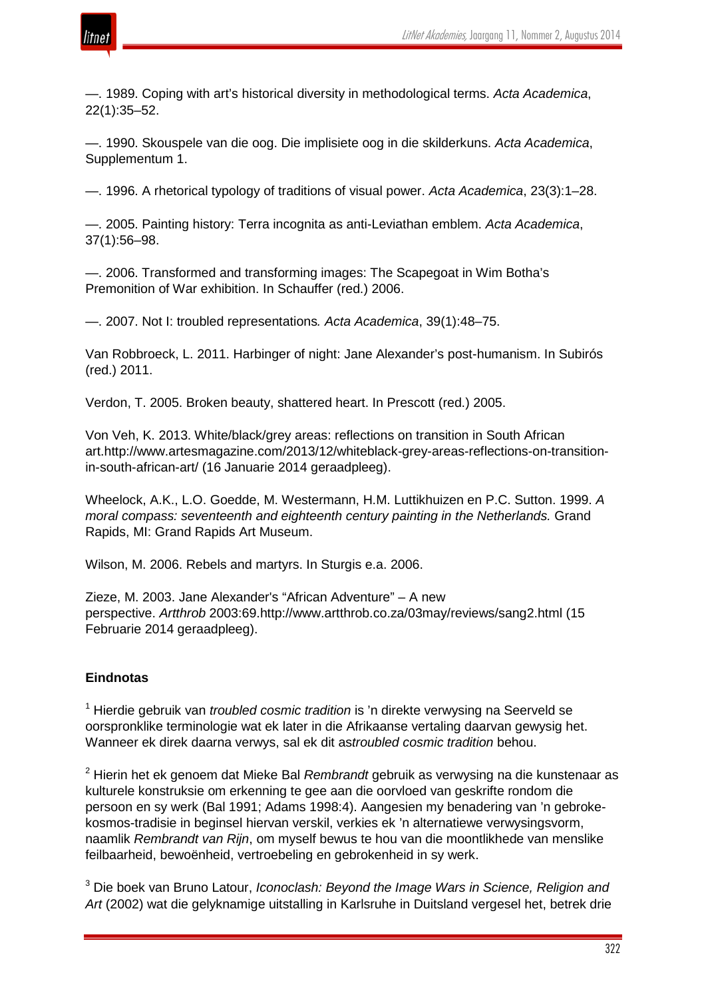

—. 1989. Coping with art's historical diversity in methodological terms. *Acta Academica*, 22(1):35–52.

—. 1990. Skouspele van die oog. Die implisiete oog in die skilderkuns. *Acta Academica*, Supplementum 1.

—. 1996. A rhetorical typology of traditions of visual power. *Acta Academica*, 23(3):1–28.

—. 2005. Painting history: Terra incognita as anti-Leviathan emblem. *Acta Academica*, 37(1):56–98.

—. 2006. Transformed and transforming images: The Scapegoat in Wim Botha's Premonition of War exhibition. In Schauffer (red.) 2006.

—. 2007. Not I: troubled representations*. Acta Academica*, 39(1):48–75.

Van Robbroeck, L. 2011. Harbinger of night: Jane Alexander's post-humanism. In Subirós (red.) 2011.

Verdon, T. 2005. Broken beauty, shattered heart. In Prescott (red.) 2005.

Von Veh, K. 2013. White/black/grey areas: reflections on transition in South African art.http://www.artesmagazine.com/2013/12/whiteblack-grey-areas-reflections-on-transitionin-south-african-art/ (16 Januarie 2014 geraadpleeg).

Wheelock, A.K., L.O. Goedde, M. Westermann, H.M. Luttikhuizen en P.C. Sutton. 1999. *A moral compass: seventeenth and eighteenth century painting in the Netherlands.* Grand Rapids, MI: Grand Rapids Art Museum.

Wilson, M. 2006. Rebels and martyrs. In Sturgis e.a. 2006.

Zieze, M. 2003. Jane Alexander's "African Adventure" – A new perspective. *Artthrob* 2003:69.http://www.artthrob.co.za/03may/reviews/sang2.html (15 Februarie 2014 geraadpleeg).

#### **Eindnotas**

<sup>1</sup> Hierdie gebruik van *troubled cosmic tradition* is 'n direkte verwysing na Seerveld se oorspronklike terminologie wat ek later in die Afrikaanse vertaling daarvan gewysig het. Wanneer ek direk daarna verwys, sal ek dit as*troubled cosmic tradition* behou.

<sup>2</sup> Hierin het ek genoem dat Mieke Bal *Rembrandt* gebruik as verwysing na die kunstenaar as kulturele konstruksie om erkenning te gee aan die oorvloed van geskrifte rondom die persoon en sy werk (Bal 1991; Adams 1998:4). Aangesien my benadering van 'n gebrokekosmos-tradisie in beginsel hiervan verskil, verkies ek 'n alternatiewe verwysingsvorm, naamlik *Rembrandt van Rijn*, om myself bewus te hou van die moontlikhede van menslike feilbaarheid, bewoënheid, vertroebeling en gebrokenheid in sy werk.

<sup>3</sup> Die boek van Bruno Latour, *Iconoclash: Beyond the Image Wars in Science, Religion and Art* (2002) wat die gelyknamige uitstalling in Karlsruhe in Duitsland vergesel het, betrek drie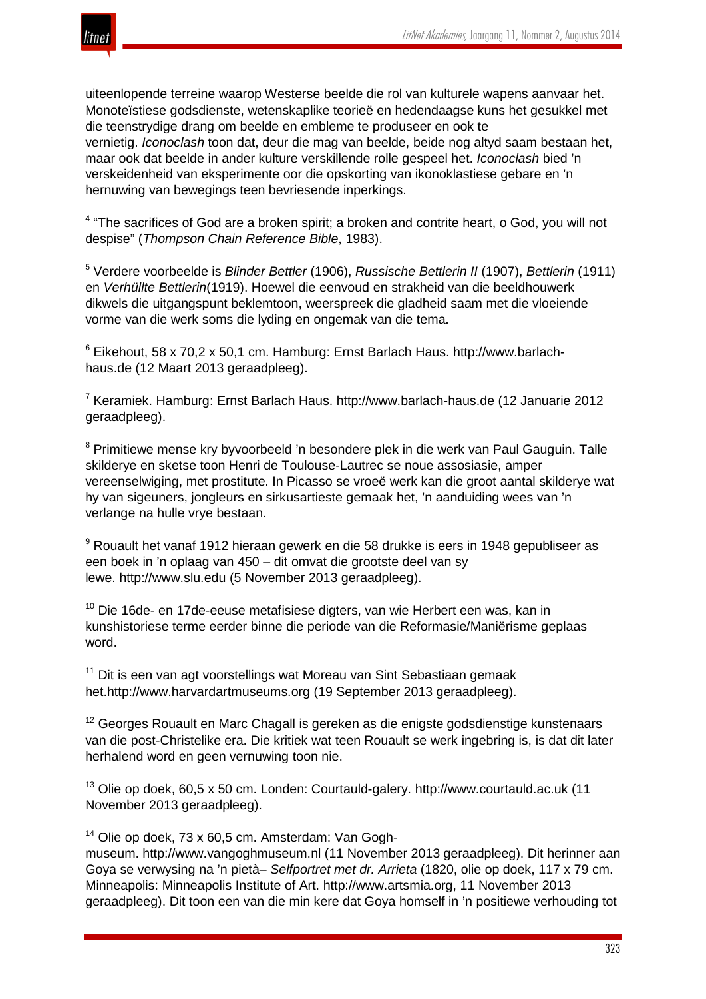

uiteenlopende terreine waarop Westerse beelde die rol van kulturele wapens aanvaar het. Monoteïstiese godsdienste, wetenskaplike teorieë en hedendaagse kuns het gesukkel met die teenstrydige drang om beelde en embleme te produseer en ook te vernietig. *Iconoclash* toon dat, deur die mag van beelde, beide nog altyd saam bestaan het, maar ook dat beelde in ander kulture verskillende rolle gespeel het. *Iconoclash* bied 'n verskeidenheid van eksperimente oor die opskorting van ikonoklastiese gebare en 'n hernuwing van bewegings teen bevriesende inperkings.

 $4$  "The sacrifices of God are a broken spirit; a broken and contrite heart, o God, you will not despise" (*Thompson Chain Reference Bible*, 1983).

<sup>5</sup> Verdere voorbeelde is *Blinder Bettler* (1906), *Russische Bettlerin II* (1907), *Bettlerin* (1911) en *Verhüllte Bettlerin*(1919). Hoewel die eenvoud en strakheid van die beeldhouwerk dikwels die uitgangspunt beklemtoon, weerspreek die gladheid saam met die vloeiende vorme van die werk soms die lyding en ongemak van die tema.

 $6$  Eikehout, 58 x 70,2 x 50,1 cm. Hamburg: Ernst Barlach Haus. http://www.barlachhaus.de (12 Maart 2013 geraadpleeg).

<sup>7</sup> Keramiek. Hamburg: Ernst Barlach Haus. http://www.barlach-haus.de (12 Januarie 2012 geraadpleeg).

<sup>8</sup> Primitiewe mense kry byvoorbeeld 'n besondere plek in die werk van Paul Gauguin. Talle skilderye en sketse toon Henri de Toulouse-Lautrec se noue assosiasie, amper vereenselwiging, met prostitute. In Picasso se vroeë werk kan die groot aantal skilderye wat hy van sigeuners, jongleurs en sirkusartieste gemaak het, 'n aanduiding wees van 'n verlange na hulle vrye bestaan.

<sup>9</sup> Rouault het vanaf 1912 hieraan gewerk en die 58 drukke is eers in 1948 gepubliseer as een boek in 'n oplaag van 450 – dit omvat die grootste deel van sy lewe. http://www.slu.edu (5 November 2013 geraadpleeg).

 $10$  Die 16de- en 17de-eeuse metafisiese digters, van wie Herbert een was, kan in kunshistoriese terme eerder binne die periode van die Reformasie/Maniërisme geplaas word.

<sup>11</sup> Dit is een van agt voorstellings wat Moreau van Sint Sebastiaan gemaak het.http://www.harvardartmuseums.org (19 September 2013 geraadpleeg).

<sup>12</sup> Georges Rouault en Marc Chagall is gereken as die enigste godsdienstige kunstenaars van die post-Christelike era. Die kritiek wat teen Rouault se werk ingebring is, is dat dit later herhalend word en geen vernuwing toon nie.

<sup>13</sup> Olie op doek, 60,5 x 50 cm. Londen: Courtauld-galery. http://www.courtauld.ac.uk (11 November 2013 geraadpleeg).

<sup>14</sup> Olie op doek, 73 x 60,5 cm. Amsterdam: Van Gogh-

museum. http://www.vangoghmuseum.nl (11 November 2013 geraadpleeg). Dit herinner aan Goya se verwysing na 'n pietà– *Selfportret met dr. Arrieta* (1820, olie op doek, 117 x 79 cm. Minneapolis: Minneapolis Institute of Art. http://www.artsmia.org, 11 November 2013 geraadpleeg). Dit toon een van die min kere dat Goya homself in 'n positiewe verhouding tot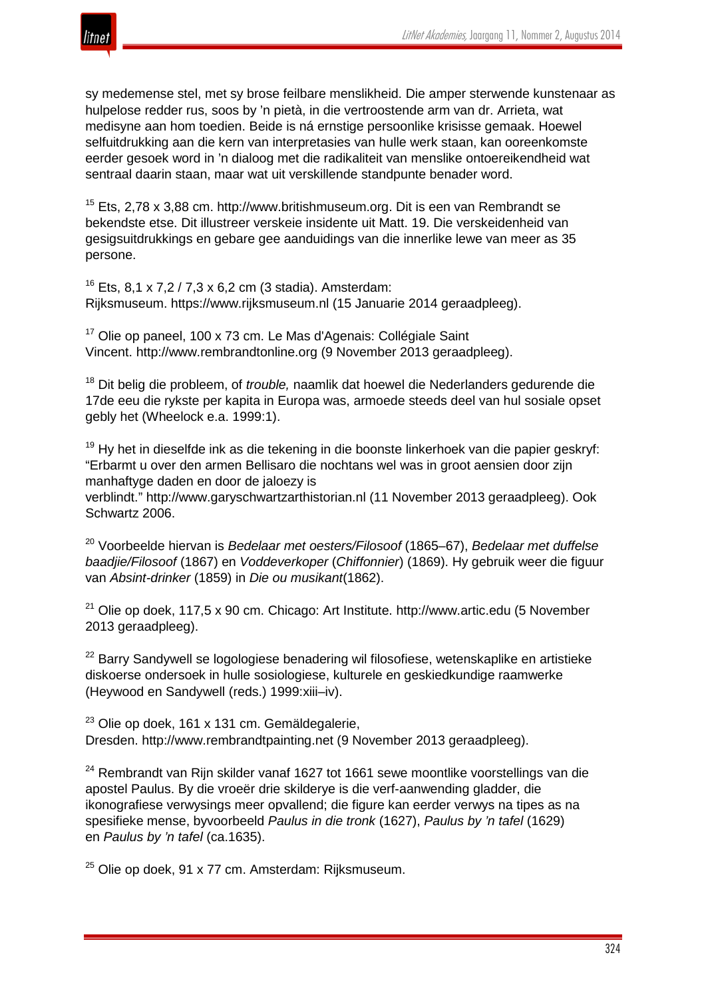

sy medemense stel, met sy brose feilbare menslikheid. Die amper sterwende kunstenaar as hulpelose redder rus, soos by 'n pietà, in die vertroostende arm van dr. Arrieta, wat medisyne aan hom toedien. Beide is ná ernstige persoonlike krisisse gemaak. Hoewel selfuitdrukking aan die kern van interpretasies van hulle werk staan, kan ooreenkomste eerder gesoek word in 'n dialoog met die radikaliteit van menslike ontoereikendheid wat sentraal daarin staan, maar wat uit verskillende standpunte benader word.

 $15$  Ets, 2,78 x 3,88 cm. http://www.britishmuseum.org. Dit is een van Rembrandt se bekendste etse. Dit illustreer verskeie insidente uit Matt. 19. Die verskeidenheid van gesigsuitdrukkings en gebare gee aanduidings van die innerlike lewe van meer as 35 persone.

 $16$  Ets, 8,1 x 7,2 / 7,3 x 6,2 cm (3 stadia). Amsterdam: Rijksmuseum. https://www.rijksmuseum.nl (15 Januarie 2014 geraadpleeg).

<sup>17</sup> Olie op paneel, 100 x 73 cm. Le Mas d'Agenais: Collégiale Saint Vincent. http://www.rembrandtonline.org (9 November 2013 geraadpleeg).

<sup>18</sup> Dit belig die probleem, of *trouble,* naamlik dat hoewel die Nederlanders gedurende die 17de eeu die rykste per kapita in Europa was, armoede steeds deel van hul sosiale opset gebly het (Wheelock e.a. 1999:1).

 $19$  Hy het in dieselfde ink as die tekening in die boonste linkerhoek van die papier geskryf: "Erbarmt u over den armen Bellisaro die nochtans wel was in groot aensien door zijn manhaftyge daden en door de jaloezy is verblindt." http://www.garyschwartzarthistorian.nl (11 November 2013 geraadpleeg). Ook Schwartz 2006.

<sup>20</sup> Voorbeelde hiervan is *Bedelaar met oesters/Filosoof* (1865–67), *Bedelaar met duffelse baadjie/Filosoof* (1867) en *Voddeverkoper* (*Chiffonnier*) (1869). Hy gebruik weer die figuur van *Absint-drinker* (1859) in *Die ou musikant*(1862).

 $21$  Olie op doek, 117,5 x 90 cm. Chicago: Art Institute. http://www.artic.edu (5 November 2013 geraadpleeg).

<sup>22</sup> Barry Sandywell se logologiese benadering wil filosofiese, wetenskaplike en artistieke diskoerse ondersoek in hulle sosiologiese, kulturele en geskiedkundige raamwerke (Heywood en Sandywell (reds.) 1999:xiii–iv).

 $23$  Olie op doek, 161 x 131 cm. Gemäldegalerie, Dresden. http://www.rembrandtpainting.net (9 November 2013 geraadpleeg).

 $24$  Rembrandt van Rijn skilder vanaf 1627 tot 1661 sewe moontlike voorstellings van die apostel Paulus. By die vroeër drie skilderye is die verf-aanwending gladder, die ikonografiese verwysings meer opvallend; die figure kan eerder verwys na tipes as na spesifieke mense, byvoorbeeld *Paulus in die tronk* (1627), *Paulus by 'n tafel* (1629) en *Paulus by 'n tafel* (ca.1635).

 $25$  Olie op doek, 91 x 77 cm. Amsterdam: Rijksmuseum.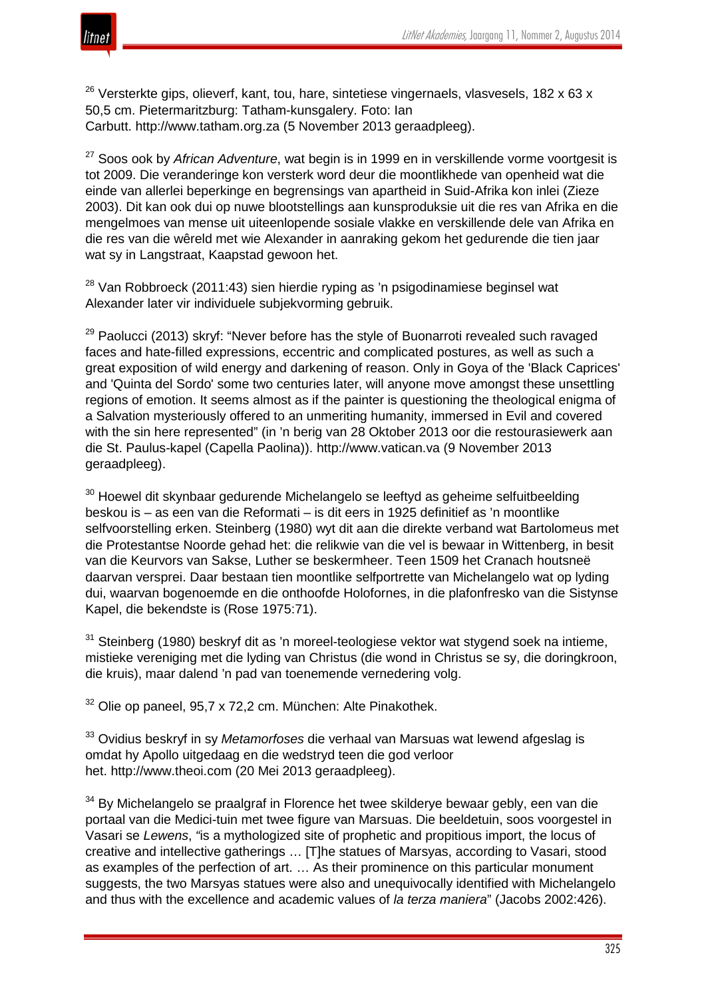

 $26$  Versterkte gips, olieverf, kant, tou, hare, sintetiese vingernaels, vlasvesels, 182 x 63 x 50,5 cm. Pietermaritzburg: Tatham-kunsgalery. Foto: Ian Carbutt. http://www.tatham.org.za (5 November 2013 geraadpleeg).

<sup>27</sup> Soos ook by *African Adventure*, wat begin is in 1999 en in verskillende vorme voortgesit is tot 2009. Die veranderinge kon versterk word deur die moontlikhede van openheid wat die einde van allerlei beperkinge en begrensings van apartheid in Suid-Afrika kon inlei (Zieze 2003). Dit kan ook dui op nuwe blootstellings aan kunsproduksie uit die res van Afrika en die mengelmoes van mense uit uiteenlopende sosiale vlakke en verskillende dele van Afrika en die res van die wêreld met wie Alexander in aanraking gekom het gedurende die tien jaar wat sy in Langstraat, Kaapstad gewoon het.

 $28$  Van Robbroeck (2011:43) sien hierdie ryping as 'n psigodinamiese beginsel wat Alexander later vir individuele subjekvorming gebruik.

<sup>29</sup> Paolucci (2013) skryf: "Never before has the style of Buonarroti revealed such ravaged faces and hate-filled expressions, eccentric and complicated postures, as well as such a great exposition of wild energy and darkening of reason. Only in Goya of the 'Black Caprices' and 'Quinta del Sordo' some two centuries later, will anyone move amongst these unsettling regions of emotion. It seems almost as if the painter is questioning the theological enigma of a Salvation mysteriously offered to an unmeriting humanity, immersed in Evil and covered with the sin here represented" (in 'n berig van 28 Oktober 2013 oor die restourasiewerk aan die St. Paulus-kapel (Capella Paolina)). http://www.vatican.va (9 November 2013 geraadpleeg).

 $30$  Hoewel dit skynbaar gedurende Michelangelo se leeftyd as geheime selfuitbeelding beskou is – as een van die Reformati *–* is dit eers in 1925 definitief as 'n moontlike selfvoorstelling erken. Steinberg (1980) wyt dit aan die direkte verband wat Bartolomeus met die Protestantse Noorde gehad het: die relikwie van die vel is bewaar in Wittenberg, in besit van die Keurvors van Sakse, Luther se beskermheer. Teen 1509 het Cranach houtsneë daarvan versprei. Daar bestaan tien moontlike selfportrette van Michelangelo wat op lyding dui, waarvan bogenoemde en die onthoofde Holofornes, in die plafonfresko van die Sistynse Kapel, die bekendste is (Rose 1975:71).

 $31$  Steinberg (1980) beskryf dit as 'n moreel-teologiese vektor wat stygend soek na intieme, mistieke vereniging met die lyding van Christus (die wond in Christus se sy, die doringkroon, die kruis), maar dalend 'n pad van toenemende vernedering volg.

 $32$  Olie op paneel, 95,7 x 72,2 cm. München: Alte Pinakothek.

<sup>33</sup> Ovidius beskryf in sy *Metamorfoses* die verhaal van Marsuas wat lewend afgeslag is omdat hy Apollo uitgedaag en die wedstryd teen die god verloor het. http://www.theoi.com (20 Mei 2013 geraadpleeg).

 $34$  By Michelangelo se praalgraf in Florence het twee skilderve bewaar gebly, een van die portaal van die Medici-tuin met twee figure van Marsuas. Die beeldetuin, soos voorgestel in Vasari se *Lewens*, *"*is a mythologized site of prophetic and propitious import, the locus of creative and intellective gatherings … [T]he statues of Marsyas, according to Vasari, stood as examples of the perfection of art. … As their prominence on this particular monument suggests, the two Marsyas statues were also and unequivocally identified with Michelangelo and thus with the excellence and academic values of *la terza maniera*" (Jacobs 2002:426).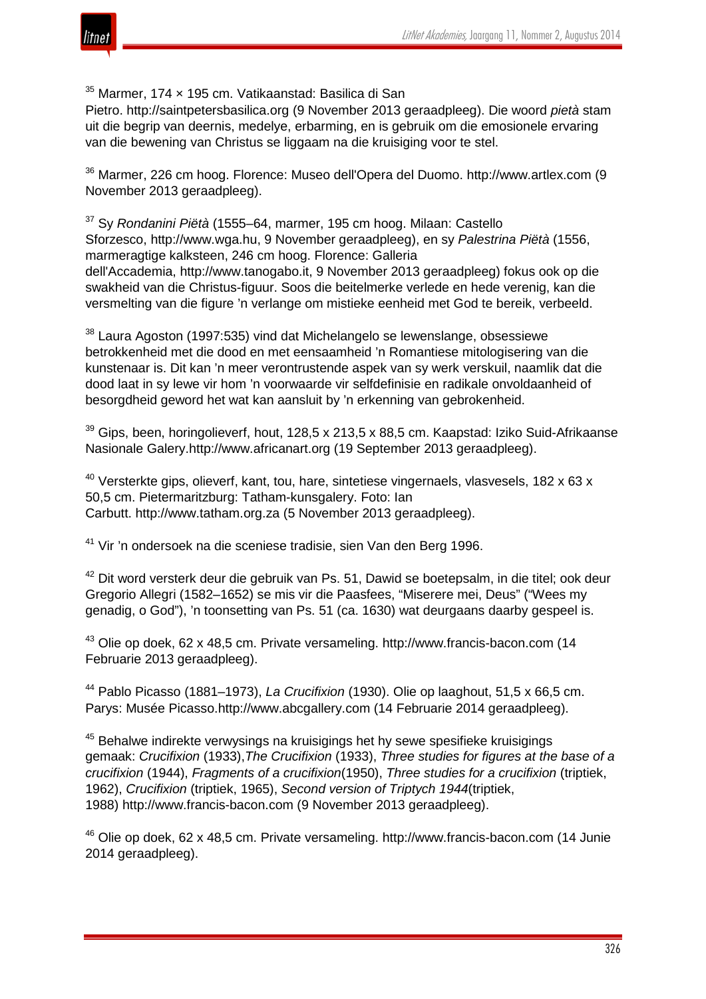

<sup>35</sup> Marmer, 174 x 195 cm. Vatikaanstad: Basilica di San

Pietro. http://saintpetersbasilica.org (9 November 2013 geraadpleeg). Die woord *pietà* stam uit die begrip van deernis, medelye, erbarming, en is gebruik om die emosionele ervaring van die bewening van Christus se liggaam na die kruisiging voor te stel.

<sup>36</sup> Marmer, 226 cm hoog. Florence: Museo dell'Opera del Duomo. http://www.artlex.com (9 November 2013 geraadpleeg).

<sup>37</sup> Sy *Rondanini Piëtà* (1555–64, marmer, 195 cm hoog. Milaan: Castello Sforzesco, http://www.wga.hu, 9 November geraadpleeg), en sy *Palestrina Piëtà* (1556, marmeragtige kalksteen, 246 cm hoog. Florence: Galleria dell'Accademia, http://www.tanogabo.it, 9 November 2013 geraadpleeg) fokus ook op die swakheid van die Christus-figuur. Soos die beitelmerke verlede en hede verenig, kan die versmelting van die figure 'n verlange om mistieke eenheid met God te bereik, verbeeld.

<sup>38</sup> Laura Agoston (1997:535) vind dat Michelangelo se lewenslange, obsessiewe betrokkenheid met die dood en met eensaamheid 'n Romantiese mitologisering van die kunstenaar is. Dit kan 'n meer verontrustende aspek van sy werk verskuil, naamlik dat die dood laat in sy lewe vir hom 'n voorwaarde vir selfdefinisie en radikale onvoldaanheid of besorgdheid geword het wat kan aansluit by 'n erkenning van gebrokenheid.

 $39$  Gips, been, horingolieverf, hout, 128,5 x 213,5 x 88,5 cm. Kaapstad: Iziko Suid-Afrikaanse Nasionale Galery.http://www.africanart.org (19 September 2013 geraadpleeg).

 $40$  Versterkte gips, olieverf, kant, tou, hare, sintetiese vingernaels, vlasvesels, 182 x 63 x 50,5 cm. Pietermaritzburg: Tatham-kunsgalery. Foto: Ian Carbutt. http://www.tatham.org.za (5 November 2013 geraadpleeg).

<sup>41</sup> Vir 'n ondersoek na die sceniese tradisie, sien Van den Berg 1996.

 $42$  Dit word versterk deur die gebruik van Ps. 51, Dawid se boetepsalm, in die titel; ook deur Gregorio Allegri (1582–1652) se mis vir die Paasfees, "Miserere mei, Deus" ("Wees my genadig, o God"), 'n toonsetting van Ps. 51 (ca. 1630) wat deurgaans daarby gespeel is.

<sup>43</sup> Olie op doek, 62 x 48,5 cm. Private versameling. http://www.francis-bacon.com (14 Februarie 2013 geraadpleeg).

<sup>44</sup> Pablo Picasso (1881–1973), *La Crucifixion* (1930). Olie op laaghout, 51,5 x 66,5 cm. Parys: Musée Picasso.http://www.abcgallery.com (14 Februarie 2014 geraadpleeg).

<sup>45</sup> Behalwe indirekte verwysings na kruisigings het hy sewe spesifieke kruisigings gemaak: *Crucifixion* (1933),*The Crucifixion* (1933), *Three studies for figures at the base of a crucifixion* (1944), *Fragments of a crucifixion*(1950), *Three studies for a crucifixion* (triptiek, 1962), *Crucifixion* (triptiek, 1965), *Second version of Triptych 1944*(triptiek, 1988) http://www.francis-bacon.com (9 November 2013 geraadpleeg).

<sup>46</sup> Olie op doek, 62 x 48,5 cm. Private versameling. http://www.francis-bacon.com (14 Junie 2014 geraadpleeg).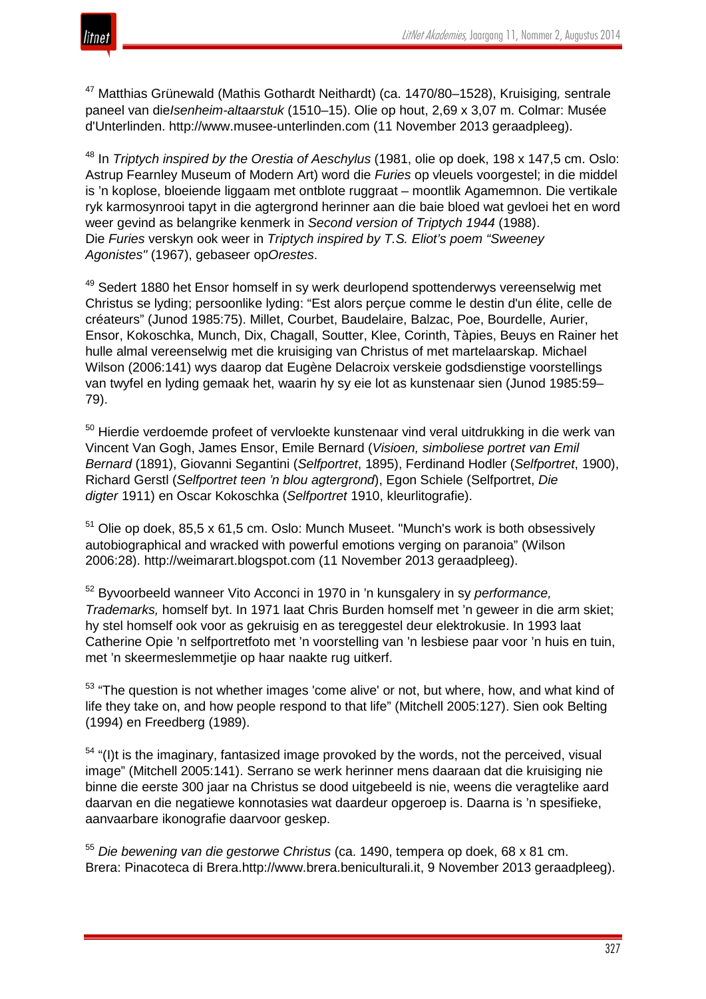

<sup>47</sup> Matthias Grünewald (Mathis Gothardt Neithardt) (ca. 1470/80–1528), Kruisiging*,* sentrale paneel van die*Isenheim-altaarstuk* (1510–15). Olie op hout, 2,69 x 3,07 m. Colmar: Musée d'Unterlinden. http://www.musee-unterlinden.com (11 November 2013 geraadpleeg).

<sup>48</sup> In *Triptych inspired by the Orestia of Aeschylus* (1981, olie op doek, 198 x 147,5 cm. Oslo: Astrup Fearnley Museum of Modern Art) word die *Furies* op vleuels voorgestel; in die middel is 'n koplose, bloeiende liggaam met ontblote ruggraat – moontlik Agamemnon. Die vertikale ryk karmosynrooi tapyt in die agtergrond herinner aan die baie bloed wat gevloei het en word weer gevind as belangrike kenmerk in *Second version of Triptych 1944* (1988). Die *Furies* verskyn ook weer in *Triptych inspired by T.S. Eliot's poem "Sweeney Agonistes"* (1967), gebaseer op*Orestes*.

<sup>49</sup> Sedert 1880 het Ensor homself in sy werk deurlopend spottenderwys vereenselwig met Christus se lyding; persoonlike lyding: "Est alors perçue comme le destin d'un élite, celle de créateurs" (Junod 1985:75). Millet, Courbet, Baudelaire, Balzac, Poe, Bourdelle, Aurier, Ensor, Kokoschka, Munch, Dix, Chagall, Soutter, Klee, Corinth, Tàpies, Beuys en Rainer het hulle almal vereenselwig met die kruisiging van Christus of met martelaarskap. Michael Wilson (2006:141) wys daarop dat Eugène Delacroix verskeie godsdienstige voorstellings van twyfel en lyding gemaak het, waarin hy sy eie lot as kunstenaar sien (Junod 1985:59– 79).

 $50$  Hierdie verdoemde profeet of vervloekte kunstenaar vind veral uitdrukking in die werk van Vincent Van Gogh, James Ensor, Emile Bernard (*Visioen, simboliese portret van Emil Bernard* (1891), Giovanni Segantini (*Selfportret*, 1895), Ferdinand Hodler (*Selfportret*, 1900), Richard Gerstl (*Selfportret teen 'n blou agtergrond*), Egon Schiele (Selfportret, *Die digter* 1911) en Oscar Kokoschka (*Selfportret* 1910, kleurlitografie).

 $51$  Olie op doek, 85,5 x 61,5 cm. Oslo: Munch Museet. "Munch's work is both obsessively autobiographical and wracked with powerful emotions verging on paranoia" (Wilson 2006:28). http://weimarart.blogspot.com (11 November 2013 geraadpleeg).

<sup>52</sup> Byvoorbeeld wanneer Vito Acconci in 1970 in 'n kunsgalery in sy *performance, Trademarks,* homself byt. In 1971 laat Chris Burden homself met 'n geweer in die arm skiet; hy stel homself ook voor as gekruisig en as tereggestel deur elektrokusie. In 1993 laat Catherine Opie 'n selfportretfoto met 'n voorstelling van 'n lesbiese paar voor 'n huis en tuin, met 'n skeermeslemmetjie op haar naakte rug uitkerf.

<sup>53</sup> "The question is not whether images 'come alive' or not, but where, how, and what kind of life they take on, and how people respond to that life" (Mitchell 2005:127). Sien ook Belting (1994) en Freedberg (1989).

 $54$  "(I)t is the imaginary, fantasized image provoked by the words, not the perceived, visual image" (Mitchell 2005:141). Serrano se werk herinner mens daaraan dat die kruisiging nie binne die eerste 300 jaar na Christus se dood uitgebeeld is nie, weens die veragtelike aard daarvan en die negatiewe konnotasies wat daardeur opgeroep is. Daarna is 'n spesifieke, aanvaarbare ikonografie daarvoor geskep.

<sup>55</sup> *Die bewening van die gestorwe Christus* (ca. 1490, tempera op doek, 68 x 81 cm. Brera: Pinacoteca di Brera.http://www.brera.beniculturali.it, 9 November 2013 geraadpleeg).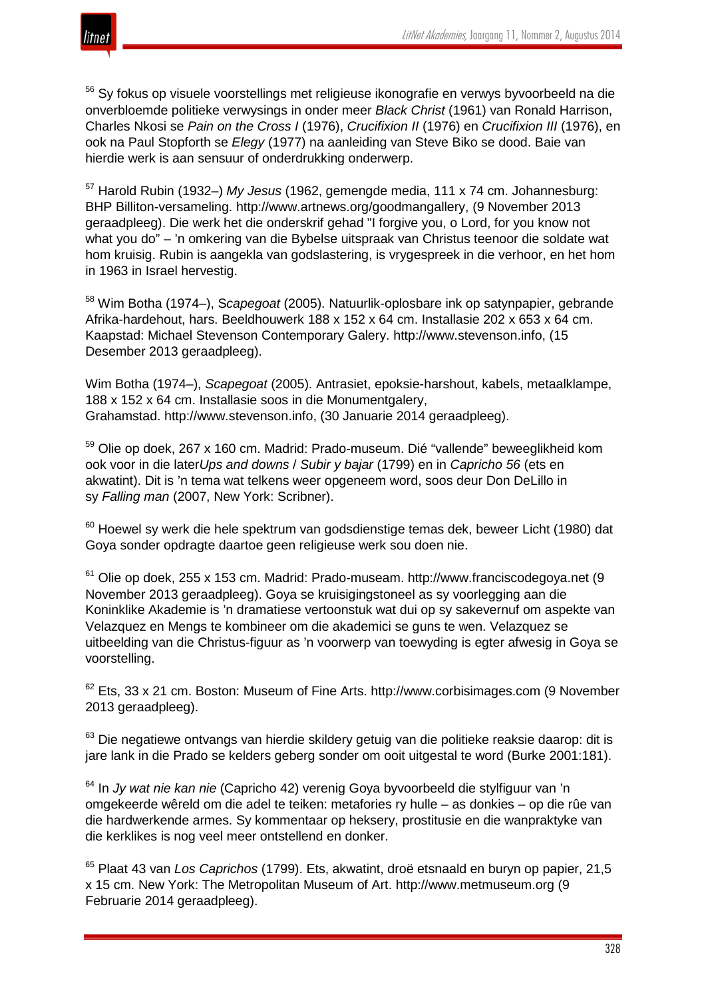

<sup>56</sup> Sy fokus op visuele voorstellings met religieuse ikonografie en verwys byvoorbeeld na die onverbloemde politieke verwysings in onder meer *Black Christ* (1961) van Ronald Harrison, Charles Nkosi se *Pain on the Cross I* (1976), *Crucifixion II* (1976) en *Crucifixion III* (1976), en ook na Paul Stopforth se *Elegy* (1977) na aanleiding van Steve Biko se dood. Baie van hierdie werk is aan sensuur of onderdrukking onderwerp.

<sup>57</sup> Harold Rubin (1932–) *My Jesus* (1962, gemengde media, 111 x 74 cm. Johannesburg: BHP Billiton-versameling. http://www.artnews.org/goodmangallery, (9 November 2013 geraadpleeg). Die werk het die onderskrif gehad "I forgive you, o Lord, for you know not what you do" – 'n omkering van die Bybelse uitspraak van Christus teenoor die soldate wat hom kruisig. Rubin is aangekla van godslastering, is vrygespreek in die verhoor, en het hom in 1963 in Israel hervestig.

<sup>58</sup> Wim Botha (1974–), S*capegoat* (2005). Natuurlik-oplosbare ink op satynpapier, gebrande Afrika-hardehout, hars. Beeldhouwerk 188 x 152 x 64 cm. Installasie 202 x 653 x 64 cm. Kaapstad: Michael Stevenson Contemporary Galery. http://www.stevenson.info, (15 Desember 2013 geraadpleeg).

Wim Botha (1974–), *Scapegoat* (2005). Antrasiet, epoksie-harshout, kabels, metaalklampe, 188 x 152 x 64 cm. Installasie soos in die Monumentgalery, Grahamstad. http://www.stevenson.info, (30 Januarie 2014 geraadpleeg).

<sup>59</sup> Olie op doek, 267 x 160 cm. Madrid: Prado-museum. Dié "vallende" beweeglikheid kom ook voor in die later*Ups and downs* / *Subir y bajar* (1799) en in *Capricho 56* (ets en akwatint). Dit is 'n tema wat telkens weer opgeneem word, soos deur Don DeLillo in sy *Falling man* (2007, New York: Scribner).

 $60$  Hoewel sy werk die hele spektrum van godsdienstige temas dek, beweer Licht (1980) dat Goya sonder opdragte daartoe geen religieuse werk sou doen nie.

<sup>61</sup> Olie op doek, 255 x 153 cm. Madrid: Prado-museam. http://www.franciscodegoya.net (9 November 2013 geraadpleeg). Goya se kruisigingstoneel as sy voorlegging aan die Koninklike Akademie is 'n dramatiese vertoonstuk wat dui op sy sakevernuf om aspekte van Velazquez en Mengs te kombineer om die akademici se guns te wen. Velazquez se uitbeelding van die Christus-figuur as 'n voorwerp van toewyding is egter afwesig in Goya se voorstelling.

 $62$  Ets, 33 x 21 cm. Boston: Museum of Fine Arts. http://www.corbisimages.com (9 November 2013 geraadpleeg).

 $63$  Die negatiewe ontvangs van hierdie skildery getuig van die politieke reaksie daarop: dit is jare lank in die Prado se kelders geberg sonder om ooit uitgestal te word (Burke 2001:181).

<sup>64</sup> In *Jy wat nie kan nie* (Capricho 42) verenig Goya byvoorbeeld die stylfiguur van 'n omgekeerde wêreld om die adel te teiken: metafories ry hulle – as donkies – op die rûe van die hardwerkende armes. Sy kommentaar op heksery, prostitusie en die wanpraktyke van die kerklikes is nog veel meer ontstellend en donker.

<sup>65</sup> Plaat 43 van *Los Caprichos* (1799). Ets, akwatint, droë etsnaald en buryn op papier, 21,5 x 15 cm. New York: The Metropolitan Museum of Art. http://www.metmuseum.org (9 Februarie 2014 geraadpleeg).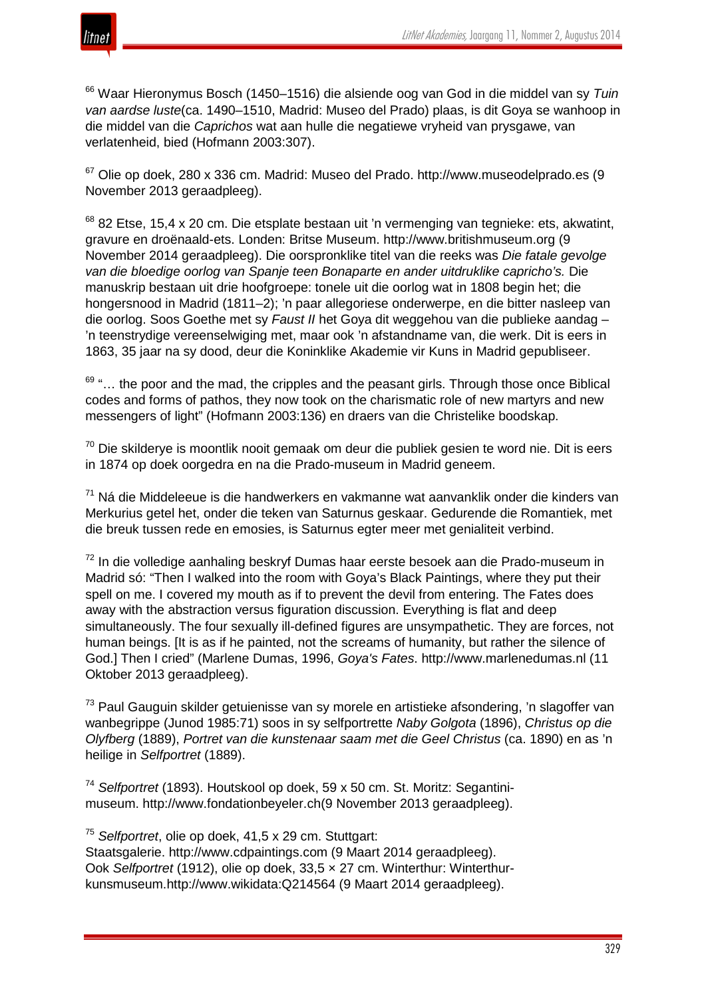



<sup>66</sup> Waar Hieronymus Bosch (1450–1516) die alsiende oog van God in die middel van sy *Tuin van aardse luste*(ca. 1490–1510, Madrid: Museo del Prado) plaas, is dit Goya se wanhoop in die middel van die *Caprichos* wat aan hulle die negatiewe vryheid van prysgawe, van verlatenheid, bied (Hofmann 2003:307).

 $67$  Olie op doek, 280 x 336 cm. Madrid: Museo del Prado. http://www.museodelprado.es (9 November 2013 geraadpleeg).

 $68$  82 Etse, 15,4 x 20 cm. Die etsplate bestaan uit 'n vermenging van tegnieke: ets, akwatint, gravure en droënaald-ets. Londen: Britse Museum. http://www.britishmuseum.org (9 November 2014 geraadpleeg). Die oorspronklike titel van die reeks was *Die fatale gevolge van die bloedige oorlog van Spanje teen Bonaparte en ander uitdruklike capricho's.* Die manuskrip bestaan uit drie hoofgroepe: tonele uit die oorlog wat in 1808 begin het; die hongersnood in Madrid (1811–2); 'n paar allegoriese onderwerpe, en die bitter nasleep van die oorlog. Soos Goethe met sy *Faust II* het Goya dit weggehou van die publieke aandag – 'n teenstrydige vereenselwiging met, maar ook 'n afstandname van, die werk. Dit is eers in 1863, 35 jaar na sy dood, deur die Koninklike Akademie vir Kuns in Madrid gepubliseer.

 $69$  "... the poor and the mad, the cripples and the peasant girls. Through those once Biblical codes and forms of pathos, they now took on the charismatic role of new martyrs and new messengers of light" (Hofmann 2003:136) en draers van die Christelike boodskap.

 $70$  Die skilderye is moontlik nooit gemaak om deur die publiek gesien te word nie. Dit is eers in 1874 op doek oorgedra en na die Prado-museum in Madrid geneem.

 $71$  Ná die Middeleeue is die handwerkers en vakmanne wat aanvanklik onder die kinders van Merkurius getel het, onder die teken van Saturnus geskaar. Gedurende die Romantiek, met die breuk tussen rede en emosies, is Saturnus egter meer met genialiteit verbind.

<sup>72</sup> In die volledige aanhaling beskryf Dumas haar eerste besoek aan die Prado-museum in Madrid só: "Then I walked into the room with Goya's Black Paintings, where they put their spell on me. I covered my mouth as if to prevent the devil from entering. The Fates does away with the abstraction versus figuration discussion. Everything is flat and deep simultaneously. The four sexually ill-defined figures are unsympathetic. They are forces, not human beings. [It is as if he painted, not the screams of humanity, but rather the silence of God.] Then I cried" (Marlene Dumas, 1996, *Goya's Fates*. http://www.marlenedumas.nl (11 Oktober 2013 geraadpleeg).

<sup>73</sup> Paul Gauguin skilder getuienisse van sy morele en artistieke afsondering, 'n slagoffer van wanbegrippe (Junod 1985:71) soos in sy selfportrette *Naby Golgota* (1896), *Christus op die Olyfberg* (1889), *Portret van die kunstenaar saam met die Geel Christus* (ca. 1890) en as 'n heilige in *Selfportret* (1889).

<sup>74</sup> *Selfportret* (1893). Houtskool op doek, 59 x 50 cm. St. Moritz: Segantinimuseum. http://www.fondationbeyeler.ch(9 November 2013 geraadpleeg).

<sup>75</sup> *Selfportret*, olie op doek, 41,5 x 29 cm. Stuttgart:

Staatsgalerie. http://www.cdpaintings.com (9 Maart 2014 geraadpleeg). Ook *Selfportret* (1912), olie op doek, 33,5 × 27 cm. Winterthur: Winterthurkunsmuseum.http://www.wikidata:Q214564 (9 Maart 2014 geraadpleeg).